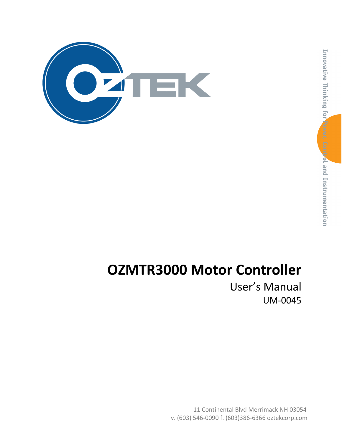

# OZMTR3000 Motor Controller

User's Manual UM-0045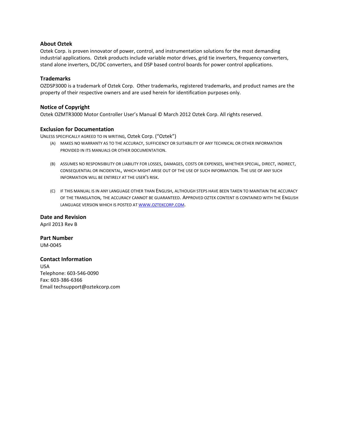#### About Oztek

Oztek Corp. is proven innovator of power, control, and instrumentation solutions for the most demanding industrial applications. Oztek products include variable motor drives, grid tie inverters, frequency converters, stand alone inverters, DC/DC converters, and DSP based control boards for power control applications.

#### **Trademarks**

OZDSP3000 is a trademark of Oztek Corp. Other trademarks, registered trademarks, and product names are the property of their respective owners and are used herein for identification purposes only.

#### Notice of Copyright

Oztek OZMTR3000 Motor Controller User's Manual © March 2012 Oztek Corp. All rights reserved.

#### Exclusion for Documentation

UNLESS SPECIFICALLY AGREED TO IN WRITING, Oztek Corp. ("Oztek")

- (A) MAKES NO WARRANTY AS TO THE ACCURACY, SUFFICIENCY OR SUITABILITY OF ANY TECHNICAL OR OTHER INFORMATION PROVIDED IN ITS MANUALS OR OTHER DOCUMENTATION.
- (B) ASSUMES NO RESPONSIBILITY OR LIABILITY FOR LOSSES, DAMAGES, COSTS OR EXPENSES, WHETHER SPECIAL, DIRECT, INDIRECT, CONSEQUENTIAL OR INCIDENTAL, WHICH MIGHT ARISE OUT OF THE USE OF SUCH INFORMATION. THE USE OF ANY SUCH INFORMATION WILL BE ENTIRELY AT THE USER'S RISK.
- (C) IF THIS MANUAL IS IN ANY LANGUAGE OTHER THAN ENGLISH, ALTHOUGH STEPS HAVE BEEN TAKEN TO MAINTAIN THE ACCURACY OF THE TRANSLATION, THE ACCURACY CANNOT BE GUARANTEED. APPROVED OZTEK CONTENT IS CONTAINED WITH THE ENGLISH LANGUAGE VERSION WHICH IS POSTED AT WWW.OZTEKCORP.COM.

Date and Revision April 2013 Rev B

Part Number UM-0045

#### Contact Information

USA Telephone: 603-546-0090 Fax: 603-386-6366 Email techsupport@oztekcorp.com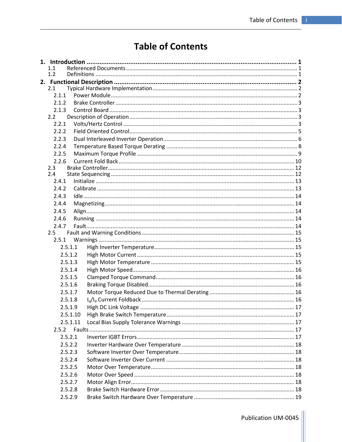## **Table of Contents**

| 1.1   |          |  |
|-------|----------|--|
| 1.2   |          |  |
|       |          |  |
| 2.1   |          |  |
| 2.1.1 |          |  |
| 2.1.2 |          |  |
| 2.1.3 |          |  |
| 2.2   |          |  |
| 2.2.1 |          |  |
| 2.2.2 |          |  |
| 2.2.3 |          |  |
| 2.2.4 |          |  |
| 2.2.5 |          |  |
| 2.2.6 |          |  |
| 2.3   |          |  |
| 2.4   |          |  |
| 2.4.1 |          |  |
| 2.4.2 |          |  |
| 2.4.3 |          |  |
| 2.4.4 |          |  |
| 2.4.5 |          |  |
| 2.4.6 |          |  |
| 2.4.7 |          |  |
| 2.5   |          |  |
| 2.5.1 |          |  |
|       | 2.5.1.1  |  |
|       | 2.5.1.2  |  |
|       | 2.5.1.3  |  |
|       | 2.5.1.4  |  |
|       | 2.5.1.5  |  |
|       | 2.5.1.6  |  |
|       | 2.5.1.7  |  |
|       | 2.5.1.8  |  |
|       | 2.5.1.9  |  |
|       | 2.5.1.10 |  |
|       | 2.5.1.11 |  |
| 2.5.2 |          |  |
|       | 2.5.2.1  |  |
|       | 2.5.2.2  |  |
|       | 2.5.2.3  |  |
|       | 2.5.2.4  |  |
|       | 2.5.2.5  |  |
|       | 2.5.2.6  |  |
|       | 2.5.2.7  |  |
|       | 2.5.2.8  |  |
|       | 2.5.2.9  |  |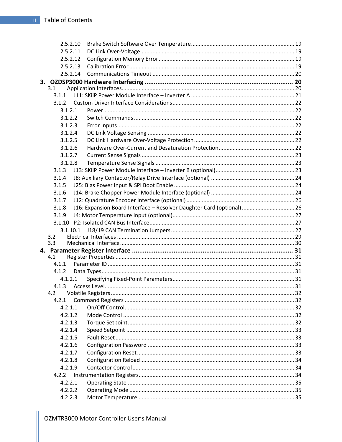| 2.5.2.10   |                                                                        |  |
|------------|------------------------------------------------------------------------|--|
| 2.5.2.11   |                                                                        |  |
| 2.5.2.12   |                                                                        |  |
| 2.5.2.13   |                                                                        |  |
| 2.5.2.14   |                                                                        |  |
|            |                                                                        |  |
| 3.1        |                                                                        |  |
| 3.1.1      |                                                                        |  |
| 3.1.2      |                                                                        |  |
| 3.1.2.1    |                                                                        |  |
| 3.1.2.2    |                                                                        |  |
| 3.1.2.3    |                                                                        |  |
| 3.1.2.4    |                                                                        |  |
| 3.1.2.5    |                                                                        |  |
| 3.1.2.6    |                                                                        |  |
| 3.1.2.7    |                                                                        |  |
| 3.1.2.8    |                                                                        |  |
| 3.1.3      |                                                                        |  |
| 3.1.4      |                                                                        |  |
| 3.1.5      |                                                                        |  |
| 3.1.6      |                                                                        |  |
| 3.1.7      |                                                                        |  |
| 3.1.8      | J16: Expansion Board Interface - Resolver Daughter Card (optional)  26 |  |
| 3.1.9      |                                                                        |  |
| 3.1.10     |                                                                        |  |
| 3.1.10.1   |                                                                        |  |
| 3.2<br>3.3 |                                                                        |  |
|            |                                                                        |  |
| 4.1        |                                                                        |  |
| 4.1.1      |                                                                        |  |
| 4.1.2      |                                                                        |  |
| 4.1.2.1    |                                                                        |  |
|            |                                                                        |  |
| 4.2        |                                                                        |  |
| 4.2.1      |                                                                        |  |
| 4.2.1.1    |                                                                        |  |
| 4.2.1.2    |                                                                        |  |
| 4.2.1.3    |                                                                        |  |
| 4.2.1.4    |                                                                        |  |
| 4.2.1.5    |                                                                        |  |
| 4.2.1.6    |                                                                        |  |
| 4.2.1.7    |                                                                        |  |
| 4.2.1.8    |                                                                        |  |
| 4.2.1.9    |                                                                        |  |
| 4.2.2      |                                                                        |  |
| 4.2.2.1    |                                                                        |  |
| 4.2.2.2    |                                                                        |  |
| 4.2.2.3    |                                                                        |  |
|            |                                                                        |  |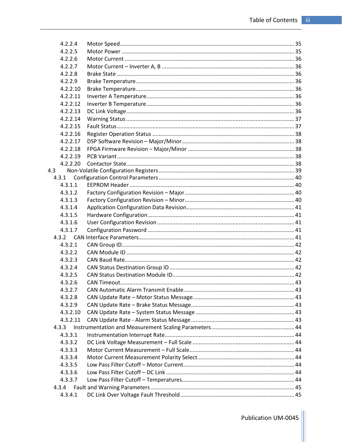| 4.2.2.4  |  |
|----------|--|
| 4.2.2.5  |  |
| 4.2.2.6  |  |
| 4.2.2.7  |  |
| 4.2.2.8  |  |
| 4.2.2.9  |  |
| 4.2.2.10 |  |
| 4.2.2.11 |  |
| 4.2.2.12 |  |
| 4.2.2.13 |  |
| 4.2.2.14 |  |
| 4.2.2.15 |  |
| 4.2.2.16 |  |
| 4.2.2.17 |  |
| 4.2.2.18 |  |
| 4.2.2.19 |  |
| 4.2.2.20 |  |
| 4.3      |  |
| 4.3.1    |  |
| 4.3.1.1  |  |
| 4.3.1.2  |  |
| 4.3.1.3  |  |
| 4.3.1.4  |  |
| 4.3.1.5  |  |
| 4.3.1.6  |  |
| 4.3.1.7  |  |
|          |  |
| 4.3.2.1  |  |
| 4.3.2.2  |  |
| 4.3.2.3  |  |
| 4.3.2.4  |  |
| 4.3.2.5  |  |
| 4.3.2.6  |  |
| 4.3.2.7  |  |
| 4.3.2.8  |  |
| 4.3.2.9  |  |
| 4.3.2.10 |  |
| 4.3.2.11 |  |
| 4.3.3    |  |
| 4.3.3.1  |  |
| 4.3.3.2  |  |
| 4.3.3.3  |  |
| 4.3.3.4  |  |
| 4.3.3.5  |  |
| 4.3.3.6  |  |
| 4.3.3.7  |  |
| 4.3.4    |  |
| 4.3.4.1  |  |
|          |  |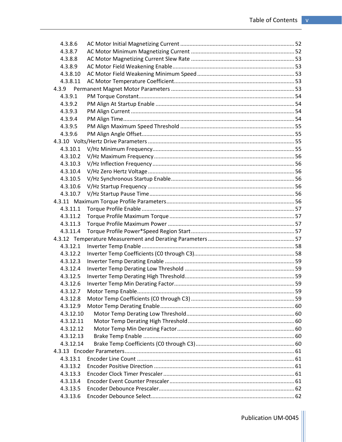| 4.3.8.6   |  |
|-----------|--|
| 4.3.8.7   |  |
| 4.3.8.8   |  |
| 4.3.8.9   |  |
| 4.3.8.10  |  |
| 4.3.8.11  |  |
| 4.3.9     |  |
| 4.3.9.1   |  |
| 4.3.9.2   |  |
| 4.3.9.3   |  |
| 4.3.9.4   |  |
| 4.3.9.5   |  |
| 4.3.9.6   |  |
|           |  |
| 4.3.10.1  |  |
| 4.3.10.2  |  |
| 4.3.10.3  |  |
| 4.3.10.4  |  |
| 4.3.10.5  |  |
| 4.3.10.6  |  |
| 4.3.10.7  |  |
|           |  |
| 4.3.11.1  |  |
| 4.3.11.2  |  |
| 4.3.11.3  |  |
| 4.3.11.4  |  |
|           |  |
| 4.3.12.1  |  |
| 4.3.12.2  |  |
| 4.3.12.3  |  |
| 4.3.12.4  |  |
| 4.3.12.5  |  |
| 4.3.12.6  |  |
| 4.3.12.7  |  |
| 4.3.12.8  |  |
| 4.3.12.9  |  |
| 4.3.12.10 |  |
| 4.3.12.11 |  |
| 4.3.12.12 |  |
| 4.3.12.13 |  |
| 4.3.12.14 |  |
|           |  |
| 4.3.13.1  |  |
| 4.3.13.2  |  |
| 4.3.13.3  |  |
| 4.3.13.4  |  |
| 4.3.13.5  |  |
| 4.3.13.6  |  |
|           |  |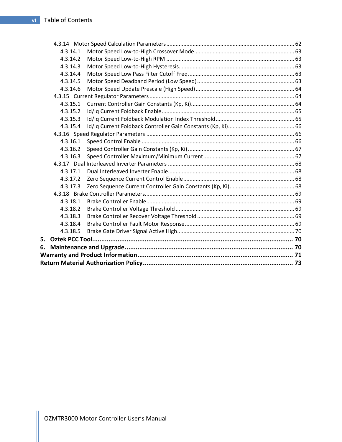|    | 4.3.14.1 |  |  |  |  |
|----|----------|--|--|--|--|
|    | 4.3.14.2 |  |  |  |  |
|    | 4.3.14.3 |  |  |  |  |
|    | 4.3.14.4 |  |  |  |  |
|    | 4.3.14.5 |  |  |  |  |
|    | 4.3.14.6 |  |  |  |  |
|    |          |  |  |  |  |
|    | 4.3.15.1 |  |  |  |  |
|    | 4.3.15.2 |  |  |  |  |
|    | 4.3.15.3 |  |  |  |  |
|    | 4.3.15.4 |  |  |  |  |
|    |          |  |  |  |  |
|    | 4.3.16.1 |  |  |  |  |
|    | 4.3.16.2 |  |  |  |  |
|    | 4.3.16.3 |  |  |  |  |
|    |          |  |  |  |  |
|    | 4.3.17.1 |  |  |  |  |
|    | 4.3.17.2 |  |  |  |  |
|    | 4.3.17.3 |  |  |  |  |
|    |          |  |  |  |  |
|    | 4.3.18.1 |  |  |  |  |
|    | 4.3.18.2 |  |  |  |  |
|    | 4.3.18.3 |  |  |  |  |
|    | 4.3.18.4 |  |  |  |  |
|    | 4.3.18.5 |  |  |  |  |
| 5. |          |  |  |  |  |
| 6. |          |  |  |  |  |
|    |          |  |  |  |  |
|    |          |  |  |  |  |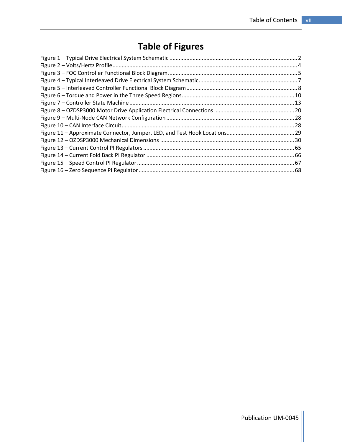## Table of Figures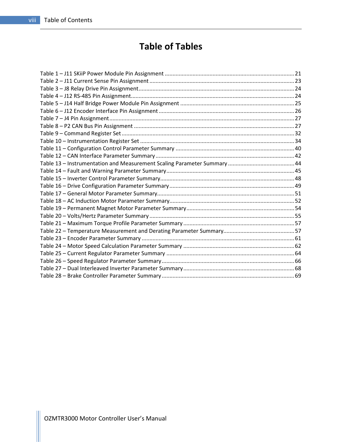## Table of Tables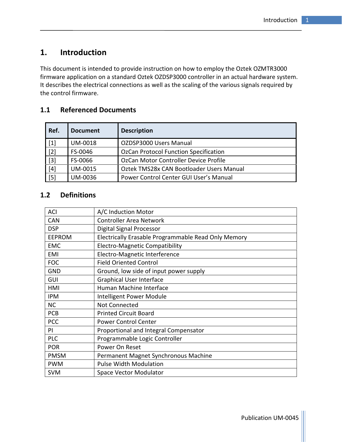## 1. Introduction

This document is intended to provide instruction on how to employ the Oztek OZMTR3000 firmware application on a standard Oztek OZDSP3000 controller in an actual hardware system. It describes the electrical connections as well as the scaling of the various signals required by the control firmware.

#### 1.1 Referenced Documents

| Ref.  | <b>Document</b> | <b>Description</b>                           |
|-------|-----------------|----------------------------------------------|
| $[1]$ | <b>UM-0018</b>  | OZDSP3000 Users Manual                       |
| $[2]$ | FS-0046         | <b>OzCan Protocol Function Specification</b> |
| $[3]$ | FS-0066         | OzCan Motor Controller Device Profile        |
| $[4]$ | UM-0015         | Oztek TMS28x CAN Bootloader Users Manual     |
| $[5]$ | <b>UM-0036</b>  | Power Control Center GUI User's Manual       |

#### 1.2 Definitions

| ACI           | A/C Induction Motor                                 |  |
|---------------|-----------------------------------------------------|--|
| <b>CAN</b>    | <b>Controller Area Network</b>                      |  |
| <b>DSP</b>    | Digital Signal Processor                            |  |
| <b>EEPROM</b> | Electrically Erasable Programmable Read Only Memory |  |
| <b>EMC</b>    | <b>Electro-Magnetic Compatibility</b>               |  |
| EMI           | Electro-Magnetic Interference                       |  |
| <b>FOC</b>    | <b>Field Oriented Control</b>                       |  |
| <b>GND</b>    | Ground, low side of input power supply              |  |
| GUI           | <b>Graphical User Interface</b>                     |  |
| HMI           | Human Machine Interface                             |  |
| <b>IPM</b>    | Intelligent Power Module                            |  |
| <b>NC</b>     | Not Connected                                       |  |
| <b>PCB</b>    | <b>Printed Circuit Board</b>                        |  |
| <b>PCC</b>    | <b>Power Control Center</b>                         |  |
| PI            | Proportional and Integral Compensator               |  |
| <b>PLC</b>    | Programmable Logic Controller                       |  |
| <b>POR</b>    | Power On Reset                                      |  |
| <b>PMSM</b>   | Permanent Magnet Synchronous Machine                |  |
| <b>PWM</b>    | <b>Pulse Width Modulation</b>                       |  |
| <b>SVM</b>    | <b>Space Vector Modulator</b>                       |  |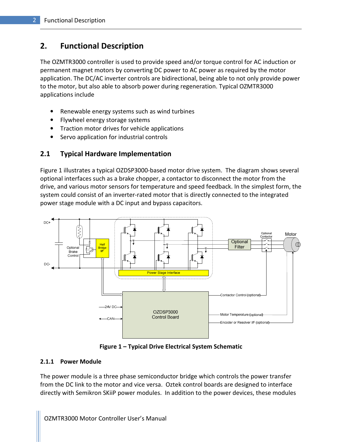## 2. Functional Description

The OZMTR3000 controller is used to provide speed and/or torque control for AC induction or permanent magnet motors by converting DC power to AC power as required by the motor application. The DC/AC inverter controls are bidirectional, being able to not only provide power to the motor, but also able to absorb power during regeneration. Typical OZMTR3000 applications include

- Renewable energy systems such as wind turbines
- Flywheel energy storage systems
- Traction motor drives for vehicle applications
- Servo application for industrial controls

#### 2.1 Typical Hardware Implementation

Figure 1 illustrates a typical OZDSP3000-based motor drive system. The diagram shows several optional interfaces such as a brake chopper, a contactor to disconnect the motor from the drive, and various motor sensors for temperature and speed feedback. In the simplest form, the system could consist of an inverter-rated motor that is directly connected to the integrated power stage module with a DC input and bypass capacitors.



Figure 1 – Typical Drive Electrical System Schematic

#### 2.1.1 Power Module

The power module is a three phase semiconductor bridge which controls the power transfer from the DC link to the motor and vice versa. Oztek control boards are designed to interface directly with Semikron SKiiP power modules. In addition to the power devices, these modules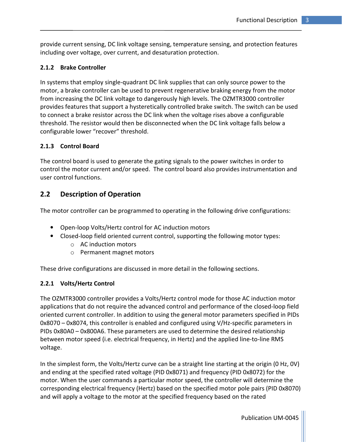provide current sensing, DC link voltage sensing, temperature sensing, and protection features including over voltage, over current, and desaturation protection.

#### 2.1.2 Brake Controller

In systems that employ single-quadrant DC link supplies that can only source power to the motor, a brake controller can be used to prevent regenerative braking energy from the motor from increasing the DC link voltage to dangerously high levels. The OZMTR3000 controller provides features that support a hysteretically controlled brake switch. The switch can be used to connect a brake resistor across the DC link when the voltage rises above a configurable threshold. The resistor would then be disconnected when the DC link voltage falls below a configurable lower "recover" threshold.

#### 2.1.3 Control Board

The control board is used to generate the gating signals to the power switches in order to control the motor current and/or speed. The control board also provides instrumentation and user control functions.

#### 2.2 Description of Operation

The motor controller can be programmed to operating in the following drive configurations:

- Open-loop Volts/Hertz control for AC induction motors
- Closed-loop field oriented current control, supporting the following motor types:
	- o AC induction motors
	- o Permanent magnet motors

These drive configurations are discussed in more detail in the following sections.

#### 2.2.1 Volts/Hertz Control

The OZMTR3000 controller provides a Volts/Hertz control mode for those AC induction motor applications that do not require the advanced control and performance of the closed-loop field oriented current controller. In addition to using the general motor parameters specified in PIDs 0x8070 – 0x8074, this controller is enabled and configured using V/Hz-specific parameters in PIDs 0x80A0 – 0x800A6. These parameters are used to determine the desired relationship between motor speed (i.e. electrical frequency, in Hertz) and the applied line-to-line RMS voltage.

In the simplest form, the Volts/Hertz curve can be a straight line starting at the origin (0 Hz, 0V) and ending at the specified rated voltage (PID 0x8071) and frequency (PID 0x8072) for the motor. When the user commands a particular motor speed, the controller will determine the corresponding electrical frequency (Hertz) based on the specified motor pole pairs (PID 0x8070) and will apply a voltage to the motor at the specified frequency based on the rated

Publication UM-0045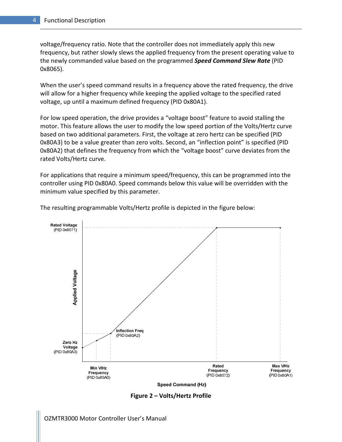voltage/frequency ratio. Note that the controller does not immediately apply this new frequency, but rather slowly slews the applied frequency from the present operating value to the newly commanded value based on the programmed Speed Command Slew Rate (PID 0x8065).

When the user's speed command results in a frequency above the rated frequency, the drive will allow for a higher frequency while keeping the applied voltage to the specified rated voltage, up until a maximum defined frequency (PID 0x80A1).

For low speed operation, the drive provides a "voltage boost" feature to avoid stalling the motor. This feature allows the user to modify the low speed portion of the Volts/Hertz curve based on two additional parameters. First, the voltage at zero hertz can be specified (PID 0x80A3) to be a value greater than zero volts. Second, an "inflection point" is specified (PID 0x80A2) that defines the frequency from which the "voltage boost" curve deviates from the rated Volts/Hertz curve.

For applications that require a minimum speed/frequency, this can be programmed into the controller using PID 0x80A0. Speed commands below this value will be overridden with the minimum value specified by this parameter.



The resulting programmable Volts/Hertz profile is depicted in the figure below:

**Speed Command (Hz)** 

Figure 2 – Volts/Hertz Profile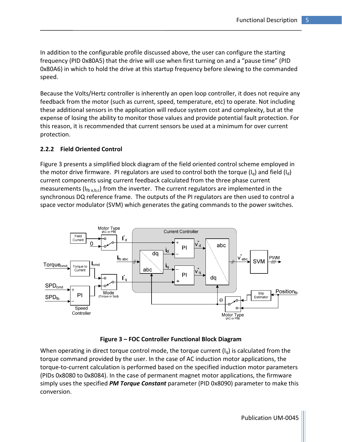In addition to the configurable profile discussed above, the user can configure the starting frequency (PID 0x80A5) that the drive will use when first turning on and a "pause time" (PID 0x80A6) in which to hold the drive at this startup frequency before slewing to the commanded speed.

Because the Volts/Hertz controller is inherently an open loop controller, it does not require any feedback from the motor (such as current, speed, temperature, etc) to operate. Not including these additional sensors in the application will reduce system cost and complexity, but at the expense of losing the ability to monitor those values and provide potential fault protection. For this reason, it is recommended that current sensors be used at a minimum for over current protection.

#### 2.2.2 Field Oriented Control

Figure 3 presents a simplified block diagram of the field oriented control scheme employed in the motor drive firmware. PI regulators are used to control both the torque  $(I_0)$  and field  $(I_d)$ current components using current feedback calculated from the three phase current measurements ( $I_{\text{fb a.b.c}}$ ) from the inverter. The current regulators are implemented in the synchronous DQ reference frame. The outputs of the PI regulators are then used to control a space vector modulator (SVM) which generates the gating commands to the power switches.



#### Figure 3 – FOC Controller Functional Block Diagram

When operating in direct torque control mode, the torque current  $(I_0)$  is calculated from the torque command provided by the user. In the case of AC induction motor applications, the torque-to-current calculation is performed based on the specified induction motor parameters (PIDs 0x8080 to 0x8084). In the case of permanent magnet motor applications, the firmware simply uses the specified PM Torque Constant parameter (PID 0x8090) parameter to make this conversion.

Publication UM-0045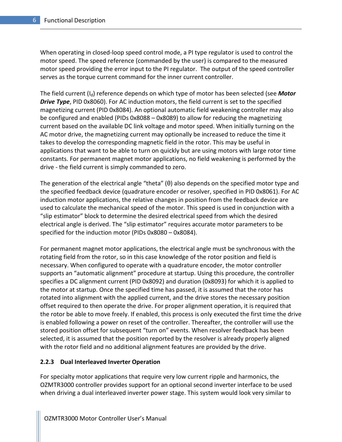When operating in closed-loop speed control mode, a PI type regulator is used to control the motor speed. The speed reference (commanded by the user) is compared to the measured motor speed providing the error input to the PI regulator. The output of the speed controller serves as the torque current command for the inner current controller.

The field current  $(I_d)$  reference depends on which type of motor has been selected (see **Motor Drive Type**, PID 0x8060). For AC induction motors, the field current is set to the specified magnetizing current (PID 0x8084). An optional automatic field weakening controller may also be configured and enabled (PIDs 0x8088 – 0x8089) to allow for reducing the magnetizing current based on the available DC link voltage and motor speed. When initially turning on the AC motor drive, the magnetizing current may optionally be increased to reduce the time it takes to develop the corresponding magnetic field in the rotor. This may be useful in applications that want to be able to turn on quickly but are using motors with large rotor time constants. For permanent magnet motor applications, no field weakening is performed by the drive - the field current is simply commanded to zero.

The generation of the electrical angle "theta" (θ) also depends on the specified motor type and the specified feedback device (quadrature encoder or resolver, specified in PID 0x8061). For AC induction motor applications, the relative changes in position from the feedback device are used to calculate the mechanical speed of the motor. This speed is used in conjunction with a "slip estimator" block to determine the desired electrical speed from which the desired electrical angle is derived. The "slip estimator" requires accurate motor parameters to be specified for the induction motor (PIDs 0x8080 – 0x8084).

For permanent magnet motor applications, the electrical angle must be synchronous with the rotating field from the rotor, so in this case knowledge of the rotor position and field is necessary. When configured to operate with a quadrature encoder, the motor controller supports an "automatic alignment" procedure at startup. Using this procedure, the controller specifies a DC alignment current (PID 0x8092) and duration (0x8093) for which it is applied to the motor at startup. Once the specified time has passed, it is assumed that the rotor has rotated into alignment with the applied current, and the drive stores the necessary position offset required to then operate the drive. For proper alignment operation, it is required that the rotor be able to move freely. If enabled, this process is only executed the first time the drive is enabled following a power on reset of the controller. Thereafter, the controller will use the stored position offset for subsequent "turn on" events. When resolver feedback has been selected, it is assumed that the position reported by the resolver is already properly aligned with the rotor field and no additional alignment features are provided by the drive.

#### 2.2.3 Dual Interleaved Inverter Operation

For specialty motor applications that require very low current ripple and harmonics, the OZMTR3000 controller provides support for an optional second inverter interface to be used when driving a dual interleaved inverter power stage. This system would look very similar to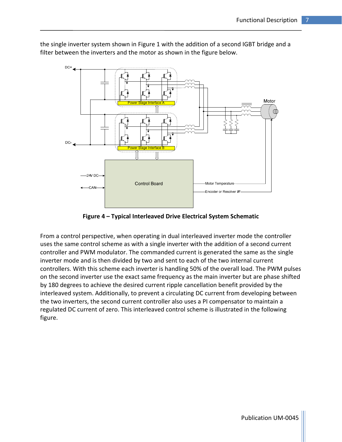

the single inverter system shown in Figure 1 with the addition of a second IGBT bridge and a filter between the inverters and the motor as shown in the figure below.

Figure 4 – Typical Interleaved Drive Electrical System Schematic

From a control perspective, when operating in dual interleaved inverter mode the controller uses the same control scheme as with a single inverter with the addition of a second current controller and PWM modulator. The commanded current is generated the same as the single inverter mode and is then divided by two and sent to each of the two internal current controllers. With this scheme each inverter is handling 50% of the overall load. The PWM pulses on the second inverter use the exact same frequency as the main inverter but are phase shifted by 180 degrees to achieve the desired current ripple cancellation benefit provided by the interleaved system. Additionally, to prevent a circulating DC current from developing between the two inverters, the second current controller also uses a PI compensator to maintain a regulated DC current of zero. This interleaved control scheme is illustrated in the following figure.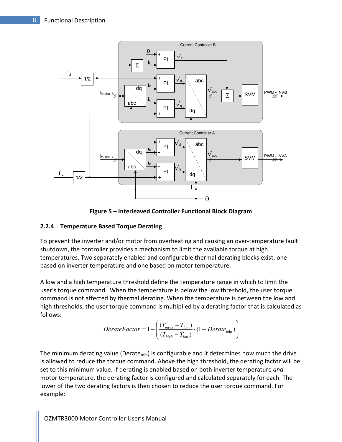

Figure 5 – Interleaved Controller Functional Block Diagram

#### 2.2.4 Temperature Based Torque Derating

To prevent the inverter and/or motor from overheating and causing an over-temperature fault shutdown, the controller provides a mechanism to limit the available torque at high temperatures. Two separately enabled and configurable thermal derating blocks exist: one based on inverter temperature and one based on motor temperature.

A low and a high temperature threshold define the temperature range in which to limit the user's torque command. When the temperature is below the low threshold, the user torque command is not affected by thermal derating. When the temperature is between the low and high thresholds, the user torque command is multiplied by a derating factor that is calculated as follows:

$$
DerateFactor = 1 - \left(\frac{(T_{meas} - T_{low})}{(T_{high} - T_{low})} \cdot (1 - Derate_{min})\right)
$$

The minimum derating value (Derate<sub>min</sub>) is configurable and it determines how much the drive is allowed to reduce the torque command. Above the high threshold, the derating factor will be set to this minimum value. If derating is enabled based on both inverter temperature and motor temperature, the derating factor is configured and calculated separately for each. The lower of the two derating factors is then chosen to reduce the user torque command. For example: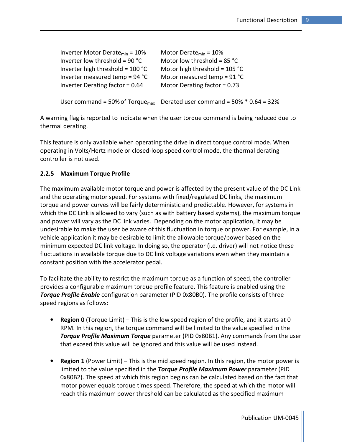| Inverter Motor Derate $_{min}$ = 10% | Motor Derate $_{min}$ = 10%                                                           |
|--------------------------------------|---------------------------------------------------------------------------------------|
| Inverter low threshold = $90 °C$     | Motor low threshold = $85 °C$                                                         |
| Inverter high threshold = $100 °C$   | Motor high threshold = $105 °C$                                                       |
| Inverter measured temp = $94 °C$     | Motor measured temp = $91 °C$                                                         |
| Inverter Derating factor = 0.64      | Motor Derating factor = $0.73$                                                        |
|                                      |                                                                                       |
|                                      | User command = 50% of Torque <sub>max</sub> Derated user command = 50% $*$ 0.64 = 32% |

A warning flag is reported to indicate when the user torque command is being reduced due to thermal derating.

This feature is only available when operating the drive in direct torque control mode. When operating in Volts/Hertz mode or closed-loop speed control mode, the thermal derating controller is not used.

#### 2.2.5 Maximum Torque Profile

The maximum available motor torque and power is affected by the present value of the DC Link and the operating motor speed. For systems with fixed/regulated DC links, the maximum torque and power curves will be fairly deterministic and predictable. However, for systems in which the DC Link is allowed to vary (such as with battery based systems), the maximum torque and power will vary as the DC link varies. Depending on the motor application, it may be undesirable to make the user be aware of this fluctuation in torque or power. For example, in a vehicle application it may be desirable to limit the allowable torque/power based on the minimum expected DC link voltage. In doing so, the operator (i.e. driver) will not notice these fluctuations in available torque due to DC link voltage variations even when they maintain a constant position with the accelerator pedal.

To facilitate the ability to restrict the maximum torque as a function of speed, the controller provides a configurable maximum torque profile feature. This feature is enabled using the **Torque Profile Enable** configuration parameter (PID 0x80B0). The profile consists of three speed regions as follows:

- Region 0 (Torque Limit) This is the low speed region of the profile, and it starts at 0 RPM. In this region, the torque command will be limited to the value specified in the **Torque Profile Maximum Torque** parameter (PID 0x80B1). Any commands from the user that exceed this value will be ignored and this value will be used instead.
- Region 1 (Power Limit) This is the mid speed region. In this region, the motor power is limited to the value specified in the Torque Profile Maximum Power parameter (PID 0x80B2). The speed at which this region begins can be calculated based on the fact that motor power equals torque times speed. Therefore, the speed at which the motor will reach this maximum power threshold can be calculated as the specified maximum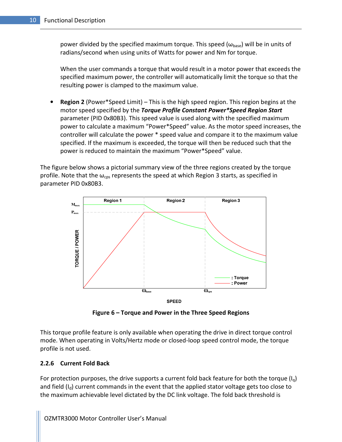power divided by the specified maximum torque. This speed ( $\omega_{\text{base}}$ ) will be in units of radians/second when using units of Watts for power and Nm for torque.

When the user commands a torque that would result in a motor power that exceeds the specified maximum power, the controller will automatically limit the torque so that the resulting power is clamped to the maximum value.

• Region 2 (Power\*Speed Limit) – This is the high speed region. This region begins at the motor speed specified by the Torque Profile Constant Power\*Speed Region Start parameter (PID 0x80B3). This speed value is used along with the specified maximum power to calculate a maximum "Power\*Speed" value. As the motor speed increases, the controller will calculate the power \* speed value and compare it to the maximum value specified. If the maximum is exceeded, the torque will then be reduced such that the power is reduced to maintain the maximum "Power\*Speed" value.

The figure below shows a pictorial summary view of the three regions created by the torque profile. Note that the  $\omega_{\text{cps}}$  represents the speed at which Region 3 starts, as specified in parameter PID 0x80B3.



Figure 6 – Torque and Power in the Three Speed Regions

This torque profile feature is only available when operating the drive in direct torque control mode. When operating in Volts/Hertz mode or closed-loop speed control mode, the torque profile is not used.

#### 2.2.6 Current Fold Back

For protection purposes, the drive supports a current fold back feature for both the torque  $(I_0)$ and field  $(I_d)$  current commands in the event that the applied stator voltage gets too close to the maximum achievable level dictated by the DC link voltage. The fold back threshold is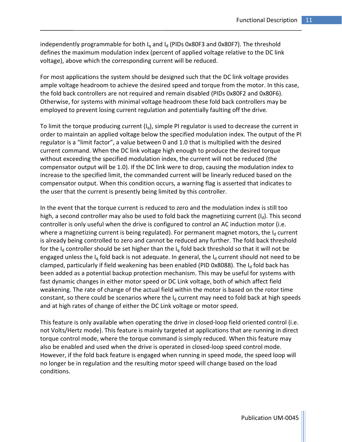independently programmable for both  $I<sub>q</sub>$  and  $I<sub>d</sub>$  (PIDs 0x80F3 and 0x80F7). The threshold defines the maximum modulation index (percent of applied voltage relative to the DC link voltage), above which the corresponding current will be reduced.

For most applications the system should be designed such that the DC link voltage provides ample voltage headroom to achieve the desired speed and torque from the motor. In this case, the fold back controllers are not required and remain disabled (PIDs 0x80F2 and 0x80F6). Otherwise, for systems with minimal voltage headroom these fold back controllers may be employed to prevent losing current regulation and potentially faulting off the drive.

To limit the torque producing current  $(I_q)$ , simple PI regulator is used to decrease the current in order to maintain an applied voltage below the specified modulation index. The output of the PI regulator is a "limit factor", a value between 0 and 1.0 that is multiplied with the desired current command. When the DC link voltage high enough to produce the desired torque without exceeding the specified modulation index, the current will not be reduced (the compensator output will be 1.0). If the DC link were to drop, causing the modulation index to increase to the specified limit, the commanded current will be linearly reduced based on the compensator output. When this condition occurs, a warning flag is asserted that indicates to the user that the current is presently being limited by this controller.

In the event that the torque current is reduced to zero and the modulation index is still too high, a second controller may also be used to fold back the magnetizing current  $(I_d)$ . This second controller is only useful when the drive is configured to control an AC induction motor (i.e. where a magnetizing current is being regulated). For permanent magnet motors, the  $I_d$  current is already being controlled to zero and cannot be reduced any further. The fold back threshold for the I<sub>d</sub> controller should be set higher than the I<sub>q</sub> fold back threshold so that it will not be engaged unless the  $I_q$  fold back is not adequate. In general, the  $I_d$  current should not need to be clamped, particularly if field weakening has been enabled (PID 0x8088). The  $I<sub>d</sub>$  fold back has been added as a potential backup protection mechanism. This may be useful for systems with fast dynamic changes in either motor speed or DC Link voltage, both of which affect field weakening. The rate of change of the actual field within the motor is based on the rotor time constant, so there could be scenarios where the  $I<sub>d</sub>$  current may need to fold back at high speeds and at high rates of change of either the DC Link voltage or motor speed.

This feature is only available when operating the drive in closed-loop field oriented control (i.e. not Volts/Hertz mode). This feature is mainly targeted at applications that are running in direct torque control mode, where the torque command is simply reduced. When this feature may also be enabled and used when the drive is operated in closed-loop speed control mode. However, if the fold back feature is engaged when running in speed mode, the speed loop will no longer be in regulation and the resulting motor speed will change based on the load conditions.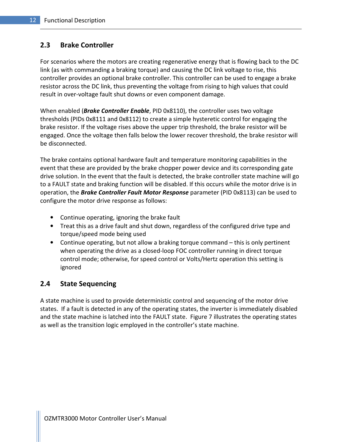#### 2.3 Brake Controller

For scenarios where the motors are creating regenerative energy that is flowing back to the DC link (as with commanding a braking torque) and causing the DC link voltage to rise, this controller provides an optional brake controller. This controller can be used to engage a brake resistor across the DC link, thus preventing the voltage from rising to high values that could result in over-voltage fault shut downs or even component damage.

When enabled (*Brake Controller Enable*, PID 0x8110), the controller uses two voltage thresholds (PIDs 0x8111 and 0x8112) to create a simple hysteretic control for engaging the brake resistor. If the voltage rises above the upper trip threshold, the brake resistor will be engaged. Once the voltage then falls below the lower recover threshold, the brake resistor will be disconnected.

The brake contains optional hardware fault and temperature monitoring capabilities in the event that these are provided by the brake chopper power device and its corresponding gate drive solution. In the event that the fault is detected, the brake controller state machine will go to a FAULT state and braking function will be disabled. If this occurs while the motor drive is in operation, the **Brake Controller Fault Motor Response** parameter (PID 0x8113) can be used to configure the motor drive response as follows:

- Continue operating, ignoring the brake fault
- Treat this as a drive fault and shut down, regardless of the configured drive type and torque/speed mode being used
- Continue operating, but not allow a braking torque command this is only pertinent when operating the drive as a closed-loop FOC controller running in direct torque control mode; otherwise, for speed control or Volts/Hertz operation this setting is ignored

#### 2.4 State Sequencing

A state machine is used to provide deterministic control and sequencing of the motor drive states. If a fault is detected in any of the operating states, the inverter is immediately disabled and the state machine is latched into the FAULT state. Figure 7 illustrates the operating states as well as the transition logic employed in the controller's state machine.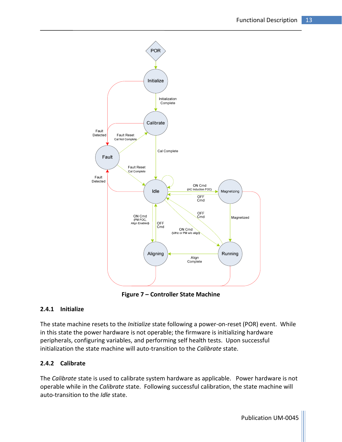

Figure 7 – Controller State Machine

#### 2.4.1 Initialize

The state machine resets to the *Initialize* state following a power-on-reset (POR) event. While in this state the power hardware is not operable; the firmware is initializing hardware peripherals, configuring variables, and performing self health tests. Upon successful initialization the state machine will auto-transition to the Calibrate state.

#### 2.4.2 Calibrate

The Calibrate state is used to calibrate system hardware as applicable. Power hardware is not operable while in the Calibrate state. Following successful calibration, the state machine will auto-transition to the Idle state.

Publication UM-0045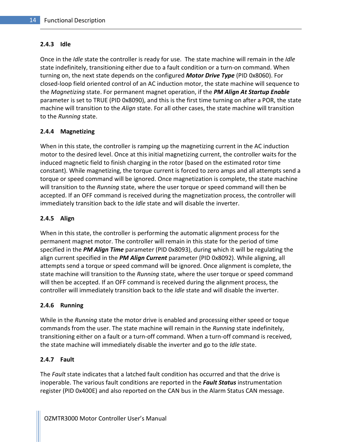#### 2.4.3 Idle

Once in the *Idle* state the controller is ready for use. The state machine will remain in the *Idle* state indefinitely, transitioning either due to a fault condition or a turn-on command. When turning on, the next state depends on the configured **Motor Drive Type** (PID 0x8060). For closed-loop field oriented control of an AC induction motor, the state machine will sequence to the Magnetizing state. For permanent magnet operation, if the PM Align At Startup Enable parameter is set to TRUE (PID 0x8090), and this is the first time turning on after a POR, the state machine will transition to the *Align* state. For all other cases, the state machine will transition to the Running state.

#### 2.4.4 Magnetizing

When in this state, the controller is ramping up the magnetizing current in the AC induction motor to the desired level. Once at this initial magnetizing current, the controller waits for the induced magnetic field to finish charging in the rotor (based on the estimated rotor time constant). While magnetizing, the torque current is forced to zero amps and all attempts send a torque or speed command will be ignored. Once magnetization is complete, the state machine will transition to the Running state, where the user torque or speed command will then be accepted. If an OFF command is received during the magnetization process, the controller will immediately transition back to the Idle state and will disable the inverter.

#### 2.4.5 Align

When in this state, the controller is performing the automatic alignment process for the permanent magnet motor. The controller will remain in this state for the period of time specified in the PM Align Time parameter (PID 0x8093), during which it will be regulating the align current specified in the PM Align Current parameter (PID 0x8092). While aligning, all attempts send a torque or speed command will be ignored. Once alignment is complete, the state machine will transition to the Running state, where the user torque or speed command will then be accepted. If an OFF command is received during the alignment process, the controller will immediately transition back to the *Idle* state and will disable the inverter.

#### 2.4.6 Running

While in the Running state the motor drive is enabled and processing either speed or toque commands from the user. The state machine will remain in the *Running* state indefinitely, transitioning either on a fault or a turn-off command. When a turn-off command is received, the state machine will immediately disable the inverter and go to the *Idle* state.

#### 2.4.7 Fault

The Fault state indicates that a latched fault condition has occurred and that the drive is inoperable. The various fault conditions are reported in the Fault Status instrumentation register (PID 0x400E) and also reported on the CAN bus in the Alarm Status CAN message.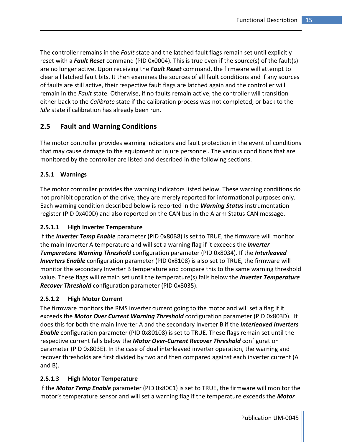The controller remains in the *Fault* state and the latched fault flags remain set until explicitly reset with a Fault Reset command (PID 0x0004). This is true even if the source(s) of the fault(s) are no longer active. Upon receiving the Fault Reset command, the firmware will attempt to clear all latched fault bits. It then examines the sources of all fault conditions and if any sources of faults are still active, their respective fault flags are latched again and the controller will remain in the Fault state. Otherwise, if no faults remain active, the controller will transition either back to the Calibrate state if the calibration process was not completed, or back to the Idle state if calibration has already been run.

#### 2.5 Fault and Warning Conditions

The motor controller provides warning indicators and fault protection in the event of conditions that may cause damage to the equipment or injure personnel. The various conditions that are monitored by the controller are listed and described in the following sections.

#### 2.5.1 Warnings

The motor controller provides the warning indicators listed below. These warning conditions do not prohibit operation of the drive; they are merely reported for informational purposes only. Each warning condition described below is reported in the **Warning Status** instrumentation register (PID 0x400D) and also reported on the CAN bus in the Alarm Status CAN message.

#### 2.5.1.1 High Inverter Temperature

If the *Inverter Temp Enable* parameter (PID 0x80B8) is set to TRUE, the firmware will monitor the main Inverter A temperature and will set a warning flag if it exceeds the *Inverter* **Temperature Warning Threshold** configuration parameter (PID 0x8034). If the *Interleaved* **Inverters Enable** configuration parameter (PID 0x8108) is also set to TRUE, the firmware will monitor the secondary Inverter B temperature and compare this to the same warning threshold value. These flags will remain set until the temperature(s) falls below the *Inverter Temperature* Recover Threshold configuration parameter (PID 0x8035).

#### 2.5.1.2 High Motor Current

The firmware monitors the RMS inverter current going to the motor and will set a flag if it exceeds the **Motor Over Current Warning Threshold** configuration parameter (PID 0x803D). It does this for both the main Inverter A and the secondary Inverter B if the *Interleaved Inverters* **Enable** configuration parameter (PID 0x80108) is set to TRUE. These flags remain set until the respective current falls below the Motor Over-Current Recover Threshold configuration parameter (PID 0x803E). In the case of dual interleaved inverter operation, the warning and recover thresholds are first divided by two and then compared against each inverter current (A and B).

#### 2.5.1.3 High Motor Temperature

If the **Motor Temp Enable** parameter (PID 0x80C1) is set to TRUE, the firmware will monitor the motor's temperature sensor and will set a warning flag if the temperature exceeds the **Motor** 

Publication UM-0045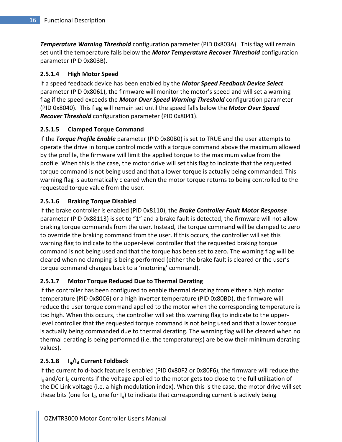**Temperature Warning Threshold** configuration parameter (PID 0x803A). This flag will remain set until the temperature falls below the **Motor Temperature Recover Threshold** configuration parameter (PID 0x803B).

#### 2.5.1.4 High Motor Speed

If a speed feedback device has been enabled by the **Motor Speed Feedback Device Select** parameter (PID 0x8061), the firmware will monitor the motor's speed and will set a warning flag if the speed exceeds the **Motor Over Speed Warning Threshold** configuration parameter (PID 0x8040). This flag will remain set until the speed falls below the **Motor Over Speed Recover Threshold** configuration parameter (PID 0x8041).

#### 2.5.1.5 Clamped Torque Command

If the Torque Profile Enable parameter (PID 0x80B0) is set to TRUE and the user attempts to operate the drive in torque control mode with a torque command above the maximum allowed by the profile, the firmware will limit the applied torque to the maximum value from the profile. When this is the case, the motor drive will set this flag to indicate that the requested torque command is not being used and that a lower torque is actually being commanded. This warning flag is automatically cleared when the motor torque returns to being controlled to the requested torque value from the user.

#### 2.5.1.6 Braking Torque Disabled

If the brake controller is enabled (PID 0x8110), the Brake Controller Fault Motor Response parameter (PID 0x88113) is set to "1" and a brake fault is detected, the firmware will not allow braking torque commands from the user. Instead, the torque command will be clamped to zero to override the braking command from the user. If this occurs, the controller will set this warning flag to indicate to the upper-level controller that the requested braking torque command is not being used and that the torque has been set to zero. The warning flag will be cleared when no clamping is being performed (either the brake fault is cleared or the user's torque command changes back to a 'motoring' command).

#### 2.5.1.7 Motor Torque Reduced Due to Thermal Derating

If the controller has been configured to enable thermal derating from either a high motor temperature (PID 0x80C6) or a high inverter temperature (PID 0x80BD), the firmware will reduce the user torque command applied to the motor when the corresponding temperature is too high. When this occurs, the controller will set this warning flag to indicate to the upperlevel controller that the requested torque command is not being used and that a lower torque is actually being commanded due to thermal derating. The warning flag will be cleared when no thermal derating is being performed (i.e. the temperature(s) are below their minimum derating values).

#### 2.5.1.8  $I_{\alpha}/I_{\alpha}$  Current Foldback

If the current fold-back feature is enabled (PID 0x80F2 or 0x80F6), the firmware will reduce the  $I_q$  and/or  $I_d$  currents if the voltage applied to the motor gets too close to the full utilization of the DC Link voltage (i.e. a high modulation index). When this is the case, the motor drive will set these bits (one for  $I_d$ , one for  $I_q$ ) to indicate that corresponding current is actively being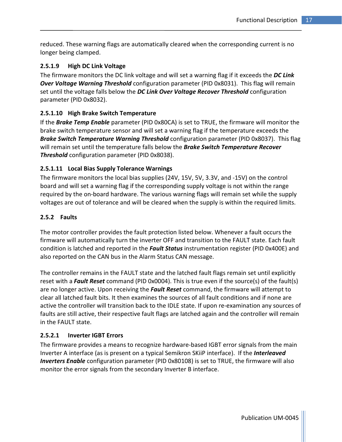reduced. These warning flags are automatically cleared when the corresponding current is no longer being clamped.

#### 2.5.1.9 High DC Link Voltage

The firmware monitors the DC link voltage and will set a warning flag if it exceeds the DC Link Over Voltage Warning Threshold configuration parameter (PID 0x8031). This flag will remain set until the voltage falls below the DC Link Over Voltage Recover Threshold configuration parameter (PID 0x8032).

#### 2.5.1.10 High Brake Switch Temperature

If the **Brake Temp Enable** parameter (PID 0x80CA) is set to TRUE, the firmware will monitor the brake switch temperature sensor and will set a warning flag if the temperature exceeds the Brake Switch Temperature Warning Threshold configuration parameter (PID 0x8037). This flag will remain set until the temperature falls below the Brake Switch Temperature Recover **Threshold** configuration parameter (PID 0x8038).

#### 2.5.1.11 Local Bias Supply Tolerance Warnings

The firmware monitors the local bias supplies (24V, 15V, 5V, 3.3V, and -15V) on the control board and will set a warning flag if the corresponding supply voltage is not within the range required by the on-board hardware. The various warning flags will remain set while the supply voltages are out of tolerance and will be cleared when the supply is within the required limits.

#### 2.5.2 Faults

The motor controller provides the fault protection listed below. Whenever a fault occurs the firmware will automatically turn the inverter OFF and transition to the FAULT state. Each fault condition is latched and reported in the Fault Status instrumentation register (PID 0x400E) and also reported on the CAN bus in the Alarm Status CAN message.

The controller remains in the FAULT state and the latched fault flags remain set until explicitly reset with a Fault Reset command (PID 0x0004). This is true even if the source(s) of the fault(s) are no longer active. Upon receiving the Fault Reset command, the firmware will attempt to clear all latched fault bits. It then examines the sources of all fault conditions and if none are active the controller will transition back to the IDLE state. If upon re-examination any sources of faults are still active, their respective fault flags are latched again and the controller will remain in the FAULT state.

#### 2.5.2.1 Inverter IGBT Errors

The firmware provides a means to recognize hardware-based IGBT error signals from the main Inverter A interface (as is present on a typical Semikron SKiiP interface). If the Interleaved **Inverters Enable** configuration parameter (PID 0x80108) is set to TRUE, the firmware will also monitor the error signals from the secondary Inverter B interface.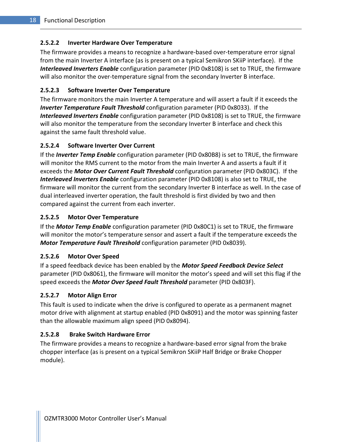#### 2.5.2.2 Inverter Hardware Over Temperature

The firmware provides a means to recognize a hardware-based over-temperature error signal from the main Inverter A interface (as is present on a typical Semikron SKiiP interface). If the Interleaved Inverters Enable configuration parameter (PID 0x8108) is set to TRUE, the firmware will also monitor the over-temperature signal from the secondary Inverter B interface.

#### 2.5.2.3 Software Inverter Over Temperature

The firmware monitors the main Inverter A temperature and will assert a fault if it exceeds the **Inverter Temperature Fault Threshold** configuration parameter (PID 0x8033). If the Interleaved Inverters Enable configuration parameter (PID 0x8108) is set to TRUE, the firmware will also monitor the temperature from the secondary Inverter B interface and check this against the same fault threshold value.

#### 2.5.2.4 Software Inverter Over Current

If the *Inverter Temp Enable* configuration parameter (PID 0x80B8) is set to TRUE, the firmware will monitor the RMS current to the motor from the main Inverter A and asserts a fault if it exceeds the Motor Over Current Fault Threshold configuration parameter (PID 0x803C). If the **Interleaved Inverters Enable** configuration parameter (PID 0x8108) is also set to TRUE, the firmware will monitor the current from the secondary Inverter B interface as well. In the case of dual interleaved inverter operation, the fault threshold is first divided by two and then compared against the current from each inverter.

#### 2.5.2.5 Motor Over Temperature

If the **Motor Temp Enable** configuration parameter (PID 0x80C1) is set to TRUE, the firmware will monitor the motor's temperature sensor and assert a fault if the temperature exceeds the Motor Temperature Fault Threshold configuration parameter (PID 0x8039).

#### 2.5.2.6 Motor Over Speed

If a speed feedback device has been enabled by the **Motor Speed Feedback Device Select** parameter (PID 0x8061), the firmware will monitor the motor's speed and will set this flag if the speed exceeds the Motor Over Speed Fault Threshold parameter (PID 0x803F).

#### 2.5.2.7 Motor Align Error

This fault is used to indicate when the drive is configured to operate as a permanent magnet motor drive with alignment at startup enabled (PID 0x8091) and the motor was spinning faster than the allowable maximum align speed (PID 0x8094).

#### 2.5.2.8 Brake Switch Hardware Error

The firmware provides a means to recognize a hardware-based error signal from the brake chopper interface (as is present on a typical Semikron SKiiP Half Bridge or Brake Chopper module).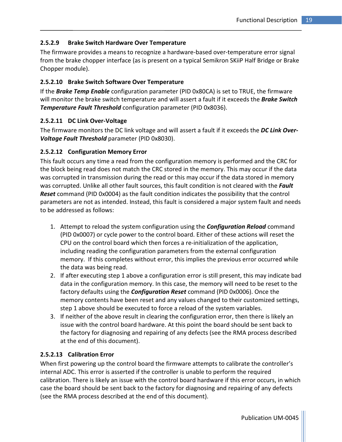#### 2.5.2.9 Brake Switch Hardware Over Temperature

The firmware provides a means to recognize a hardware-based over-temperature error signal from the brake chopper interface (as is present on a typical Semikron SKiiP Half Bridge or Brake Chopper module).

#### 2.5.2.10 Brake Switch Software Over Temperature

If the **Brake Temp Enable** configuration parameter (PID 0x80CA) is set to TRUE, the firmware will monitor the brake switch temperature and will assert a fault if it exceeds the **Brake Switch Temperature Fault Threshold** configuration parameter (PID 0x8036).

#### 2.5.2.11 DC Link Over-Voltage

The firmware monitors the DC link voltage and will assert a fault if it exceeds the DC Link Over-Voltage Fault Threshold parameter (PID 0x8030).

#### 2.5.2.12 Configuration Memory Error

This fault occurs any time a read from the configuration memory is performed and the CRC for the block being read does not match the CRC stored in the memory. This may occur if the data was corrupted in transmission during the read or this may occur if the data stored in memory was corrupted. Unlike all other fault sources, this fault condition is not cleared with the Fault **Reset** command (PID 0x0004) as the fault condition indicates the possibility that the control parameters are not as intended. Instead, this fault is considered a major system fault and needs to be addressed as follows:

- 1. Attempt to reload the system configuration using the **Configuration Reload** command (PID 0x0007) or cycle power to the control board. Either of these actions will reset the CPU on the control board which then forces a re-initialization of the application, including reading the configuration parameters from the external configuration memory. If this completes without error, this implies the previous error occurred while the data was being read.
- 2. If after executing step 1 above a configuration error is still present, this may indicate bad data in the configuration memory. In this case, the memory will need to be reset to the factory defaults using the *Configuration Reset* command (PID 0x0006). Once the memory contents have been reset and any values changed to their customized settings, step 1 above should be executed to force a reload of the system variables.
- 3. If neither of the above result in clearing the configuration error, then there is likely an issue with the control board hardware. At this point the board should be sent back to the factory for diagnosing and repairing of any defects (see the RMA process described at the end of this document).

#### 2.5.2.13 Calibration Error

When first powering up the control board the firmware attempts to calibrate the controller's internal ADC. This error is asserted if the controller is unable to perform the required calibration. There is likely an issue with the control board hardware if this error occurs, in which case the board should be sent back to the factory for diagnosing and repairing of any defects (see the RMA process described at the end of this document).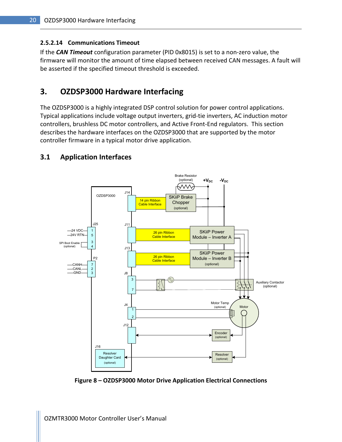#### 2.5.2.14 Communications Timeout

If the **CAN Timeout** configuration parameter (PID 0x8015) is set to a non-zero value, the firmware will monitor the amount of time elapsed between received CAN messages. A fault will be asserted if the specified timeout threshold is exceeded.

### 3. OZDSP3000 Hardware Interfacing

The OZDSP3000 is a highly integrated DSP control solution for power control applications. Typical applications include voltage output inverters, grid-tie inverters, AC induction motor controllers, brushless DC motor controllers, and Active Front-End regulators. This section describes the hardware interfaces on the OZDSP3000 that are supported by the motor controller firmware in a typical motor drive application.

#### 3.1 Application Interfaces



Figure 8 – OZDSP3000 Motor Drive Application Electrical Connections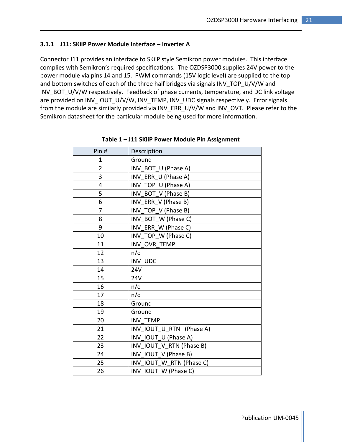#### 3.1.1 J11: SKiiP Power Module Interface – Inverter A

Connector J11 provides an interface to SKiiP style Semikron power modules. This interface complies with Semikron's required specifications. The OZDSP3000 supplies 24V power to the power module via pins 14 and 15. PWM commands (15V logic level) are supplied to the top and bottom switches of each of the three half bridges via signals INV\_TOP\_U/V/W and INV\_BOT\_U/V/W respectively. Feedback of phase currents, temperature, and DC link voltage are provided on INV\_IOUT\_U/V/W, INV\_TEMP, INV\_UDC signals respectively. Error signals from the module are similarly provided via INV\_ERR\_U/V/W and INV\_OVT. Please refer to the Semikron datasheet for the particular module being used for more information.

| Pin#<br>Description |                          |
|---------------------|--------------------------|
| Ground<br>1         |                          |
| 2                   | INV_BOT_U (Phase A)      |
| 3                   | INV ERR_U (Phase A)      |
| 4                   | INV TOP U (Phase A)      |
| 5                   | INV_BOT_V (Phase B)      |
| 6                   | INV ERR V (Phase B)      |
| $\overline{7}$      | INV TOP V (Phase B)      |
| 8                   | INV_BOT_W (Phase C)      |
| 9                   | INV ERR W (Phase C)      |
| 10                  | INV TOP W (Phase C)      |
| 11                  | INV OVR TEMP             |
| 12                  | n/c                      |
| 13                  | INV UDC                  |
| 14                  | <b>24V</b>               |
| 15                  | 24V                      |
| 16                  | n/c                      |
| 17                  | n/c                      |
| 18                  | Ground                   |
| 19                  | Ground                   |
| 20                  | INV TEMP                 |
| 21                  | INV IOUT U RTN (Phase A) |
| 22                  | INV IOUT U (Phase A)     |
| 23                  | INV IOUT V RTN (Phase B) |
| 24                  | INV IOUT_V (Phase B)     |
| 25                  | INV IOUT W RTN (Phase C) |
| 26                  | INV IOUT W (Phase C)     |

Table 1 – J11 SKiiP Power Module Pin Assignment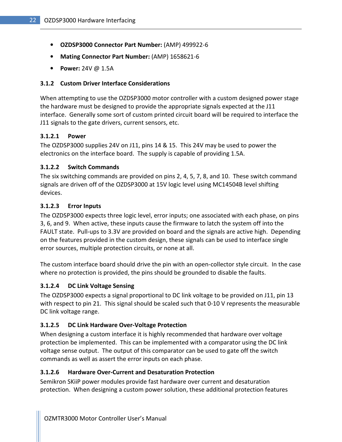- OZDSP3000 Connector Part Number: (AMP) 499922-6
- Mating Connector Part Number: (AMP) 1658621-6
- Power: 24V @ 1.5A

#### 3.1.2 Custom Driver Interface Considerations

When attempting to use the OZDSP3000 motor controller with a custom designed power stage the hardware must be designed to provide the appropriate signals expected at the J11 interface. Generally some sort of custom printed circuit board will be required to interface the J11 signals to the gate drivers, current sensors, etc.

#### 3.1.2.1 Power

The OZDSP3000 supplies 24V on J11, pins 14 & 15. This 24V may be used to power the electronics on the interface board. The supply is capable of providing 1.5A.

#### 3.1.2.2 Switch Commands

The six switching commands are provided on pins 2, 4, 5, 7, 8, and 10. These switch command signals are driven off of the OZDSP3000 at 15V logic level using MC14504B level shifting devices.

#### 3.1.2.3 Error Inputs

The OZDSP3000 expects three logic level, error inputs; one associated with each phase, on pins 3, 6, and 9. When active, these inputs cause the firmware to latch the system off into the FAULT state. Pull-ups to 3.3V are provided on board and the signals are active high. Depending on the features provided in the custom design, these signals can be used to interface single error sources, multiple protection circuits, or none at all.

The custom interface board should drive the pin with an open-collector style circuit. In the case where no protection is provided, the pins should be grounded to disable the faults.

#### 3.1.2.4 DC Link Voltage Sensing

The OZDSP3000 expects a signal proportional to DC link voltage to be provided on J11, pin 13 with respect to pin 21. This signal should be scaled such that 0-10 V represents the measurable DC link voltage range.

#### 3.1.2.5 DC Link Hardware Over-Voltage Protection

When designing a custom interface it is highly recommended that hardware over voltage protection be implemented. This can be implemented with a comparator using the DC link voltage sense output. The output of this comparator can be used to gate off the switch commands as well as assert the error inputs on each phase.

#### 3.1.2.6 Hardware Over-Current and Desaturation Protection

Semikron SKiiP power modules provide fast hardware over current and desaturation protection. When designing a custom power solution, these additional protection features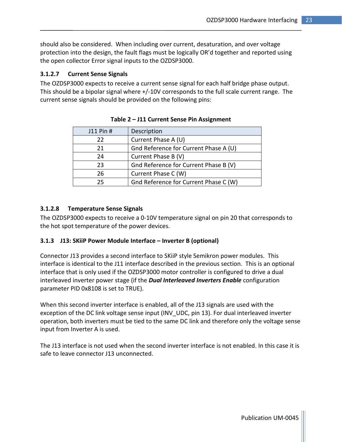should also be considered. When including over current, desaturation, and over voltage protection into the design, the fault flags must be logically OR'd together and reported using the open collector Error signal inputs to the OZDSP3000.

#### 3.1.2.7 Current Sense Signals

The OZDSP3000 expects to receive a current sense signal for each half bridge phase output. This should be a bipolar signal where +/-10V corresponds to the full scale current range. The current sense signals should be provided on the following pins:

| J11 Pin # | Description                           |
|-----------|---------------------------------------|
| 22        | Current Phase A (U)                   |
| 21        | Gnd Reference for Current Phase A (U) |
| 24        | Current Phase B (V)                   |
| 23        | Gnd Reference for Current Phase B (V) |
| 26        | Current Phase C (W)                   |
| 25        | Gnd Reference for Current Phase C (W) |

#### Table 2 – J11 Current Sense Pin Assignment

#### 3.1.2.8 Temperature Sense Signals

The OZDSP3000 expects to receive a 0-10V temperature signal on pin 20 that corresponds to the hot spot temperature of the power devices.

#### 3.1.3 J13: SKiiP Power Module Interface – Inverter B (optional)

Connector J13 provides a second interface to SKiiP style Semikron power modules. This interface is identical to the J11 interface described in the previous section. This is an optional interface that is only used if the OZDSP3000 motor controller is configured to drive a dual interleaved inverter power stage (if the **Dual Interleaved Inverters Enable** configuration parameter PID 0x8108 is set to TRUE).

When this second inverter interface is enabled, all of the J13 signals are used with the exception of the DC link voltage sense input (INV UDC, pin 13). For dual interleaved inverter operation, both inverters must be tied to the same DC link and therefore only the voltage sense input from Inverter A is used.

The J13 interface is not used when the second inverter interface is not enabled. In this case it is safe to leave connector J13 unconnected.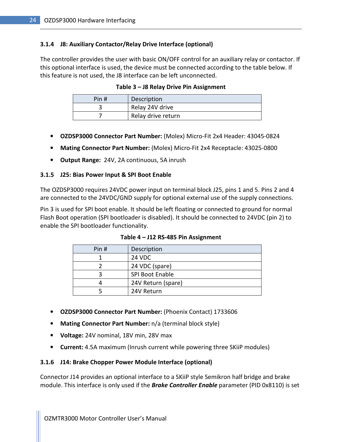#### 3.1.4 J8: Auxiliary Contactor/Relay Drive Interface (optional)

The controller provides the user with basic ON/OFF control for an auxiliary relay or contactor. If this optional interface is used, the device must be connected according to the table below. If this feature is not used, the J8 interface can be left unconnected.

| Pin # | Description        |
|-------|--------------------|
|       | Relay 24V drive    |
|       | Relay drive return |

Table 3 – J8 Relay Drive Pin Assignment

- OZDSP3000 Connector Part Number: (Molex) Micro-Fit 2x4 Header: 43045-0824
- Mating Connector Part Number: (Molex) Micro-Fit 2x4 Receptacle: 43025-0800
- Output Range: 24V, 2A continuous, 5A inrush

#### 3.1.5 J25: Bias Power Input & SPI Boot Enable

The OZDSP3000 requires 24VDC power input on terminal block J25, pins 1 and 5. Pins 2 and 4 are connected to the 24VDC/GND supply for optional external use of the supply connections.

Pin 3 is used for SPI boot enable. It should be left floating or connected to ground for normal Flash Boot operation (SPI bootloader is disabled). It should be connected to 24VDC (pin 2) to enable the SPI bootloader functionality.

| Pin# | Description        |
|------|--------------------|
|      | 24 VDC             |
|      | 24 VDC (spare)     |
|      | SPI Boot Enable    |
|      | 24V Return (spare) |
|      | 24V Return         |

Table 4 – J12 RS-485 Pin Assignment

- OZDSP3000 Connector Part Number: (Phoenix Contact) 1733606
- Mating Connector Part Number: n/a (terminal block style)
- Voltage: 24V nominal, 18V min, 28V max
- Current: 4.5A maximum (Inrush current while powering three SKiiP modules)

#### 3.1.6 J14: Brake Chopper Power Module Interface (optional)

Connector J14 provides an optional interface to a SKiiP style Semikron half bridge and brake module. This interface is only used if the **Brake Controller Enable** parameter (PID 0x8110) is set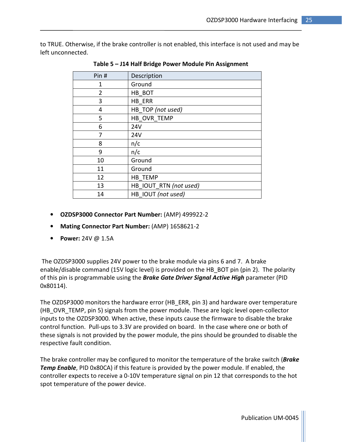to TRUE. Otherwise, if the brake controller is not enabled, this interface is not used and may be left unconnected.

| Pin# | Description            |
|------|------------------------|
| 1    | Ground                 |
| 2    | HB BOT                 |
| 3    | HB ERR                 |
| 4    | HB_TOP (not used)      |
| 5    | HB_OVR_TEMP            |
| 6    | 24V                    |
| 7    | 24V                    |
| 8    | n/c                    |
| 9    | n/c                    |
| 10   | Ground                 |
| 11   | Ground                 |
| 12   | HB TEMP                |
| 13   | HB_IOUT_RTN (not used) |
| 14   | HB IOUT (not used)     |

Table 5 – J14 Half Bridge Power Module Pin Assignment

- OZDSP3000 Connector Part Number: (AMP) 499922-2
- Mating Connector Part Number: (AMP) 1658621-2
- Power: 24V @ 1.5A

 The OZDSP3000 supplies 24V power to the brake module via pins 6 and 7. A brake enable/disable command (15V logic level) is provided on the HB\_BOT pin (pin 2). The polarity of this pin is programmable using the **Brake Gate Driver Signal Active High** parameter (PID 0x80114).

The OZDSP3000 monitors the hardware error (HB\_ERR, pin 3) and hardware over temperature (HB OVR TEMP, pin 5) signals from the power module. These are logic level open-collector inputs to the OZDSP3000. When active, these inputs cause the firmware to disable the brake control function. Pull-ups to 3.3V are provided on board. In the case where one or both of these signals is not provided by the power module, the pins should be grounded to disable the respective fault condition.

The brake controller may be configured to monitor the temperature of the brake switch (*Brake* **Temp Enable**, PID 0x80CA) if this feature is provided by the power module. If enabled, the controller expects to receive a 0-10V temperature signal on pin 12 that corresponds to the hot spot temperature of the power device.

Publication UM-0045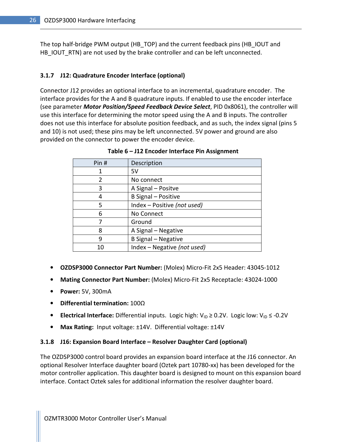The top half-bridge PWM output (HB\_TOP) and the current feedback pins (HB\_IOUT and HB\_IOUT\_RTN) are not used by the brake controller and can be left unconnected.

#### 3.1.7 J12: Quadrature Encoder Interface (optional)

Connector J12 provides an optional interface to an incremental, quadrature encoder. The interface provides for the A and B quadrature inputs. If enabled to use the encoder interface (see parameter Motor Position/Speed Feedback Device Select, PID 0x8061), the controller will use this interface for determining the motor speed using the A and B inputs. The controller does not use this interface for absolute position feedback, and as such, the index signal (pins 5 and 10) is not used; these pins may be left unconnected. 5V power and ground are also provided on the connector to power the encoder device.

| Pin# | Description                 |
|------|-----------------------------|
| 1    | 5V                          |
| 2    | No connect                  |
| 3    | A Signal - Positve          |
| 4    | B Signal - Positive         |
| 5    | Index - Positive (not used) |
| 6    | No Connect                  |
|      | Ground                      |
| 8    | A Signal - Negative         |
| 9    | B Signal - Negative         |
| 10   | Index - Negative (not used) |

Table 6 – J12 Encoder Interface Pin Assignment

- OZDSP3000 Connector Part Number: (Molex) Micro-Fit 2x5 Header: 43045-1012
- Mating Connector Part Number: (Molex) Micro-Fit 2x5 Receptacle: 43024-1000
- Power: 5V, 300mA
- Differential termination: 100Ω
- Electrical Interface: Differential inputs. Logic high:  $V_{ID} \ge 0.2V$ . Logic low:  $V_{ID} \le -0.2V$
- Max Rating: Input voltage: ±14V. Differential voltage: ±14V

#### 3.1.8 J16: Expansion Board Interface – Resolver Daughter Card (optional)

The OZDSP3000 control board provides an expansion board interface at the J16 connector. An optional Resolver Interface daughter board (Oztek part 10780-xx) has been developed for the motor controller application. This daughter board is designed to mount on this expansion board interface. Contact Oztek sales for additional information the resolver daughter board.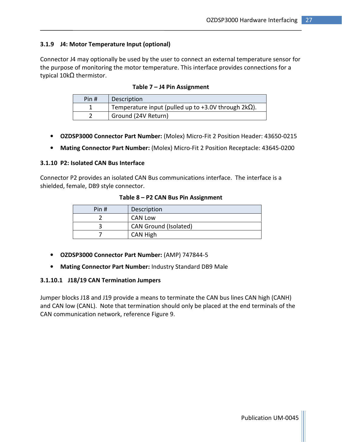### 3.1.9 J4: Motor Temperature Input (optional)

Connector J4 may optionally be used by the user to connect an external temperature sensor for the purpose of monitoring the motor temperature. This interface provides connections for a typical 10kΩ thermistor.

| Pin # | Description                                                 |
|-------|-------------------------------------------------------------|
|       | Temperature input (pulled up to +3.0V through $2k\Omega$ ). |
|       | Ground (24V Return)                                         |

#### Table 7 – J4 Pin Assignment

- OZDSP3000 Connector Part Number: (Molex) Micro-Fit 2 Position Header: 43650-0215
- Mating Connector Part Number: (Molex) Micro-Fit 2 Position Receptacle: 43645-0200

#### 3.1.10 P2: Isolated CAN Bus Interface

Connector P2 provides an isolated CAN Bus communications interface. The interface is a shielded, female, DB9 style connector.

#### Table 8 – P2 CAN Bus Pin Assignment

| Pin# | Description                  |
|------|------------------------------|
|      | <b>CAN Low</b>               |
|      | <b>CAN Ground (Isolated)</b> |
|      | CAN High                     |

- OZDSP3000 Connector Part Number: (AMP) 747844-5
- Mating Connector Part Number: Industry Standard DB9 Male

#### 3.1.10.1 J18/19 CAN Termination Jumpers

Jumper blocks J18 and J19 provide a means to terminate the CAN bus lines CAN high (CANH) and CAN low (CANL). Note that termination should only be placed at the end terminals of the CAN communication network, reference Figure 9.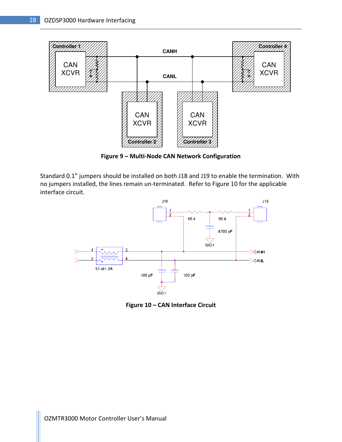

Figure 9 – Multi-Node CAN Network Configuration

Standard 0.1" jumpers should be installed on both J18 and J19 to enable the termination. With no jumpers installed, the lines remain un-terminated. Refer to Figure 10 for the applicable interface circuit.



Figure 10 – CAN Interface Circuit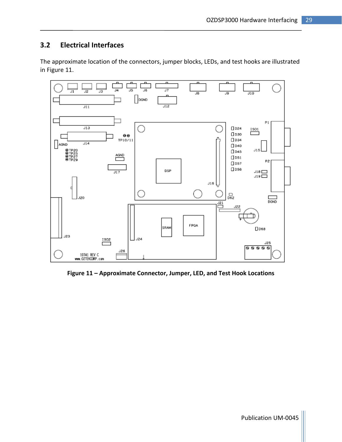# 3.2 Electrical Interfaces

The approximate location of the connectors, jumper blocks, LEDs, and test hooks are illustrated in Figure 11.



Figure 11 – Approximate Connector, Jumper, LED, and Test Hook Locations

Publication UM-0045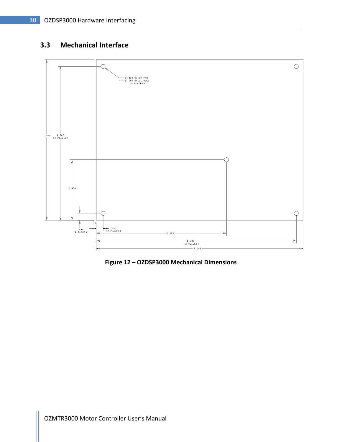# 3.3 Mechanical Interface



Figure 12 – OZDSP3000 Mechanical Dimensions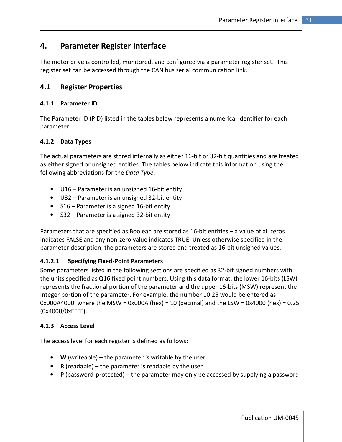# 4. Parameter Register Interface

The motor drive is controlled, monitored, and configured via a parameter register set. This register set can be accessed through the CAN bus serial communication link.

# 4.1 Register Properties

### 4.1.1 Parameter ID

The Parameter ID (PID) listed in the tables below represents a numerical identifier for each parameter.

# 4.1.2 Data Types

The actual parameters are stored internally as either 16-bit or 32-bit quantities and are treated as either signed or unsigned entities. The tables below indicate this information using the following abbreviations for the Data Type:

- U16 Parameter is an unsigned 16-bit entity
- U32 Parameter is an unsigned 32-bit entity
- S16 Parameter is a signed 16-bit entity
- S32 Parameter is a signed 32-bit entity

Parameters that are specified as Boolean are stored as 16-bit entities – a value of all zeros indicates FALSE and any non-zero value indicates TRUE. Unless otherwise specified in the parameter description, the parameters are stored and treated as 16-bit unsigned values.

# 4.1.2.1 Specifying Fixed-Point Parameters

Some parameters listed in the following sections are specified as 32-bit signed numbers with the units specified as Q16 fixed point numbers. Using this data format, the lower 16-bits (LSW) represents the fractional portion of the parameter and the upper 16-bits (MSW) represent the integer portion of the parameter. For example, the number 10.25 would be entered as 0x000A4000, where the MSW = 0x000A (hex) = 10 (decimal) and the LSW = 0x4000 (hex) = 0.25 (0x4000/0xFFFF).

# 4.1.3 Access Level

The access level for each register is defined as follows:

- **W** (writeable) the parameter is writable by the user
- R (readable) the parameter is readable by the user
- P (password-protected) the parameter may only be accessed by supplying a password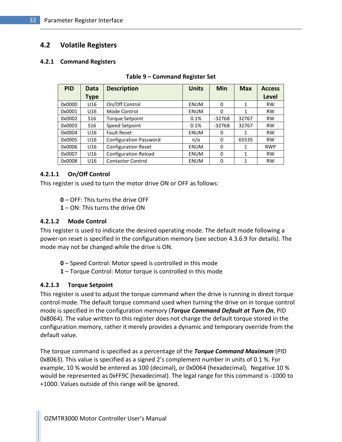# 4.2 Volatile Registers

#### 4.2.1 Command Registers

| <b>PID</b> | Data            | <b>Description</b>            | <b>Units</b> | Min      | <b>Max</b> | <b>Access</b> |
|------------|-----------------|-------------------------------|--------------|----------|------------|---------------|
|            | <b>Type</b>     |                               |              |          |            | <b>Level</b>  |
| 0x0000     | U16             | On/Off Control                | <b>ENUM</b>  | 0        | 1          | <b>RW</b>     |
| 0x0001     | U <sub>16</sub> | Mode Control                  | ENUM         | 0        | 1          | <b>RW</b>     |
| 0x0002     | S <sub>16</sub> | <b>Torque Setpoint</b>        | 0.1%         | $-32768$ | 32767      | <b>RW</b>     |
| 0x0003     | S <sub>16</sub> | Speed Setpoint                | 0.1%         | $-32768$ | 32767      | <b>RW</b>     |
| 0x0004     | U <sub>16</sub> | <b>Fault Reset</b>            | <b>ENUM</b>  | 0        | 1          | <b>RW</b>     |
| 0x0005     | U <sub>16</sub> | <b>Configuration Password</b> | n/a          | 0        | 65535      | <b>RW</b>     |
| 0x0006     | U16             | <b>Configuration Reset</b>    | <b>ENUM</b>  | $\Omega$ | 1          | <b>RWP</b>    |
| 0x0007     | U16             | <b>Configuration Reload</b>   | <b>ENUM</b>  | $\Omega$ | 1          | <b>RW</b>     |
| 0x0008     | U16             | <b>Contactor Control</b>      | <b>ENUM</b>  | 0        | 1          | <b>RW</b>     |

#### Table 9 – Command Register Set

#### 4.2.1.1 On/Off Control

This register is used to turn the motor drive ON or OFF as follows:

- 0 OFF: This turns the drive OFF
- 1 ON: This turns the drive ON

#### 4.2.1.2 Mode Control

This register is used to indicate the desired operating mode. The default mode following a power-on reset is specified in the configuration memory (see section 4.3.6.9 for details). The mode may not be changed while the drive is ON.

- 0 Speed Control: Motor speed is controlled in this mode
- 1 Torque Control: Motor torque is controlled in this mode

#### 4.2.1.3 Torque Setpoint

This register is used to adjust the torque command when the drive is running in direct torque control mode. The default torque command used when turning the drive on in torque control mode is specified in the configuration memory (Torque Command Default at Turn On, PID 0x8064). The value written to this register does not change the default torque stored in the configuration memory, rather it merely provides a dynamic and temporary override from the default value.

The torque command is specified as a percentage of the Torque Command Maximum (PID 0x8063). This value is specified as a signed 2's complement number in units of 0.1 %. For example, 10 % would be entered as 100 (decimal), or 0x0064 (hexadecimal). Negative 10 % would be represented as 0xFF9C (hexadecimal). The legal range for this command is -1000 to +1000. Values outside of this range will be ignored.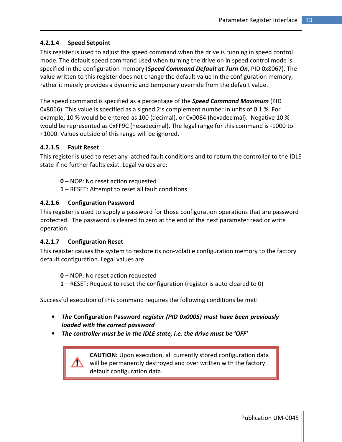# 4.2.1.4 Speed Setpoint

This register is used to adjust the speed command when the drive is running in speed control mode. The default speed command used when turning the drive on in speed control mode is specified in the configuration memory (Speed Command Default at Turn On, PID 0x8067). The value written to this register does not change the default value in the configuration memory, rather it merely provides a dynamic and temporary override from the default value.

The speed command is specified as a percentage of the **Speed Command Maximum** (PID 0x8066). This value is specified as a signed 2's complement number in units of 0.1 %. For example, 10 % would be entered as 100 (decimal), or 0x0064 (hexadecimal). Negative 10 % would be represented as 0xFF9C (hexadecimal). The legal range for this command is -1000 to +1000. Values outside of this range will be ignored.

### 4.2.1.5 Fault Reset

This register is used to reset any latched fault conditions and to return the controller to the IDLE state if no further faults exist. Legal values are:

- 0 NOP: No reset action requested
- 1 RESET: Attempt to reset all fault conditions

#### 4.2.1.6 Configuration Password

This register is used to supply a password for those configuration operations that are password protected. The password is cleared to zero at the end of the next parameter read or write operation.

#### 4.2.1.7 Configuration Reset

This register causes the system to restore its non-volatile configuration memory to the factory default configuration. Legal values are:

0 – NOP: No reset action requested

1 – RESET: Request to reset the configuration (register is auto cleared to 0)

Successful execution of this command requires the following conditions be met:

- The Configuration Password register (PID 0x0005) must have been previously loaded with the correct password
- The controller must be in the IDLE state, i.e. the drive must be 'OFF'

CAUTION: Upon execution, all currently stored configuration data will be permanently destroyed and over written with the factory default configuration data.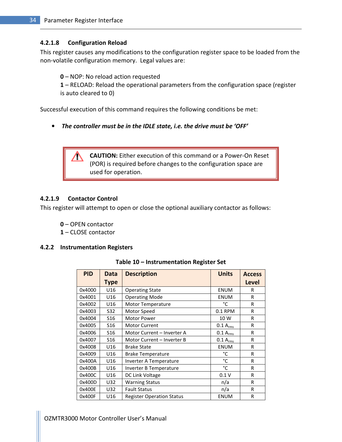#### 4.2.1.8 Configuration Reload

This register causes any modifications to the configuration register space to be loaded from the non-volatile configuration memory. Legal values are:

0 – NOP: No reload action requested

1 – RELOAD: Reload the operational parameters from the configuration space (register is auto cleared to 0)

Successful execution of this command requires the following conditions be met:

• The controller must be in the IDLE state, i.e. the drive must be 'OFF'

CAUTION: Either execution of this command or a Power-On Reset (POR) is required before changes to the configuration space are used for operation.

#### 4.2.1.9 Contactor Control

This register will attempt to open or close the optional auxiliary contactor as follows:

- 0 OPEN contactor
- 1 CLOSE contactor

#### 4.2.2 Instrumentation Registers

| <b>PID</b> | Data            | <b>Description</b>               | <b>Units</b>  | <b>Access</b> |
|------------|-----------------|----------------------------------|---------------|---------------|
|            | <b>Type</b>     |                                  |               | Level         |
| 0x4000     | U16             | <b>Operating State</b>           | <b>ENUM</b>   | R             |
| 0x4001     | U16             | <b>Operating Mode</b>            | <b>ENUM</b>   | R             |
| 0x4002     | U16             | Motor Temperature                | °C            | R             |
| 0x4003     | S32             | Motor Speed                      | 0.1 RPM       | R             |
| 0x4004     | S <sub>16</sub> | <b>Motor Power</b>               | 10 W          | R             |
| 0x4005     | S <sub>16</sub> | <b>Motor Current</b>             | $0.1 A_{rms}$ | R             |
| 0x4006     | S <sub>16</sub> | Motor Current - Inverter A       | $0.1 A_{rms}$ | R             |
| 0x4007     | S <sub>16</sub> | Motor Current - Inverter B       | $0.1 A_{rms}$ | $\mathsf{R}$  |
| 0x4008     | U16             | <b>Brake State</b>               | <b>ENUM</b>   | R             |
| 0x4009     | U16             | <b>Brake Temperature</b>         | °C            | R             |
| 0x400A     | U16             | Inverter A Temperature           | °C            | R             |
| 0x400B     | U16             | Inverter B Temperature           | °C            | R             |
| 0x400C     | U16             | DC Link Voltage                  | 0.1V          | R             |
| 0x400D     | U32             | <b>Warning Status</b>            | n/a           | R             |
| 0x400E     | U32             | <b>Fault Status</b>              | n/a           | R             |
| 0x400F     | U16             | <b>Register Operation Status</b> | <b>ENUM</b>   | R             |

#### Table 10 – Instrumentation Register Set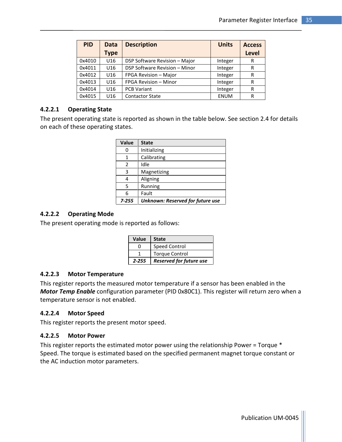| <b>PID</b> | Data        | <b>Description</b>            | <b>Units</b> | <b>Access</b> |
|------------|-------------|-------------------------------|--------------|---------------|
|            | <b>Type</b> |                               |              | <b>Level</b>  |
| 0x4010     | U16         | DSP Software Revision - Major | Integer      | R             |
| 0x4011     | U16         | DSP Software Revision - Minor | Integer      | R             |
| 0x4012     | U16         | FPGA Revision - Major         | Integer      | R             |
| 0x4013     | U16         | FPGA Revision - Minor         | Integer      | R             |
| 0x4014     | U16         | <b>PCB Variant</b>            | Integer      | R             |
| 0x4015     | U16         | <b>Contactor State</b>        | <b>ENUM</b>  | R             |

### 4.2.2.1 Operating State

The present operating state is reported as shown in the table below. See section 2.4 for details on each of these operating states.

| <b>Value</b> | <b>State</b>                     |
|--------------|----------------------------------|
| 0            | Initializing                     |
| 1            | Calibrating                      |
| 2            | Idle                             |
| 3            | Magnetizing                      |
| 4            | Aligning                         |
| 5            | Running                          |
| 6            | Fault                            |
| $7 - 255$    | Unknown: Reserved for future use |

### 4.2.2.2 Operating Mode

The present operating mode is reported as follows:

| Value        | <b>State</b>                   |
|--------------|--------------------------------|
| $\mathbf{I}$ | Speed Control                  |
|              | <b>Torque Control</b>          |
| 2-255        | <b>Reserved for future use</b> |

### 4.2.2.3 Motor Temperature

This register reports the measured motor temperature if a sensor has been enabled in the Motor Temp Enable configuration parameter (PID 0x80C1). This register will return zero when a temperature sensor is not enabled.

### 4.2.2.4 Motor Speed

This register reports the present motor speed.

### 4.2.2.5 Motor Power

This register reports the estimated motor power using the relationship Power = Torque \* Speed. The torque is estimated based on the specified permanent magnet torque constant or the AC induction motor parameters.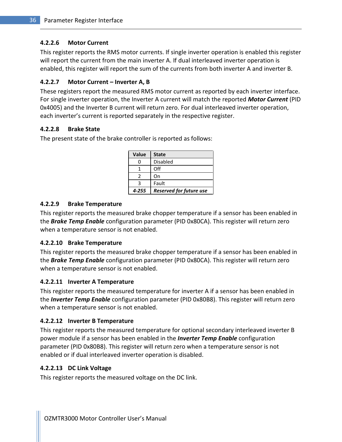# 4.2.2.6 Motor Current

This register reports the RMS motor currents. If single inverter operation is enabled this register will report the current from the main inverter A. If dual interleaved inverter operation is enabled, this register will report the sum of the currents from both inverter A and inverter B.

# 4.2.2.7 Motor Current – Inverter A, B

These registers report the measured RMS motor current as reported by each inverter interface. For single inverter operation, the Inverter A current will match the reported **Motor Current** (PID 0x4005) and the Inverter B current will return zero. For dual interleaved inverter operation, each inverter's current is reported separately in the respective register.

# 4.2.2.8 Brake State

The present state of the brake controller is reported as follows:

| <b>Value</b> | <b>State</b>                   |
|--------------|--------------------------------|
| ი            | <b>Disabled</b>                |
|              | Off                            |
|              | On                             |
|              | Fault                          |
| 4-255        | <b>Reserved for future use</b> |

# 4.2.2.9 Brake Temperature

This register reports the measured brake chopper temperature if a sensor has been enabled in the **Brake Temp Enable** configuration parameter (PID 0x80CA). This register will return zero when a temperature sensor is not enabled.

# 4.2.2.10 Brake Temperature

This register reports the measured brake chopper temperature if a sensor has been enabled in the **Brake Temp Enable** configuration parameter (PID 0x80CA). This register will return zero when a temperature sensor is not enabled.

# 4.2.2.11 Inverter A Temperature

This register reports the measured temperature for inverter A if a sensor has been enabled in the *Inverter Temp Enable* configuration parameter (PID 0x80B8). This register will return zero when a temperature sensor is not enabled.

# 4.2.2.12 Inverter B Temperature

This register reports the measured temperature for optional secondary interleaved inverter B power module if a sensor has been enabled in the *Inverter Temp Enable* configuration parameter (PID 0x80B8). This register will return zero when a temperature sensor is not enabled or if dual interleaved inverter operation is disabled.

### 4.2.2.13 DC Link Voltage

This register reports the measured voltage on the DC link.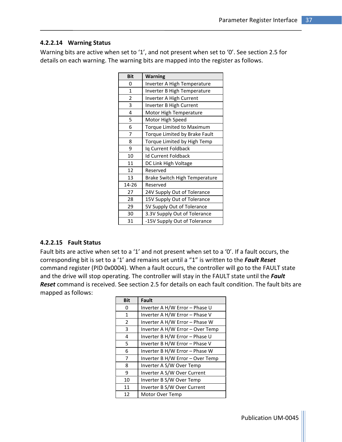### 4.2.2.14 Warning Status

Warning bits are active when set to '1', and not present when set to '0'. See section 2.5 for details on each warning. The warning bits are mapped into the register as follows.

| <b>Bit</b>   | <b>Warning</b>                       |
|--------------|--------------------------------------|
| 0            | Inverter A High Temperature          |
| $\mathbf{1}$ | Inverter B High Temperature          |
| 2            | Inverter A High Current              |
| 3            | Inverter B High Current              |
| 4            | Motor High Temperature               |
| 5            | Motor High Speed                     |
| 6            | Torque Limited to Maximum            |
| 7            | Torque Limited by Brake Fault        |
| 8            | Torque Limited by High Temp          |
| 9            | Iq Current Foldback                  |
| 10           | <b>Id Current Foldback</b>           |
| 11           | DC Link High Voltage                 |
| 12           | Reserved                             |
| 13           | <b>Brake Switch High Temperature</b> |
| 14-26        | Reserved                             |
| 27           | 24V Supply Out of Tolerance          |
| 28           | 15V Supply Out of Tolerance          |
| 29           | 5V Supply Out of Tolerance           |
| 30           | 3.3V Supply Out of Tolerance         |
| 31           | -15V Supply Out of Tolerance         |

### 4.2.2.15 Fault Status

Fault bits are active when set to a '1' and not present when set to a '0'. If a fault occurs, the corresponding bit is set to a '1' and remains set until a "1" is written to the Fault Reset command register (PID 0x0004). When a fault occurs, the controller will go to the FAULT state and the drive will stop operating. The controller will stay in the FAULT state until the Fault Reset command is received. See section 2.5 for details on each fault condition. The fault bits are mapped as follows:

| <b>Bit</b>    | <b>Fault</b>                     |
|---------------|----------------------------------|
| 0             | Inverter A H/W Error - Phase U   |
| 1             | Inverter A H/W Error - Phase V   |
| $\mathcal{P}$ | Inverter A H/W Error - Phase W   |
| 3             | Inverter A H/W Error – Over Temp |
| 4             | Inverter B H/W Error - Phase U   |
| 5             | Inverter B H/W Error - Phase V   |
| 6             | Inverter B H/W Error - Phase W   |
| 7             | Inverter B H/W Error - Over Temp |
| 8             | Inverter A S/W Over Temp         |
| 9             | Inverter A S/W Over Current      |
| 10            | Inverter B S/W Over Temp         |
| 11            | Inverter B S/W Over Current      |
| 12            | Motor Over Temp                  |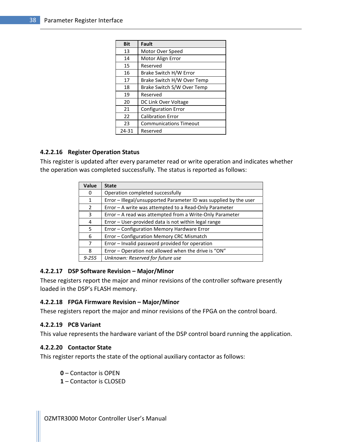| <b>Bit</b> | <b>Fault</b>                  |
|------------|-------------------------------|
| 13         | Motor Over Speed              |
| 14         | Motor Align Error             |
| 15         | Reserved                      |
| 16         | Brake Switch H/W Error        |
| 17         | Brake Switch H/W Over Temp    |
| 18         | Brake Switch S/W Over Temp    |
| 19         | Reserved                      |
| 20         | DC Link Over Voltage          |
| 21         | <b>Configuration Error</b>    |
| 22         | <b>Calibration Error</b>      |
| 23         | <b>Communications Timeout</b> |
| 24-31      | Reserved                      |

#### 4.2.2.16 Register Operation Status

This register is updated after every parameter read or write operation and indicates whether the operation was completed successfully. The status is reported as follows:

| Value          | <b>State</b>                                                      |
|----------------|-------------------------------------------------------------------|
| 0              | Operation completed successfully                                  |
| $\mathbf{1}$   | Error - Illegal/unsupported Parameter ID was supplied by the user |
| $\overline{2}$ | Error – A write was attempted to a Read-Only Parameter            |
| 3              | Error - A read was attempted from a Write-Only Parameter          |
| 4              | Error - User-provided data is not within legal range              |
| 5              | Error - Configuration Memory Hardware Error                       |
| 6              | Error - Configuration Memory CRC Mismatch                         |
| 7              | Error - Invalid password provided for operation                   |
| 8              | Error - Operation not allowed when the drive is "ON"              |
| $9 - 255$      | Unknown: Reserved for future use                                  |

#### 4.2.2.17 DSP Software Revision – Major/Minor

These registers report the major and minor revisions of the controller software presently loaded in the DSP's FLASH memory.

#### 4.2.2.18 FPGA Firmware Revision – Major/Minor

These registers report the major and minor revisions of the FPGA on the control board.

#### 4.2.2.19 PCB Variant

This value represents the hardware variant of the DSP control board running the application.

#### 4.2.2.20 Contactor State

This register reports the state of the optional auxiliary contactor as follows:

- 0 Contactor is OPEN
- 1 Contactor is CLOSED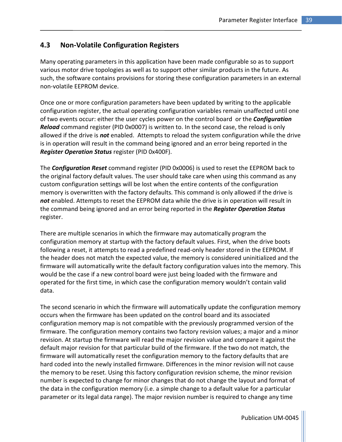# 4.3 Non-Volatile Configuration Registers

Many operating parameters in this application have been made configurable so as to support various motor drive topologies as well as to support other similar products in the future. As such, the software contains provisions for storing these configuration parameters in an external non-volatile EEPROM device.

Once one or more configuration parameters have been updated by writing to the applicable configuration register, the actual operating configuration variables remain unaffected until one of two events occur: either the user cycles power on the control board or the **Configuration** Reload command register (PID 0x0007) is written to. In the second case, the reload is only allowed if the drive is not enabled. Attempts to reload the system configuration while the drive is in operation will result in the command being ignored and an error being reported in the Register Operation Status register (PID 0x400F).

The **Configuration Reset** command register (PID 0x0006) is used to reset the EEPROM back to the original factory default values. The user should take care when using this command as any custom configuration settings will be lost when the entire contents of the configuration memory is overwritten with the factory defaults. This command is only allowed if the drive is not enabled. Attempts to reset the EEPROM data while the drive is in operation will result in the command being ignored and an error being reported in the Register Operation Status register.

There are multiple scenarios in which the firmware may automatically program the configuration memory at startup with the factory default values. First, when the drive boots following a reset, it attempts to read a predefined read-only header stored in the EEPROM. If the header does not match the expected value, the memory is considered uninitialized and the firmware will automatically write the default factory configuration values into the memory. This would be the case if a new control board were just being loaded with the firmware and operated for the first time, in which case the configuration memory wouldn't contain valid data.

The second scenario in which the firmware will automatically update the configuration memory occurs when the firmware has been updated on the control board and its associated configuration memory map is not compatible with the previously programmed version of the firmware. The configuration memory contains two factory revision values; a major and a minor revision. At startup the firmware will read the major revision value and compare it against the default major revision for that particular build of the firmware. If the two do not match, the firmware will automatically reset the configuration memory to the factory defaults that are hard coded into the newly installed firmware. Differences in the minor revision will not cause the memory to be reset. Using this factory configuration revision scheme, the minor revision number is expected to change for minor changes that do not change the layout and format of the data in the configuration memory (i.e. a simple change to a default value for a particular parameter or its legal data range). The major revision number is required to change any time

Publication UM-0045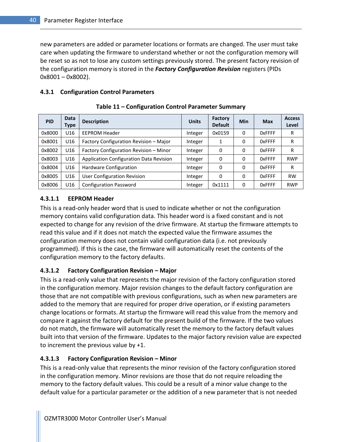new parameters are added or parameter locations or formats are changed. The user must take care when updating the firmware to understand whether or not the configuration memory will be reset so as not to lose any custom settings previously stored. The present factory revision of the configuration memory is stored in the **Factory Configuration Revision** registers (PIDs 0x8001 – 0x8002).

### 4.3.1 Configuration Control Parameters

| <b>PID</b> | Data<br>Type | <b>Description</b>                      | <b>Units</b> | <b>Factory</b><br><b>Default</b> | <b>Min</b> | <b>Max</b>    | <b>Access</b><br>Level |
|------------|--------------|-----------------------------------------|--------------|----------------------------------|------------|---------------|------------------------|
| 0x8000     | U16          | <b>EEPROM Header</b>                    | Integer      | 0x0159                           | 0          | <b>OxFFFF</b> | R                      |
| 0x8001     | U16          | Factory Configuration Revision - Major  | Integer      | 1                                | $\Omega$   | <b>OxFFFF</b> | R                      |
| 0x8002     | U16          | Factory Configuration Revision - Minor  | Integer      | 0                                | $\Omega$   | 0xFFFF        | R                      |
| 0x8003     | U16          | Application Configuration Data Revision | Integer      | 0                                | 0          | <b>OxFFFF</b> | <b>RWP</b>             |
| 0x8004     | U16          | Hardware Configuration                  | Integer      | 0                                | 0          | <b>OxFFFF</b> | R                      |
| 0x8005     | U16          | User Configuration Revision             | Integer      | 0                                | 0          | <b>OxFFFF</b> | <b>RW</b>              |
| 0x8006     | U16          | <b>Configuration Password</b>           | Integer      | 0x1111                           | 0          | <b>OxFFFF</b> | <b>RWP</b>             |

Table 11 – Configuration Control Parameter Summary

### 4.3.1.1 EEPROM Header

This is a read-only header word that is used to indicate whether or not the configuration memory contains valid configuration data. This header word is a fixed constant and is not expected to change for any revision of the drive firmware. At startup the firmware attempts to read this value and if it does not match the expected value the firmware assumes the configuration memory does not contain valid configuration data (i.e. not previously programmed). If this is the case, the firmware will automatically reset the contents of the configuration memory to the factory defaults.

# 4.3.1.2 Factory Configuration Revision – Major

This is a read-only value that represents the major revision of the factory configuration stored in the configuration memory. Major revision changes to the default factory configuration are those that are not compatible with previous configurations, such as when new parameters are added to the memory that are required for proper drive operation, or if existing parameters change locations or formats. At startup the firmware will read this value from the memory and compare it against the factory default for the present build of the firmware. If the two values do not match, the firmware will automatically reset the memory to the factory default values built into that version of the firmware. Updates to the major factory revision value are expected to increment the previous value by +1.

# 4.3.1.3 Factory Configuration Revision – Minor

This is a read-only value that represents the minor revision of the factory configuration stored in the configuration memory. Minor revisions are those that do not require reloading the memory to the factory default values. This could be a result of a minor value change to the default value for a particular parameter or the addition of a new parameter that is not needed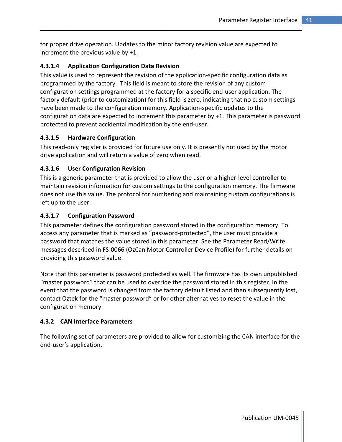for proper drive operation. Updates to the minor factory revision value are expected to increment the previous value by +1.

### 4.3.1.4 Application Configuration Data Revision

This value is used to represent the revision of the application-specific configuration data as programmed by the factory. This field is meant to store the revision of any custom configuration settings programmed at the factory for a specific end-user application. The factory default (prior to customization) for this field is zero, indicating that no custom settings have been made to the configuration memory. Application-specific updates to the configuration data are expected to increment this parameter by +1. This parameter is password protected to prevent accidental modification by the end-user.

### 4.3.1.5 Hardware Configuration

This read-only register is provided for future use only. It is presently not used by the motor drive application and will return a value of zero when read.

# 4.3.1.6 User Configuration Revision

This is a generic parameter that is provided to allow the user or a higher-level controller to maintain revision information for custom settings to the configuration memory. The firmware does not use this value. The protocol for numbering and maintaining custom configurations is left up to the user.

### 4.3.1.7 Configuration Password

This parameter defines the configuration password stored in the configuration memory. To access any parameter that is marked as "password-protected", the user must provide a password that matches the value stored in this parameter. See the Parameter Read/Write messages described in FS-0066 (OzCan Motor Controller Device Profile) for further details on providing this password value.

Note that this parameter is password protected as well. The firmware has its own unpublished "master password" that can be used to override the password stored in this register. In the event that the password is changed from the factory default listed and then subsequently lost, contact Oztek for the "master password" or for other alternatives to reset the value in the configuration memory.

### 4.3.2 CAN Interface Parameters

The following set of parameters are provided to allow for customizing the CAN interface for the end-user's application.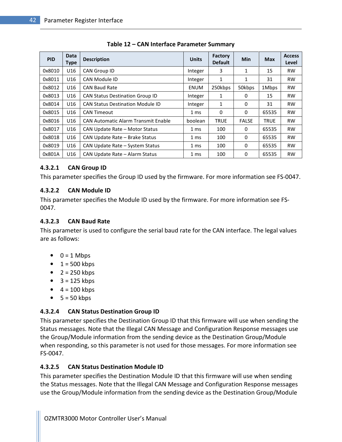| <b>PID</b> | <b>Data</b><br><b>Type</b> | <b>Description</b>                         | <b>Units</b> | <b>Factory</b><br><b>Default</b> | <b>Min</b>   | <b>Max</b>  | <b>Access</b><br>Level |
|------------|----------------------------|--------------------------------------------|--------------|----------------------------------|--------------|-------------|------------------------|
| 0x8010     | U16                        | <b>CAN Group ID</b>                        | Integer      | 3                                | 1            | 15          | <b>RW</b>              |
| 0x8011     | U16                        | CAN Module ID                              | Integer      | 1                                | 1            | 31          | <b>RW</b>              |
| 0x8012     | U16                        | <b>CAN Baud Rate</b>                       | <b>ENUM</b>  | 250kbps                          | 50kbps       | 1Mbps       | <b>RW</b>              |
| 0x8013     | U16                        | <b>CAN Status Destination Group ID</b>     | Integer      | 1                                | 0            | 15          | <b>RW</b>              |
| 0x8014     | U16                        | <b>CAN Status Destination Module ID</b>    | Integer      | 1                                | 0            | 31          | <b>RW</b>              |
| 0x8015     | U16                        | CAN Timeout                                | 1 ms         | $\Omega$                         | 0            | 65535       | <b>RW</b>              |
| 0x8016     | U16                        | <b>CAN Automatic Alarm Transmit Enable</b> | boolean      | <b>TRUE</b>                      | <b>FALSE</b> | <b>TRUE</b> | <b>RW</b>              |
| 0x8017     | U16                        | CAN Update Rate - Motor Status             | 1 ms         | 100                              | 0            | 65535       | <b>RW</b>              |
| 0x8018     | U16                        | CAN Update Rate - Brake Status             | 1 ms         | 100                              | 0            | 65535       | <b>RW</b>              |
| 0x8019     | U16                        | CAN Update Rate - System Status            | 1 ms         | 100                              | 0            | 65535       | <b>RW</b>              |
| 0x801A     | U16                        | CAN Update Rate - Alarm Status             | 1 ms         | 100                              | 0            | 65535       | <b>RW</b>              |

Table 12 – CAN Interface Parameter Summary

### 4.3.2.1 CAN Group ID

This parameter specifies the Group ID used by the firmware. For more information see FS-0047.

### 4.3.2.2 CAN Module ID

This parameter specifies the Module ID used by the firmware. For more information see FS-0047.

### 4.3.2.3 CAN Baud Rate

This parameter is used to configure the serial baud rate for the CAN interface. The legal values are as follows:

- $\bullet$  0 = 1 Mbps
- $\bullet$  1 = 500 kbps
- $\bullet$  2 = 250 kbps
- $\bullet$  3 = 125 kbps
- $\bullet$  4 = 100 kbps
- $-5 = 50$  kbps

# 4.3.2.4 CAN Status Destination Group ID

This parameter specifies the Destination Group ID that this firmware will use when sending the Status messages. Note that the Illegal CAN Message and Configuration Response messages use the Group/Module information from the sending device as the Destination Group/Module when responding, so this parameter is not used for those messages. For more information see FS-0047.

# 4.3.2.5 CAN Status Destination Module ID

This parameter specifies the Destination Module ID that this firmware will use when sending the Status messages. Note that the Illegal CAN Message and Configuration Response messages use the Group/Module information from the sending device as the Destination Group/Module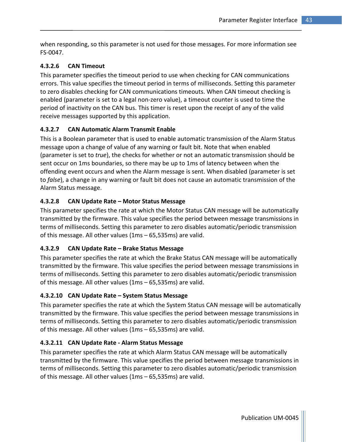when responding, so this parameter is not used for those messages. For more information see FS-0047.

# 4.3.2.6 CAN Timeout

This parameter specifies the timeout period to use when checking for CAN communications errors. This value specifies the timeout period in terms of milliseconds. Setting this parameter to zero disables checking for CAN communications timeouts. When CAN timeout checking is enabled (parameter is set to a legal non-zero value), a timeout counter is used to time the period of inactivity on the CAN bus. This timer is reset upon the receipt of any of the valid receive messages supported by this application.

# 4.3.2.7 CAN Automatic Alarm Transmit Enable

This is a Boolean parameter that is used to enable automatic transmission of the Alarm Status message upon a change of value of any warning or fault bit. Note that when enabled (parameter is set to *true*), the checks for whether or not an automatic transmission should be sent occur on 1ms boundaries, so there may be up to 1ms of latency between when the offending event occurs and when the Alarm message is sent. When disabled (parameter is set to false), a change in any warning or fault bit does not cause an automatic transmission of the Alarm Status message.

# 4.3.2.8 CAN Update Rate – Motor Status Message

This parameter specifies the rate at which the Motor Status CAN message will be automatically transmitted by the firmware. This value specifies the period between message transmissions in terms of milliseconds. Setting this parameter to zero disables automatic/periodic transmission of this message. All other values (1ms – 65,535ms) are valid.

# 4.3.2.9 CAN Update Rate – Brake Status Message

This parameter specifies the rate at which the Brake Status CAN message will be automatically transmitted by the firmware. This value specifies the period between message transmissions in terms of milliseconds. Setting this parameter to zero disables automatic/periodic transmission of this message. All other values (1ms – 65,535ms) are valid.

# 4.3.2.10 CAN Update Rate – System Status Message

This parameter specifies the rate at which the System Status CAN message will be automatically transmitted by the firmware. This value specifies the period between message transmissions in terms of milliseconds. Setting this parameter to zero disables automatic/periodic transmission of this message. All other values (1ms – 65,535ms) are valid.

# 4.3.2.11 CAN Update Rate - Alarm Status Message

This parameter specifies the rate at which Alarm Status CAN message will be automatically transmitted by the firmware. This value specifies the period between message transmissions in terms of milliseconds. Setting this parameter to zero disables automatic/periodic transmission of this message. All other values (1ms – 65,535ms) are valid.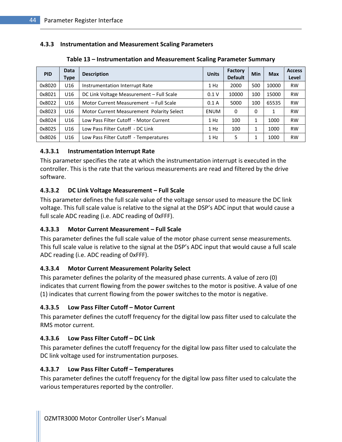### 4.3.3 Instrumentation and Measurement Scaling Parameters

| <b>PID</b> | <b>Data</b><br>Type | <b>Description</b>                        | <b>Units</b> | <b>Factory</b><br><b>Default</b> | Min      | <b>Max</b> | <b>Access</b><br>Level |
|------------|---------------------|-------------------------------------------|--------------|----------------------------------|----------|------------|------------------------|
| 0x8020     | U16                 | Instrumentation Interrupt Rate            | 1 Hz         | 2000                             | 500      | 10000      | <b>RW</b>              |
| 0x8021     | U16                 | DC Link Voltage Measurement - Full Scale  | 0.1V         | 10000                            | 100      | 15000      | <b>RW</b>              |
| 0x8022     | U <sub>16</sub>     | Motor Current Measurement - Full Scale    | 0.1A         | 5000                             | 100      | 65535      | <b>RW</b>              |
| 0x8023     | U16                 | Motor Current Measurement Polarity Select | <b>ENUM</b>  | 0                                | $\Omega$ | 1          | <b>RW</b>              |
| 0x8024     | U16                 | Low Pass Filter Cutoff - Motor Current    | 1 Hz         | 100                              | 1        | 1000       | <b>RW</b>              |
| 0x8025     | U <sub>16</sub>     | Low Pass Filter Cutoff - DC Link          | 1 Hz         | 100                              | 1        | 1000       | <b>RW</b>              |
| 0x8026     | U16                 | Low Pass Filter Cutoff - Temperatures     | 1 Hz         | 5                                |          | 1000       | <b>RW</b>              |

### Table 13 – Instrumentation and Measurement Scaling Parameter Summary

# 4.3.3.1 Instrumentation Interrupt Rate

This parameter specifies the rate at which the instrumentation interrupt is executed in the controller. This is the rate that the various measurements are read and filtered by the drive software.

### 4.3.3.2 DC Link Voltage Measurement – Full Scale

This parameter defines the full scale value of the voltage sensor used to measure the DC link voltage. This full scale value is relative to the signal at the DSP's ADC input that would cause a full scale ADC reading (i.e. ADC reading of 0xFFF).

# 4.3.3.3 Motor Current Measurement – Full Scale

This parameter defines the full scale value of the motor phase current sense measurements. This full scale value is relative to the signal at the DSP's ADC input that would cause a full scale ADC reading (i.e. ADC reading of 0xFFF).

# 4.3.3.4 Motor Current Measurement Polarity Select

This parameter defines the polarity of the measured phase currents. A value of zero (0) indicates that current flowing from the power switches to the motor is positive. A value of one (1) indicates that current flowing from the power switches to the motor is negative.

# 4.3.3.5 Low Pass Filter Cutoff – Motor Current

This parameter defines the cutoff frequency for the digital low pass filter used to calculate the RMS motor current.

# 4.3.3.6 Low Pass Filter Cutoff – DC Link

This parameter defines the cutoff frequency for the digital low pass filter used to calculate the DC link voltage used for instrumentation purposes.

### 4.3.3.7 Low Pass Filter Cutoff – Temperatures

This parameter defines the cutoff frequency for the digital low pass filter used to calculate the various temperatures reported by the controller.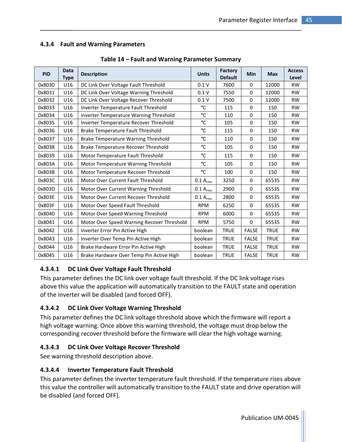### 4.3.4 Fault and Warning Parameters

| <b>PID</b> | <b>Data</b><br><b>Type</b> | <b>Description</b>                         | <b>Units</b>         | <b>Factory</b><br><b>Default</b> | Min          | <b>Max</b>  | <b>Access</b><br>Level |
|------------|----------------------------|--------------------------------------------|----------------------|----------------------------------|--------------|-------------|------------------------|
| 0x8030     | U16                        | DC Link Over Voltage Fault Threshold       | 0.1V                 | 7600                             | $\mathbf 0$  | 12000       | <b>RW</b>              |
| 0x8031     | U16                        | DC Link Over Voltage Warning Threshold     | 0.1V                 | 7550                             | 0            | 12000       | <b>RW</b>              |
| 0x8032     | U16                        | DC Link Over Voltage Recover Threshold     | 0.1V                 | 7500                             | $\Omega$     | 12000       | <b>RW</b>              |
| 0x8033     | U16                        | Inverter Temperature Fault Threshold       | °C                   | 115                              | $\mathbf 0$  | 150         | <b>RW</b>              |
| 0x8034     | U16                        | Inverter Temperature Warning Threshold     | °C                   | 110                              | $\Omega$     | 150         | <b>RW</b>              |
| 0x8035     | U16                        | Inverter Temperature Recover Threshold     | °C                   | 105                              | $\Omega$     | 150         | <b>RW</b>              |
| 0x8036     | U16                        | <b>Brake Temperature Fault Threshold</b>   | °C                   | 115                              | $\Omega$     | 150         | <b>RW</b>              |
| 0x8037     | U16                        | <b>Brake Temperature Warning Threshold</b> | °C                   | 110                              | $\mathbf 0$  | 150         | <b>RW</b>              |
| 0x8038     | U16                        | Brake Temperature Recover Threshold        | °C                   | 105                              | $\mathbf 0$  | 150         | <b>RW</b>              |
| 0x8039     | U16                        | Motor Temperature Fault Threshold          | °C                   | 115                              | 0            | 150         | <b>RW</b>              |
| 0x803A     | U16                        | Motor Temperature Warning Threshold        | °C                   | 105                              | $\mathbf 0$  | 150         | <b>RW</b>              |
| 0x803B     | U16                        | Motor Temperature Recover Threshold        | °C                   | 100                              | $\mathbf 0$  | 150         | <b>RW</b>              |
| 0x803C     | U16                        | Motor Over Current Fault Threshold         | $0.1 A_{rms}$        | 3250                             | $\mathbf 0$  | 65535       | <b>RW</b>              |
| 0x803D     | U16                        | Motor Over Current Warning Threshold       | $0.1 A_{rms}$        | 2900                             | 0            | 65535       | <b>RW</b>              |
| 0x803E     | U16                        | Motor Over Current Recover Threshold       | 0.1 A <sub>rms</sub> | 2800                             | $\Omega$     | 65535       | <b>RW</b>              |
| 0x803F     | U16                        | Motor Over Speed Fault Threshold           | <b>RPM</b>           | 6250                             | 0            | 65535       | <b>RW</b>              |
| 0x8040     | U16                        | Motor Over Speed Warning Threshold         | <b>RPM</b>           | 6000                             | $\Omega$     | 65535       | <b>RW</b>              |
| 0x8041     | U16                        | Motor Over Speed Warning Recover Threshold | <b>RPM</b>           | 5750                             | $\mathbf 0$  | 65535       | <b>RW</b>              |
| 0x8042     | U16                        | Inverter Error Pin Active High             | boolean              | <b>TRUE</b>                      | <b>FALSE</b> | <b>TRUE</b> | <b>RW</b>              |
| 0x8043     | U16                        | Inverter Over Temp Pin Active High         | boolean              | <b>TRUE</b>                      | <b>FALSE</b> | <b>TRUE</b> | <b>RW</b>              |
| 0x8044     | U16                        | Brake Hardware Error Pin Active High       | boolean              | <b>TRUE</b>                      | <b>FALSE</b> | <b>TRUE</b> | <b>RW</b>              |
| 0x8045     | U16                        | Brake Hardware Over Temp Pin Active High   | boolean              | <b>TRUE</b>                      | <b>FALSE</b> | <b>TRUE</b> | <b>RW</b>              |

#### Table 14 – Fault and Warning Parameter Summary

# 4.3.4.1 DC Link Over Voltage Fault Threshold

This parameter defines the DC link over voltage fault threshold. If the DC link voltage rises above this value the application will automatically transition to the FAULT state and operation of the inverter will be disabled (and forced OFF).

# 4.3.4.2 DC Link Over Voltage Warning Threshold

This parameter defines the DC link voltage threshold above which the firmware will report a high voltage warning. Once above this warning threshold, the voltage must drop below the corresponding recover threshold before the firmware will clear the high voltage warning.

# 4.3.4.3 DC Link Over Voltage Recover Threshold

See warning threshold description above.

### 4.3.4.4 Inverter Temperature Fault Threshold

This parameter defines the inverter temperature fault threshold. If the temperature rises above this value the controller will automatically transition to the FAULT state and drive operation will be disabled (and forced OFF).

Publication UM-0045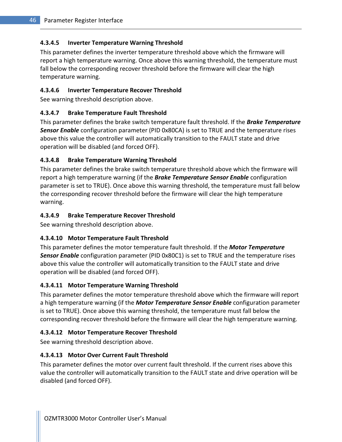# 4.3.4.5 Inverter Temperature Warning Threshold

This parameter defines the inverter temperature threshold above which the firmware will report a high temperature warning. Once above this warning threshold, the temperature must fall below the corresponding recover threshold before the firmware will clear the high temperature warning.

### 4.3.4.6 Inverter Temperature Recover Threshold

See warning threshold description above.

### 4.3.4.7 Brake Temperature Fault Threshold

This parameter defines the brake switch temperature fault threshold. If the **Brake Temperature** Sensor Enable configuration parameter (PID 0x80CA) is set to TRUE and the temperature rises above this value the controller will automatically transition to the FAULT state and drive operation will be disabled (and forced OFF).

### 4.3.4.8 Brake Temperature Warning Threshold

This parameter defines the brake switch temperature threshold above which the firmware will report a high temperature warning (if the **Brake Temperature Sensor Enable** configuration parameter is set to TRUE). Once above this warning threshold, the temperature must fall below the corresponding recover threshold before the firmware will clear the high temperature warning.

### 4.3.4.9 Brake Temperature Recover Threshold

See warning threshold description above.

# 4.3.4.10 Motor Temperature Fault Threshold

This parameter defines the motor temperature fault threshold. If the **Motor Temperature Sensor Enable** configuration parameter (PID 0x80C1) is set to TRUE and the temperature rises above this value the controller will automatically transition to the FAULT state and drive operation will be disabled (and forced OFF).

# 4.3.4.11 Motor Temperature Warning Threshold

This parameter defines the motor temperature threshold above which the firmware will report a high temperature warning (if the Motor Temperature Sensor Enable configuration parameter is set to TRUE). Once above this warning threshold, the temperature must fall below the corresponding recover threshold before the firmware will clear the high temperature warning.

### 4.3.4.12 Motor Temperature Recover Threshold

See warning threshold description above.

### 4.3.4.13 Motor Over Current Fault Threshold

This parameter defines the motor over current fault threshold. If the current rises above this value the controller will automatically transition to the FAULT state and drive operation will be disabled (and forced OFF).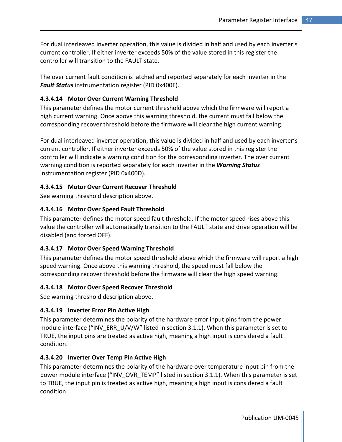For dual interleaved inverter operation, this value is divided in half and used by each inverter's current controller. If either inverter exceeds 50% of the value stored in this register the controller will transition to the FAULT state.

The over current fault condition is latched and reported separately for each inverter in the Fault Status instrumentation register (PID 0x400E).

### 4.3.4.14 Motor Over Current Warning Threshold

This parameter defines the motor current threshold above which the firmware will report a high current warning. Once above this warning threshold, the current must fall below the corresponding recover threshold before the firmware will clear the high current warning.

For dual interleaved inverter operation, this value is divided in half and used by each inverter's current controller. If either inverter exceeds 50% of the value stored in this register the controller will indicate a warning condition for the corresponding inverter. The over current warning condition is reported separately for each inverter in the Warning Status instrumentation register (PID 0x400D).

### 4.3.4.15 Motor Over Current Recover Threshold

See warning threshold description above.

### 4.3.4.16 Motor Over Speed Fault Threshold

This parameter defines the motor speed fault threshold. If the motor speed rises above this value the controller will automatically transition to the FAULT state and drive operation will be disabled (and forced OFF).

### 4.3.4.17 Motor Over Speed Warning Threshold

This parameter defines the motor speed threshold above which the firmware will report a high speed warning. Once above this warning threshold, the speed must fall below the corresponding recover threshold before the firmware will clear the high speed warning.

### 4.3.4.18 Motor Over Speed Recover Threshold

See warning threshold description above.

### 4.3.4.19 Inverter Error Pin Active High

This parameter determines the polarity of the hardware error input pins from the power module interface ("INV\_ERR\_U/V/W" listed in section 3.1.1). When this parameter is set to TRUE, the input pins are treated as active high, meaning a high input is considered a fault condition.

### 4.3.4.20 Inverter Over Temp Pin Active High

This parameter determines the polarity of the hardware over temperature input pin from the power module interface ("INV\_OVR\_TEMP" listed in section 3.1.1). When this parameter is set to TRUE, the input pin is treated as active high, meaning a high input is considered a fault condition.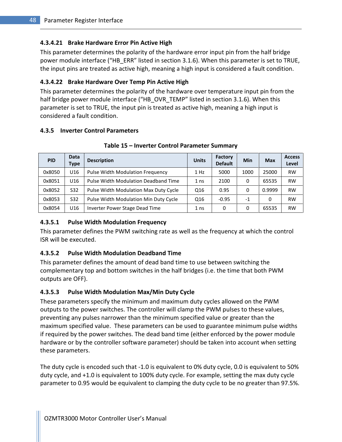### 4.3.4.21 Brake Hardware Error Pin Active High

This parameter determines the polarity of the hardware error input pin from the half bridge power module interface ("HB\_ERR" listed in section 3.1.6). When this parameter is set to TRUE, the input pins are treated as active high, meaning a high input is considered a fault condition.

### 4.3.4.22 Brake Hardware Over Temp Pin Active High

This parameter determines the polarity of the hardware over temperature input pin from the half bridge power module interface ("HB\_OVR\_TEMP" listed in section 3.1.6). When this parameter is set to TRUE, the input pin is treated as active high, meaning a high input is considered a fault condition.

#### 4.3.5 Inverter Control Parameters

| <b>PID</b> | Data<br>Type    | <b>Description</b>                    | <b>Units</b>    | Factory<br><b>Default</b> | Min  | <b>Max</b> | <b>Access</b><br>Level |
|------------|-----------------|---------------------------------------|-----------------|---------------------------|------|------------|------------------------|
| 0x8050     | U16             | Pulse Width Modulation Frequency      | $1$ Hz          | 5000                      | 1000 | 25000      | <b>RW</b>              |
| 0x8051     | U <sub>16</sub> | Pulse Width Modulation Deadband Time  | 1 <sub>ns</sub> | 2100                      | 0    | 65535      | <b>RW</b>              |
| 0x8052     | S32             | Pulse Width Modulation Max Duty Cycle | Q16             | 0.95                      | 0    | 0.9999     | <b>RW</b>              |
| 0x8053     | S32             | Pulse Width Modulation Min Duty Cycle | Q16             | $-0.95$                   | $-1$ | 0          | <b>RW</b>              |
| 0x8054     | U16             | Inverter Power Stage Dead Time        | 1 <sub>ns</sub> | 0                         |      | 65535      | <b>RW</b>              |

#### Table 15 – Inverter Control Parameter Summary

### 4.3.5.1 Pulse Width Modulation Frequency

This parameter defines the PWM switching rate as well as the frequency at which the control ISR will be executed.

# 4.3.5.2 Pulse Width Modulation Deadband Time

This parameter defines the amount of dead band time to use between switching the complementary top and bottom switches in the half bridges (i.e. the time that both PWM outputs are OFF).

# 4.3.5.3 Pulse Width Modulation Max/Min Duty Cycle

These parameters specify the minimum and maximum duty cycles allowed on the PWM outputs to the power switches. The controller will clamp the PWM pulses to these values, preventing any pulses narrower than the minimum specified value or greater than the maximum specified value. These parameters can be used to guarantee minimum pulse widths if required by the power switches. The dead band time (either enforced by the power module hardware or by the controller software parameter) should be taken into account when setting these parameters.

The duty cycle is encoded such that -1.0 is equivalent to 0% duty cycle, 0.0 is equivalent to 50% duty cycle, and +1.0 is equivalent to 100% duty cycle. For example, setting the max duty cycle parameter to 0.95 would be equivalent to clamping the duty cycle to be no greater than 97.5%.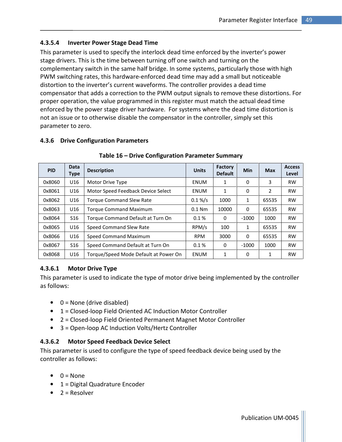# 4.3.5.4 Inverter Power Stage Dead Time

This parameter is used to specify the interlock dead time enforced by the inverter's power stage drivers. This is the time between turning off one switch and turning on the complementary switch in the same half bridge. In some systems, particularly those with high PWM switching rates, this hardware-enforced dead time may add a small but noticeable distortion to the inverter's current waveforms. The controller provides a dead time compensator that adds a correction to the PWM output signals to remove these distortions. For proper operation, the value programmed in this register must match the actual dead time enforced by the power stage driver hardware. For systems where the dead time distortion is not an issue or to otherwise disable the compensator in the controller, simply set this parameter to zero.

### 4.3.6 Drive Configuration Parameters

| <b>PID</b> | Data<br><b>Type</b> | <b>Description</b>                    | <b>Units</b> | <b>Factory</b><br><b>Default</b> | <b>Min</b> | <b>Max</b> | <b>Access</b><br>Level |
|------------|---------------------|---------------------------------------|--------------|----------------------------------|------------|------------|------------------------|
| 0x8060     | U16                 | Motor Drive Type                      | <b>ENUM</b>  | 1                                | 0          | 3          | <b>RW</b>              |
| 0x8061     | U16                 | Motor Speed Feedback Device Select    | ENUM         | 1                                | $\Omega$   | 2          | <b>RW</b>              |
| 0x8062     | U16                 | <b>Torque Command Slew Rate</b>       | $0.1\%$ /s   | 1000                             | 1          | 65535      | <b>RW</b>              |
| 0x8063     | U16                 | <b>Torque Command Maximum</b>         | $0.1$ Nm     | 10000                            | $\Omega$   | 65535      | <b>RW</b>              |
| 0x8064     | S <sub>16</sub>     | Torque Command Default at Turn On     | 0.1%         | 0                                | $-1000$    | 1000       | <b>RW</b>              |
| 0x8065     | U16                 | Speed Command Slew Rate               | RPM/s        | 100                              | 1          | 65535      | <b>RW</b>              |
| 0x8066     | U16                 | Speed Command Maximum                 | <b>RPM</b>   | 3000                             | 0          | 65535      | <b>RW</b>              |
| 0x8067     | S <sub>16</sub>     | Speed Command Default at Turn On      | 0.1%         | 0                                | $-1000$    | 1000       | <b>RW</b>              |
| 0x8068     | U16                 | Torque/Speed Mode Default at Power On | ENUM         | 1                                | $\Omega$   | 1          | <b>RW</b>              |

#### Table 16 – Drive Configuration Parameter Summary

### 4.3.6.1 Motor Drive Type

This parameter is used to indicate the type of motor drive being implemented by the controller as follows:

- $\bullet$  0 = None (drive disabled)
- 1 = Closed-loop Field Oriented AC Induction Motor Controller
- 2 = Closed-loop Field Oriented Permanent Magnet Motor Controller
- 3 = Open-loop AC Induction Volts/Hertz Controller

### 4.3.6.2 Motor Speed Feedback Device Select

This parameter is used to configure the type of speed feedback device being used by the controller as follows:

- $\bullet$  0 = None
- 1 = Digital Quadrature Encoder
- $\bullet$  2 = Resolver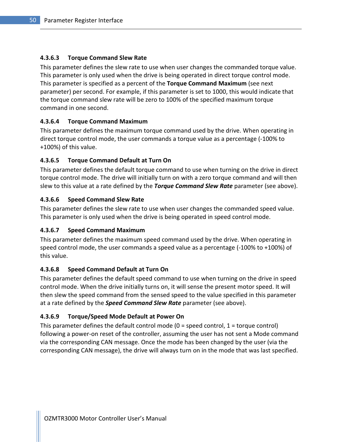### 4.3.6.3 Torque Command Slew Rate

This parameter defines the slew rate to use when user changes the commanded torque value. This parameter is only used when the drive is being operated in direct torque control mode. This parameter is specified as a percent of the Torque Command Maximum (see next parameter) per second. For example, if this parameter is set to 1000, this would indicate that the torque command slew rate will be zero to 100% of the specified maximum torque command in one second.

### 4.3.6.4 Torque Command Maximum

This parameter defines the maximum torque command used by the drive. When operating in direct torque control mode, the user commands a torque value as a percentage (-100% to +100%) of this value.

### 4.3.6.5 Torque Command Default at Turn On

This parameter defines the default torque command to use when turning on the drive in direct torque control mode. The drive will initially turn on with a zero torque command and will then slew to this value at a rate defined by the Torque Command Slew Rate parameter (see above).

### 4.3.6.6 Speed Command Slew Rate

This parameter defines the slew rate to use when user changes the commanded speed value. This parameter is only used when the drive is being operated in speed control mode.

### 4.3.6.7 Speed Command Maximum

This parameter defines the maximum speed command used by the drive. When operating in speed control mode, the user commands a speed value as a percentage (-100% to +100%) of this value.

### 4.3.6.8 Speed Command Default at Turn On

This parameter defines the default speed command to use when turning on the drive in speed control mode. When the drive initially turns on, it will sense the present motor speed. It will then slew the speed command from the sensed speed to the value specified in this parameter at a rate defined by the **Speed Command Slew Rate** parameter (see above).

# 4.3.6.9 Torque/Speed Mode Default at Power On

This parameter defines the default control mode  $(0 =$  speed control,  $1 =$  torque control) following a power-on reset of the controller, assuming the user has not sent a Mode command via the corresponding CAN message. Once the mode has been changed by the user (via the corresponding CAN message), the drive will always turn on in the mode that was last specified.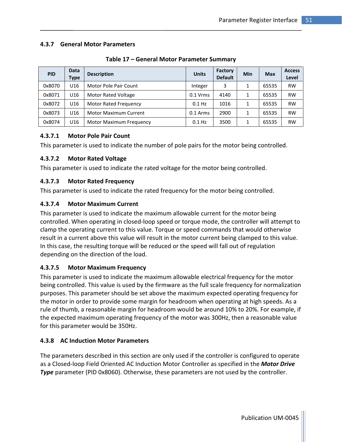### 4.3.7 General Motor Parameters

| <b>PID</b> | <b>Data</b><br>Type | <b>Description</b>           | <b>Units</b> | Factory<br><b>Default</b> | Min | <b>Max</b> | <b>Access</b><br>Level |
|------------|---------------------|------------------------------|--------------|---------------------------|-----|------------|------------------------|
| 0x8070     | U16                 | Motor Pole Pair Count        | Integer      | 3                         |     | 65535      | <b>RW</b>              |
| 0x8071     | U16                 | <b>Motor Rated Voltage</b>   | $0.1$ Vrms   | 4140                      |     | 65535      | <b>RW</b>              |
| 0x8072     | U <sub>16</sub>     | <b>Motor Rated Frequency</b> | $0.1$ Hz     | 1016                      |     | 65535      | <b>RW</b>              |
| 0x8073     | U16                 | <b>Motor Maximum Current</b> | $0.1$ Arms   | 2900                      |     | 65535      | <b>RW</b>              |
| 0x8074     | U16                 | Motor Maximum Frequency      | $0.1$ Hz     | 3500                      |     | 65535      | <b>RW</b>              |

Table 17 – General Motor Parameter Summary

### 4.3.7.1 Motor Pole Pair Count

This parameter is used to indicate the number of pole pairs for the motor being controlled.

# 4.3.7.2 Motor Rated Voltage

This parameter is used to indicate the rated voltage for the motor being controlled.

# 4.3.7.3 Motor Rated Frequency

This parameter is used to indicate the rated frequency for the motor being controlled.

# 4.3.7.4 Motor Maximum Current

This parameter is used to indicate the maximum allowable current for the motor being controlled. When operating in closed-loop speed or torque mode, the controller will attempt to clamp the operating current to this value. Torque or speed commands that would otherwise result in a current above this value will result in the motor current being clamped to this value. In this case, the resulting torque will be reduced or the speed will fall out of regulation depending on the direction of the load.

# 4.3.7.5 Motor Maximum Frequency

This parameter is used to indicate the maximum allowable electrical frequency for the motor being controlled. This value is used by the firmware as the full scale frequency for normalization purposes. This parameter should be set above the maximum expected operating frequency for the motor in order to provide some margin for headroom when operating at high speeds. As a rule of thumb, a reasonable margin for headroom would be around 10% to 20%. For example, if the expected maximum operating frequency of the motor was 300Hz, then a reasonable value for this parameter would be 350Hz.

# 4.3.8 AC Induction Motor Parameters

The parameters described in this section are only used if the controller is configured to operate as a Closed-loop Field Oriented AC Induction Motor Controller as specified in the **Motor Drive Type** parameter (PID 0x8060). Otherwise, these parameters are not used by the controller.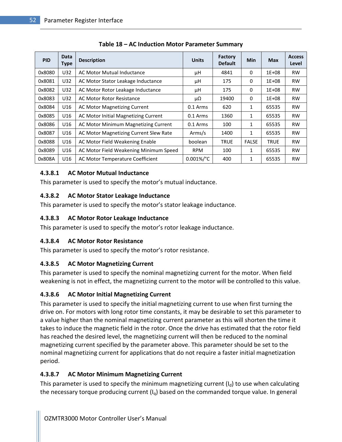| <b>PID</b> | <b>Data</b><br><b>Type</b> | <b>Description</b>                     | <b>Units</b>        | Factory<br><b>Default</b> | <b>Min</b>   | <b>Max</b>  | <b>Access</b><br>Level |
|------------|----------------------------|----------------------------------------|---------------------|---------------------------|--------------|-------------|------------------------|
| 0x8080     | U32                        | AC Motor Mutual Inductance             | μH                  | 4841                      | 0            | $1E + 08$   | <b>RW</b>              |
| 0x8081     | U32                        | AC Motor Stator Leakage Inductance     | μH                  | 175                       | 0            | $1E + 08$   | <b>RW</b>              |
| 0x8082     | U32                        | AC Motor Rotor Leakage Inductance      | μH                  | 175                       | 0            | $1E + 08$   | <b>RW</b>              |
| 0x8083     | U32                        | AC Motor Rotor Resistance              | μΩ                  | 19400                     | 0            | $1E + 08$   | <b>RW</b>              |
| 0x8084     | U16                        | <b>AC Motor Magnetizing Current</b>    | $0.1$ Arms          | 620                       | 1            | 65535       | <b>RW</b>              |
| 0x8085     | U16                        | AC Motor Initial Magnetizing Current   | $0.1$ Arms          | 1360                      | 1            | 65535       | <b>RW</b>              |
| 0x8086     | U16                        | AC Motor Minimum Magnetizing Current   | $0.1$ Arms          | 100                       | 1            | 65535       | <b>RW</b>              |
| 0x8087     | U16                        | AC Motor Magnetizing Current Slew Rate | Arms/s              | 1400                      | $\mathbf{1}$ | 65535       | <b>RW</b>              |
| 0x8088     | U16                        | AC Motor Field Weakening Enable        | boolean             | <b>TRUE</b>               | <b>FALSE</b> | <b>TRUE</b> | <b>RW</b>              |
| 0x8089     | U16                        | AC Motor Field Weakening Minimum Speed | <b>RPM</b>          | 100                       | 1            | 65535       | <b>RW</b>              |
| 0x808A     | U16                        | AC Motor Temperature Coefficient       | $0.001\%/^{\circ}C$ | 400                       | 1            | 65535       | <b>RW</b>              |

Table 18 – AC Induction Motor Parameter Summary

### 4.3.8.1 AC Motor Mutual Inductance

This parameter is used to specify the motor's mutual inductance.

### 4.3.8.2 AC Motor Stator Leakage Inductance

This parameter is used to specify the motor's stator leakage inductance.

### 4.3.8.3 AC Motor Rotor Leakage Inductance

This parameter is used to specify the motor's rotor leakage inductance.

# 4.3.8.4 AC Motor Rotor Resistance

This parameter is used to specify the motor's rotor resistance.

# 4.3.8.5 AC Motor Magnetizing Current

This parameter is used to specify the nominal magnetizing current for the motor. When field weakening is not in effect, the magnetizing current to the motor will be controlled to this value.

# 4.3.8.6 AC Motor Initial Magnetizing Current

This parameter is used to specify the initial magnetizing current to use when first turning the drive on. For motors with long rotor time constants, it may be desirable to set this parameter to a value higher than the nominal magnetizing current parameter as this will shorten the time it takes to induce the magnetic field in the rotor. Once the drive has estimated that the rotor field has reached the desired level, the magnetizing current will then be reduced to the nominal magnetizing current specified by the parameter above. This parameter should be set to the nominal magnetizing current for applications that do not require a faster initial magnetization period.

# 4.3.8.7 AC Motor Minimum Magnetizing Current

This parameter is used to specify the minimum magnetizing current  $(I_d)$  to use when calculating the necessary torque producing current  $(I_q)$  based on the commanded torque value. In general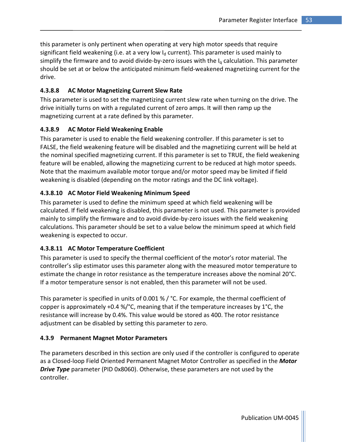this parameter is only pertinent when operating at very high motor speeds that require significant field weakening (i.e. at a very low  $I_d$  current). This parameter is used mainly to simplify the firmware and to avoid divide-by-zero issues with the  $I_q$  calculation. This parameter should be set at or below the anticipated minimum field-weakened magnetizing current for the drive.

# 4.3.8.8 AC Motor Magnetizing Current Slew Rate

This parameter is used to set the magnetizing current slew rate when turning on the drive. The drive initially turns on with a regulated current of zero amps. It will then ramp up the magnetizing current at a rate defined by this parameter.

# 4.3.8.9 AC Motor Field Weakening Enable

This parameter is used to enable the field weakening controller. If this parameter is set to FALSE, the field weakening feature will be disabled and the magnetizing current will be held at the nominal specified magnetizing current. If this parameter is set to TRUE, the field weakening feature will be enabled, allowing the magnetizing current to be reduced at high motor speeds. Note that the maximum available motor torque and/or motor speed may be limited if field weakening is disabled (depending on the motor ratings and the DC link voltage).

### 4.3.8.10 AC Motor Field Weakening Minimum Speed

This parameter is used to define the minimum speed at which field weakening will be calculated. If field weakening is disabled, this parameter is not used. This parameter is provided mainly to simplify the firmware and to avoid divide-by-zero issues with the field weakening calculations. This parameter should be set to a value below the minimum speed at which field weakening is expected to occur.

# 4.3.8.11 AC Motor Temperature Coefficient

This parameter is used to specify the thermal coefficient of the motor's rotor material. The controller's slip estimator uses this parameter along with the measured motor temperature to estimate the change in rotor resistance as the temperature increases above the nominal 20°C. If a motor temperature sensor is not enabled, then this parameter will not be used.

This parameter is specified in units of 0.001 % / °C. For example, the thermal coefficient of copper is approximately +0.4 %/°C, meaning that if the temperature increases by 1°C, the resistance will increase by 0.4%. This value would be stored as 400. The rotor resistance adjustment can be disabled by setting this parameter to zero.

### 4.3.9 Permanent Magnet Motor Parameters

The parameters described in this section are only used if the controller is configured to operate as a Closed-loop Field Oriented Permanent Magnet Motor Controller as specified in the Motor **Drive Type** parameter (PID 0x8060). Otherwise, these parameters are not used by the controller.

Publication UM-0045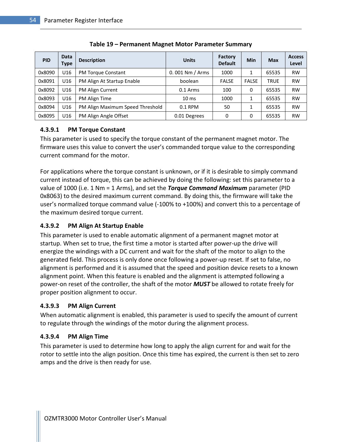| <b>PID</b> | Data<br>Type | <b>Description</b>               | <b>Units</b>        | <b>Factory</b><br><b>Default</b> | Min          | <b>Max</b>  | <b>Access</b><br>Level |
|------------|--------------|----------------------------------|---------------------|----------------------------------|--------------|-------------|------------------------|
| 0x8090     | U16          | <b>PM Torque Constant</b>        | $0.001$ Nm $/$ Arms | 1000                             | 1            | 65535       | <b>RW</b>              |
| 0x8091     | U16          | PM Align At Startup Enable       | boolean             | <b>FALSE</b>                     | <b>FALSE</b> | <b>TRUE</b> | <b>RW</b>              |
| 0x8092     | U16          | PM Align Current                 | 0.1 Arms            | 100                              | 0            | 65535       | <b>RW</b>              |
| 0x8093     | U16          | PM Align Time                    | $10 \text{ ms}$     | 1000                             | $\mathbf{1}$ | 65535       | <b>RW</b>              |
| 0x8094     | U16          | PM Align Maximum Speed Threshold | $0.1$ RPM           | 50                               | 1            | 65535       | <b>RW</b>              |
| 0x8095     | U16          | PM Align Angle Offset            | 0.01 Degrees        | 0                                | 0            | 65535       | <b>RW</b>              |

Table 19 – Permanent Magnet Motor Parameter Summary

### 4.3.9.1 PM Torque Constant

This parameter is used to specify the torque constant of the permanent magnet motor. The firmware uses this value to convert the user's commanded torque value to the corresponding current command for the motor.

For applications where the torque constant is unknown, or if it is desirable to simply command current instead of torque, this can be achieved by doing the following: set this parameter to a value of 1000 (i.e. 1 Nm = 1 Arms), and set the **Torque Command Maximum** parameter (PID 0x8063) to the desired maximum current command. By doing this, the firmware will take the user's normalized torque command value (-100% to +100%) and convert this to a percentage of the maximum desired torque current.

# 4.3.9.2 PM Align At Startup Enable

This parameter is used to enable automatic alignment of a permanent magnet motor at startup. When set to true, the first time a motor is started after power-up the drive will energize the windings with a DC current and wait for the shaft of the motor to align to the generated field. This process is only done once following a power-up reset. If set to false, no alignment is performed and it is assumed that the speed and position device resets to a known alignment point. When this feature is enabled and the alignment is attempted following a power-on reset of the controller, the shaft of the motor **MUST** be allowed to rotate freely for proper position alignment to occur.

# 4.3.9.3 PM Align Current

When automatic alignment is enabled, this parameter is used to specify the amount of current to regulate through the windings of the motor during the alignment process.

# 4.3.9.4 PM Align Time

This parameter is used to determine how long to apply the align current for and wait for the rotor to settle into the align position. Once this time has expired, the current is then set to zero amps and the drive is then ready for use.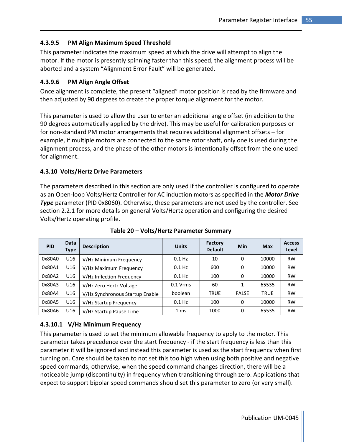### 4.3.9.5 PM Align Maximum Speed Threshold

This parameter indicates the maximum speed at which the drive will attempt to align the motor. If the motor is presently spinning faster than this speed, the alignment process will be aborted and a system "Alignment Error Fault" will be generated.

### 4.3.9.6 PM Align Angle Offset

Once alignment is complete, the present "aligned" motor position is read by the firmware and then adjusted by 90 degrees to create the proper torque alignment for the motor.

This parameter is used to allow the user to enter an additional angle offset (in addition to the 90 degrees automatically applied by the drive). This may be useful for calibration purposes or for non-standard PM motor arrangements that requires additional alignment offsets – for example, if multiple motors are connected to the same rotor shaft, only one is used during the alignment process, and the phase of the other motors is intentionally offset from the one used for alignment.

#### 4.3.10 Volts/Hertz Drive Parameters

The parameters described in this section are only used if the controller is configured to operate as an Open-loop Volts/Hertz Controller for AC induction motors as specified in the **Motor Drive Type** parameter (PID 0x8060). Otherwise, these parameters are not used by the controller. See section 2.2.1 for more details on general Volts/Hertz operation and configuring the desired Volts/Hertz operating profile.

| <b>PID</b> | Data<br><b>Type</b> | <b>Description</b>              | <b>Units</b> | Factory<br><b>Default</b> | <b>Min</b>   | <b>Max</b>  | <b>Access</b><br>Level |
|------------|---------------------|---------------------------------|--------------|---------------------------|--------------|-------------|------------------------|
| 0x80A0     | U16                 | V/Hz Minimum Frequency          | $0.1$ Hz     | 10                        | 0            | 10000       | <b>RW</b>              |
| 0x80A1     | U16                 | V/Hz Maximum Frequency          | $0.1$ Hz     | 600                       | 0            | 10000       | <b>RW</b>              |
| 0x80A2     | U16                 | V/Hz Inflection Frequency       | $0.1$ Hz     | 100                       | 0            | 10000       | <b>RW</b>              |
| 0x80A3     | U16                 | V/Hz Zero Hertz Voltage         | $0.1$ Vrms   | 60                        |              | 65535       | <b>RW</b>              |
| 0x80A4     | U16                 | V/Hz Synchronous Startup Enable | boolean      | <b>TRUE</b>               | <b>FALSE</b> | <b>TRUE</b> | <b>RW</b>              |
| 0x80A5     | U16                 | V/Hz Startup Frequency          | $0.1$ Hz     | 100                       | 0            | 10000       | <b>RW</b>              |
| 0x80A6     | U16                 | V/Hz Startup Pause Time         | 1 ms         | 1000                      | 0            | 65535       | <b>RW</b>              |

Table 20 – Volts/Hertz Parameter Summary

### 4.3.10.1 V/Hz Minimum Frequency

This parameter is used to set the minimum allowable frequency to apply to the motor. This parameter takes precedence over the start frequency - if the start frequency is less than this parameter it will be ignored and instead this parameter is used as the start frequency when first turning on. Care should be taken to not set this too high when using both positive and negative speed commands, otherwise, when the speed command changes direction, there will be a noticeable jump (discontinuity) in frequency when transitioning through zero. Applications that expect to support bipolar speed commands should set this parameter to zero (or very small).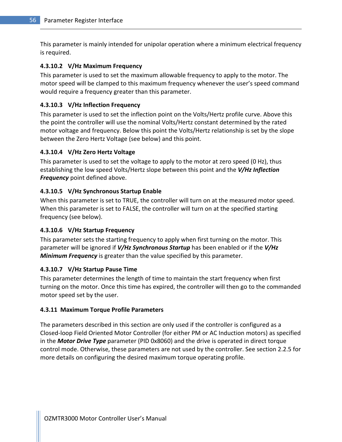This parameter is mainly intended for unipolar operation where a minimum electrical frequency is required.

### 4.3.10.2 V/Hz Maximum Frequency

This parameter is used to set the maximum allowable frequency to apply to the motor. The motor speed will be clamped to this maximum frequency whenever the user's speed command would require a frequency greater than this parameter.

### 4.3.10.3 V/Hz Inflection Frequency

This parameter is used to set the inflection point on the Volts/Hertz profile curve. Above this the point the controller will use the nominal Volts/Hertz constant determined by the rated motor voltage and frequency. Below this point the Volts/Hertz relationship is set by the slope between the Zero Hertz Voltage (see below) and this point.

### 4.3.10.4 V/Hz Zero Hertz Voltage

This parameter is used to set the voltage to apply to the motor at zero speed (0 Hz), thus establishing the low speed Volts/Hertz slope between this point and the V/Hz Inflection Frequency point defined above.

### 4.3.10.5 V/Hz Synchronous Startup Enable

When this parameter is set to TRUE, the controller will turn on at the measured motor speed. When this parameter is set to FALSE, the controller will turn on at the specified starting frequency (see below).

### 4.3.10.6 V/Hz Startup Frequency

This parameter sets the starting frequency to apply when first turning on the motor. This parameter will be ignored if V/Hz Synchronous Startup has been enabled or if the V/Hz **Minimum Frequency** is greater than the value specified by this parameter.

### 4.3.10.7 V/Hz Startup Pause Time

This parameter determines the length of time to maintain the start frequency when first turning on the motor. Once this time has expired, the controller will then go to the commanded motor speed set by the user.

### 4.3.11 Maximum Torque Profile Parameters

The parameters described in this section are only used if the controller is configured as a Closed-loop Field Oriented Motor Controller (for either PM or AC Induction motors) as specified in the **Motor Drive Type** parameter (PID 0x8060) and the drive is operated in direct torque control mode. Otherwise, these parameters are not used by the controller. See section 2.2.5 for more details on configuring the desired maximum torque operating profile.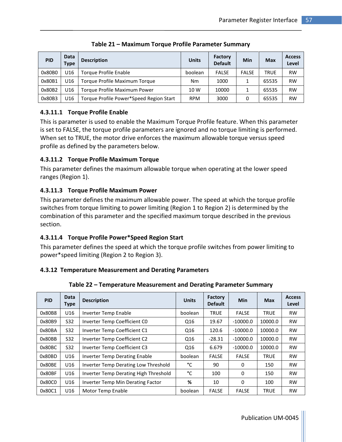| <b>PID</b> | Data<br>Type | <b>Description</b>                      | <b>Units</b> | Factory<br><b>Default</b> | Min          | <b>Max</b>  | <b>Access</b><br>Level |
|------------|--------------|-----------------------------------------|--------------|---------------------------|--------------|-------------|------------------------|
| 0x80B0     | U16          | Torque Profile Enable                   | boolean      | <b>FALSE</b>              | <b>FALSE</b> | <b>TRUE</b> | <b>RW</b>              |
| 0x80B1     | U16          | Torque Profile Maximum Torque           | <b>Nm</b>    | 1000                      |              | 65535       | <b>RW</b>              |
| 0x80B2     | U16          | Torque Profile Maximum Power            | 10 W         | 10000                     |              | 65535       | <b>RW</b>              |
| 0x80B3     | U16          | Torque Profile Power*Speed Region Start | <b>RPM</b>   | 3000                      |              | 65535       | <b>RW</b>              |

Table 21 – Maximum Torque Profile Parameter Summary

# 4.3.11.1 Torque Profile Enable

This is parameter is used to enable the Maximum Torque Profile feature. When this parameter is set to FALSE, the torque profile parameters are ignored and no torque limiting is performed. When set to TRUE, the motor drive enforces the maximum allowable torque versus speed profile as defined by the parameters below.

### 4.3.11.2 Torque Profile Maximum Torque

This parameter defines the maximum allowable torque when operating at the lower speed ranges (Region 1).

# 4.3.11.3 Torque Profile Maximum Power

This parameter defines the maximum allowable power. The speed at which the torque profile switches from torque limiting to power limiting (Region 1 to Region 2) is determined by the combination of this parameter and the specified maximum torque described in the previous section.

### 4.3.11.4 Torque Profile Power\*Speed Region Start

This parameter defines the speed at which the torque profile switches from power limiting to power\*speed limiting (Region 2 to Region 3).

### 4.3.12 Temperature Measurement and Derating Parameters

| Table 22 - Temperature Measurement and Derating Parameter Summary |
|-------------------------------------------------------------------|
|-------------------------------------------------------------------|

| <b>PID</b> | <b>Data</b><br><b>Type</b> | <b>Description</b>                    | <b>Units</b> | Factory<br><b>Default</b> | <b>Min</b>   | <b>Max</b>  | <b>Access</b><br>Level |
|------------|----------------------------|---------------------------------------|--------------|---------------------------|--------------|-------------|------------------------|
| 0x80B8     | U16                        | Inverter Temp Enable                  | boolean      | <b>TRUE</b>               | <b>FALSE</b> | <b>TRUE</b> | <b>RW</b>              |
| 0x80B9     | S32                        | Inverter Temp Coefficient CO          | Q16          | 19.67                     | $-10000.0$   | 10000.0     | <b>RW</b>              |
| 0x80BA     | S32                        | Inverter Temp Coefficient C1          | Q16          | 120.6                     | $-10000.0$   | 10000.0     | <b>RW</b>              |
| 0x80BB     | S32                        | Inverter Temp Coefficient C2          | Q16          | $-28.31$                  | $-10000.0$   | 10000.0     | <b>RW</b>              |
| 0x80BC     | S32                        | Inverter Temp Coefficient C3          | Q16          | 6.679                     | $-10000.0$   | 10000.0     | <b>RW</b>              |
| 0x80BD     | U16                        | <b>Inverter Temp Derating Enable</b>  | boolean      | <b>FALSE</b>              | <b>FALSE</b> | <b>TRUE</b> | <b>RW</b>              |
| 0x80BE     | U16                        | Inverter Temp Derating Low Threshold  | °C           | 90                        | $\Omega$     | 150         | <b>RW</b>              |
| 0x80BF     | U16                        | Inverter Temp Derating High Threshold | °C           | 100                       | $\Omega$     | 150         | <b>RW</b>              |
| 0x80C0     | U16                        | Inverter Temp Min Derating Factor     | %            | 10                        | 0            | 100         | <b>RW</b>              |
| 0x80C1     | U16                        | Motor Temp Enable                     | boolean      | <b>FALSE</b>              | <b>FALSE</b> | <b>TRUE</b> | <b>RW</b>              |

Publication UM-0045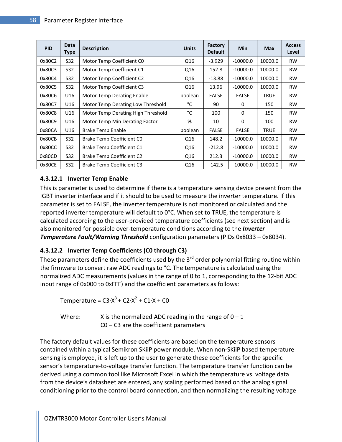| <b>PID</b> | <b>Data</b><br>Type | <b>Description</b>                 | <b>Units</b> | <b>Factory</b><br><b>Default</b> | <b>Min</b>   | <b>Max</b>  | <b>Access</b><br>Level |
|------------|---------------------|------------------------------------|--------------|----------------------------------|--------------|-------------|------------------------|
| 0x80C2     | S32                 | Motor Temp Coefficient CO          | Q16          | $-3.929$                         | $-10000.0$   | 10000.0     | <b>RW</b>              |
| 0x80C3     | S32                 | Motor Temp Coefficient C1          | Q16          | 152.8                            | $-10000.0$   | 10000.0     | <b>RW</b>              |
| 0x80C4     | S32                 | Motor Temp Coefficient C2          | Q16          | $-13.88$                         | $-10000.0$   | 10000.0     | <b>RW</b>              |
| 0x80C5     | S32                 | Motor Temp Coefficient C3          | Q16          | 13.96                            | $-10000.0$   | 10000.0     | <b>RW</b>              |
| 0x80C6     | U16                 | Motor Temp Derating Enable         | boolean      | <b>FALSE</b>                     | <b>FALSE</b> | <b>TRUE</b> | <b>RW</b>              |
| 0x80C7     | U16                 | Motor Temp Derating Low Threshold  | °C           | 90                               | 0            | 150         | <b>RW</b>              |
| 0x80C8     | U16                 | Motor Temp Derating High Threshold | °C           | 100                              | $\Omega$     | 150         | <b>RW</b>              |
| 0x80C9     | U16                 | Motor Temp Min Derating Factor     | %            | 10                               | $\Omega$     | 100         | <b>RW</b>              |
| 0x80CA     | U16                 | <b>Brake Temp Enable</b>           | boolean      | <b>FALSE</b>                     | <b>FALSE</b> | <b>TRUE</b> | <b>RW</b>              |
| 0x80CB     | S32                 | Brake Temp Coefficient CO          | Q16          | 148.2                            | -10000.0     | 10000.0     | <b>RW</b>              |
| 0x80CC     | S32                 | <b>Brake Temp Coefficient C1</b>   | Q16          | $-212.8$                         | -10000.0     | 10000.0     | <b>RW</b>              |
| 0x80CD     | S32                 | <b>Brake Temp Coefficient C2</b>   | Q16          | 212.3                            | $-10000.0$   | 10000.0     | <b>RW</b>              |
| 0x80CE     | S32                 | <b>Brake Temp Coefficient C3</b>   | Q16          | $-142.5$                         | $-10000.0$   | 10000.0     | <b>RW</b>              |

### 4.3.12.1 Inverter Temp Enable

This is parameter is used to determine if there is a temperature sensing device present from the IGBT inverter interface and if it should to be used to measure the inverter temperature. If this parameter is set to FALSE, the inverter temperature is not monitored or calculated and the reported inverter temperature will default to 0°C. When set to TRUE, the temperature is calculated according to the user-provided temperature coefficients (see next section) and is also monitored for possible over-temperature conditions according to the *Inverter* **Temperature Fault/Warning Threshold** configuration parameters (PIDs 0x8033 – 0x8034).

# 4.3.12.2 Inverter Temp Coefficients (C0 through C3)

These parameters define the coefficients used by the  $3<sup>rd</sup>$  order polynomial fitting routine within the firmware to convert raw ADC readings to °C. The temperature is calculated using the normalized ADC measurements (values in the range of 0 to 1, corresponding to the 12-bit ADC input range of 0x000 to 0xFFF) and the coefficient parameters as follows:

Temperature =  $C3 \cdot X^3 + C2 \cdot X^2 + C1 \cdot X + C0$ 

Where:  $X$  is the normalized ADC reading in the range of  $0 - 1$ C0 – C3 are the coefficient parameters

The factory default values for these coefficients are based on the temperature sensors contained within a typical Semikron SKiiP power module. When non-SKiiP based temperature sensing is employed, it is left up to the user to generate these coefficients for the specific sensor's temperature-to-voltage transfer function. The temperature transfer function can be derived using a common tool like Microsoft Excel in which the temperature vs. voltage data from the device's datasheet are entered, any scaling performed based on the analog signal conditioning prior to the control board connection, and then normalizing the resulting voltage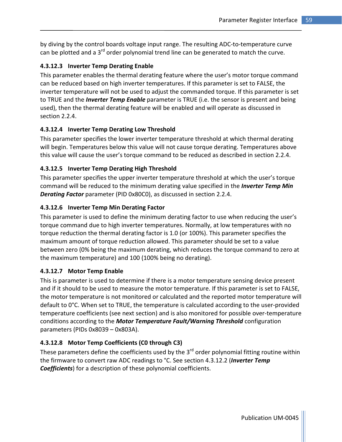by diving by the control boards voltage input range. The resulting ADC-to-temperature curve can be plotted and a 3<sup>rd</sup> order polynomial trend line can be generated to match the curve.

### 4.3.12.3 Inverter Temp Derating Enable

This parameter enables the thermal derating feature where the user's motor torque command can be reduced based on high inverter temperatures. If this parameter is set to FALSE, the inverter temperature will not be used to adjust the commanded torque. If this parameter is set to TRUE and the *Inverter Temp Enable* parameter is TRUE (i.e. the sensor is present and being used), then the thermal derating feature will be enabled and will operate as discussed in section 2.2.4.

### 4.3.12.4 Inverter Temp Derating Low Threshold

This parameter specifies the lower inverter temperature threshold at which thermal derating will begin. Temperatures below this value will not cause torque derating. Temperatures above this value will cause the user's torque command to be reduced as described in section 2.2.4.

### 4.3.12.5 Inverter Temp Derating High Threshold

This parameter specifies the upper inverter temperature threshold at which the user's torque command will be reduced to the minimum derating value specified in the *Inverter Temp Min* **Derating Factor** parameter (PID 0x80C0), as discussed in section 2.2.4.

### 4.3.12.6 Inverter Temp Min Derating Factor

This parameter is used to define the minimum derating factor to use when reducing the user's torque command due to high inverter temperatures. Normally, at low temperatures with no torque reduction the thermal derating factor is 1.0 (or 100%). This parameter specifies the maximum amount of torque reduction allowed. This parameter should be set to a value between zero (0% being the maximum derating, which reduces the torque command to zero at the maximum temperature) and 100 (100% being no derating).

### 4.3.12.7 Motor Temp Enable

This is parameter is used to determine if there is a motor temperature sensing device present and if it should to be used to measure the motor temperature. If this parameter is set to FALSE, the motor temperature is not monitored or calculated and the reported motor temperature will default to 0°C. When set to TRUE, the temperature is calculated according to the user-provided temperature coefficients (see next section) and is also monitored for possible over-temperature conditions according to the **Motor Temperature Fault/Warning Threshold** configuration parameters (PIDs 0x8039 – 0x803A).

# 4.3.12.8 Motor Temp Coefficients (C0 through C3)

These parameters define the coefficients used by the  $3<sup>rd</sup>$  order polynomial fitting routine within the firmware to convert raw ADC readings to °C. See section 4.3.12.2 (Inverter Temp **Coefficients**) for a description of these polynomial coefficients.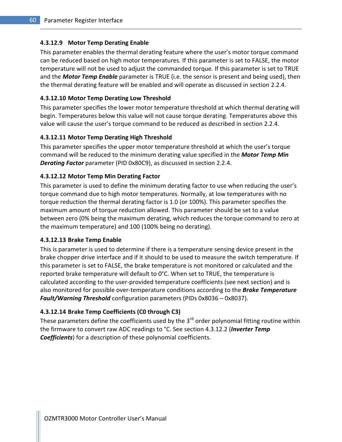### 4.3.12.9 Motor Temp Derating Enable

This parameter enables the thermal derating feature where the user's motor torque command can be reduced based on high motor temperatures. If this parameter is set to FALSE, the motor temperature will not be used to adjust the commanded torque. If this parameter is set to TRUE and the **Motor Temp Enable** parameter is TRUE (i.e. the sensor is present and being used), then the thermal derating feature will be enabled and will operate as discussed in section 2.2.4.

#### 4.3.12.10 Motor Temp Derating Low Threshold

This parameter specifies the lower motor temperature threshold at which thermal derating will begin. Temperatures below this value will not cause torque derating. Temperatures above this value will cause the user's torque command to be reduced as described in section 2.2.4.

#### 4.3.12.11 Motor Temp Derating High Threshold

This parameter specifies the upper motor temperature threshold at which the user's torque command will be reduced to the minimum derating value specified in the **Motor Temp Min Derating Factor** parameter (PID 0x80C9), as discussed in section 2.2.4.

#### 4.3.12.12 Motor Temp Min Derating Factor

This parameter is used to define the minimum derating factor to use when reducing the user's torque command due to high motor temperatures. Normally, at low temperatures with no torque reduction the thermal derating factor is 1.0 (or 100%). This parameter specifies the maximum amount of torque reduction allowed. This parameter should be set to a value between zero (0% being the maximum derating, which reduces the torque command to zero at the maximum temperature) and 100 (100% being no derating).

#### 4.3.12.13 Brake Temp Enable

This is parameter is used to determine if there is a temperature sensing device present in the brake chopper drive interface and if it should to be used to measure the switch temperature. If this parameter is set to FALSE, the brake temperature is not monitored or calculated and the reported brake temperature will default to 0°C. When set to TRUE, the temperature is calculated according to the user-provided temperature coefficients (see next section) and is also monitored for possible over-temperature conditions according to the **Brake Temperature** Fault/Warning Threshold configuration parameters (PIDs 0x8036 – 0x8037).

### 4.3.12.14 Brake Temp Coefficients (C0 through C3)

These parameters define the coefficients used by the  $3<sup>rd</sup>$  order polynomial fitting routine within the firmware to convert raw ADC readings to °C. See section 4.3.12.2 (*Inverter Temp* **Coefficients**) for a description of these polynomial coefficients.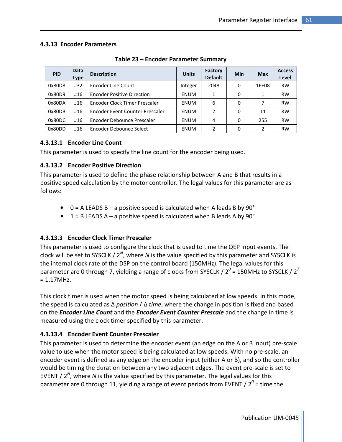### 4.3.13 Encoder Parameters

| <b>PID</b> | Data<br>Type    | <b>Description</b>                | <b>Units</b> | Factory<br><b>Default</b> | Min | <b>Max</b>     | <b>Access</b><br>Level |
|------------|-----------------|-----------------------------------|--------------|---------------------------|-----|----------------|------------------------|
| 0x80D8     | U32             | <b>Encoder Line Count</b>         | Integer      | 2048                      | 0   | $1E + 08$      | <b>RW</b>              |
| 0x80D9     | U <sub>16</sub> | <b>Encoder Positive Direction</b> | <b>ENUM</b>  | 1                         | 0   | 1              | <b>RW</b>              |
| 0x80DA     | U <sub>16</sub> | Encoder Clock Timer Prescaler     | <b>ENUM</b>  | 6                         | 0   | 7              | <b>RW</b>              |
| 0x80DB     | U <sub>16</sub> | Encoder Event Counter Prescaler   | <b>ENUM</b>  | 2                         | 0   | 11             | <b>RW</b>              |
| 0x80DC     | U16             | Encoder Debounce Prescaler        | ENUM         | 4                         | 0   | 255            | <b>RW</b>              |
| 0x80DD     | U16             | Encoder Debounce Select           | <b>ENUM</b>  | $\mathcal{L}$             | 0   | $\mathfrak{p}$ | <b>RW</b>              |

Table 23 – Encoder Parameter Summary

# 4.3.13.1 Encoder Line Count

This parameter is used to specify the line count for the encoder being used.

### 4.3.13.2 Encoder Positive Direction

This parameter is used to define the phase relationship between A and B that results in a positive speed calculation by the motor controller. The legal values for this parameter are as follows:

- $\bullet$  0 = A LEADS B a positive speed is calculated when A leads B by 90 $\degree$
- $1 = B$  LEADS A a positive speed is calculated when B leads A by 90 $^{\circ}$

# 4.3.13.3 Encoder Clock Timer Prescaler

This parameter is used to configure the clock that is used to time the QEP input events. The clock will be set to SYSCLK /  $2^N$ , where N is the value specified by this parameter and SYSCLK is the internal clock rate of the DSP on the control board (150MHz). The legal values for this parameter are 0 through 7, yielding a range of clocks from SYSCLK / 2 $^0$  = 150MHz to SYSCLK / 2 $^7$  $= 1.17$ MHz.

This clock timer is used when the motor speed is being calculated at low speeds. In this mode, the speed is calculated as  $\Delta$  position /  $\Delta$  time, where the change in position is fixed and based on the *Encoder Line Count* and the *Encoder Event Counter Prescale* and the change in time is measured using the clock timer specified by this parameter.

# 4.3.13.4 Encoder Event Counter Prescaler

This parameter is used to determine the encoder event (an edge on the A or B input) pre-scale value to use when the motor speed is being calculated at low speeds. With no pre-scale, an encoder event is defined as any edge on the encoder input (either A or B), and so the controller would be timing the duration between any two adjacent edges. The event pre-scale is set to EVENT /  $2^N$ , where N is the value specified by this parameter. The legal values for this parameter are 0 through 11, yielding a range of event periods from EVENT /  $2^0$  = time the

Publication UM-0045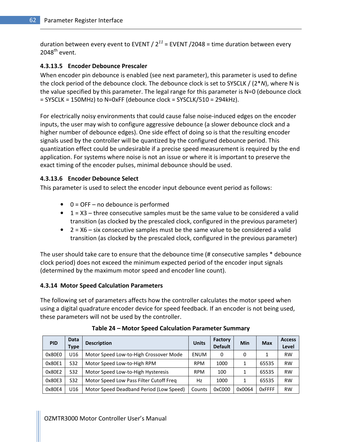duration between every event to EVENT /  $2^{11}$  = EVENT / 2048 = time duration between every  $2048^{\text{th}}$  event.

### 4.3.13.5 Encoder Debounce Prescaler

When encoder pin debounce is enabled (see next parameter), this parameter is used to define the clock period of the debounce clock. The debounce clock is set to SYSCLK  $/$  (2\*N), where N is the value specified by this parameter. The legal range for this parameter is N=0 (debounce clock  $=$  SYSCLK = 150MHz) to N=0xFF (debounce clock = SYSCLK/510 = 294kHz).

For electrically noisy environments that could cause false noise-induced edges on the encoder inputs, the user may wish to configure aggressive debounce (a slower debounce clock and a higher number of debounce edges). One side effect of doing so is that the resulting encoder signals used by the controller will be quantized by the configured debounce period. This quantization effect could be undesirable if a precise speed measurement is required by the end application. For systems where noise is not an issue or where it is important to preserve the exact timing of the encoder pulses, minimal debounce should be used.

#### 4.3.13.6 Encoder Debounce Select

This parameter is used to select the encoder input debounce event period as follows:

- $\bullet$  0 = OFF no debounce is performed
- $\bullet$  1 = X3 three consecutive samples must be the same value to be considered a valid transition (as clocked by the prescaled clock, configured in the previous parameter)
- 2 = X6 six consecutive samples must be the same value to be considered a valid transition (as clocked by the prescaled clock, configured in the previous parameter)

The user should take care to ensure that the debounce time (# consecutive samples \* debounce clock period) does not exceed the minimum expected period of the encoder input signals (determined by the maximum motor speed and encoder line count).

#### 4.3.14 Motor Speed Calculation Parameters

The following set of parameters affects how the controller calculates the motor speed when using a digital quadrature encoder device for speed feedback. If an encoder is not being used, these parameters will not be used by the controller.

| <b>PID</b> | <b>Data</b><br>Type | <b>Description</b>                      | <b>Units</b> | Factory<br><b>Default</b> | Min    | <b>Max</b>     | <b>Access</b><br>Level |
|------------|---------------------|-----------------------------------------|--------------|---------------------------|--------|----------------|------------------------|
| 0x80E0     | U16                 | Motor Speed Low-to-High Crossover Mode  | <b>ENUM</b>  | 0                         | 0      |                | <b>RW</b>              |
| 0x80E1     | S <sub>32</sub>     | Motor Speed Low-to-High RPM             | <b>RPM</b>   | 1000                      |        | 65535          | <b>RW</b>              |
| 0x80E2     | S32                 | Motor Speed Low-to-High Hysteresis      | <b>RPM</b>   | 100                       |        | 65535          | <b>RW</b>              |
| 0x80E3     | S <sub>32</sub>     | Motor Speed Low Pass Filter Cutoff Freq | Hz           | 1000                      |        | 65535          | <b>RW</b>              |
| 0x80E4     | U <sub>16</sub>     | Motor Speed Deadband Period (Low Speed) | Counts       | 0xC000                    | 0x0064 | <b>O</b> xFFFF | <b>RW</b>              |

Table 24 – Motor Speed Calculation Parameter Summary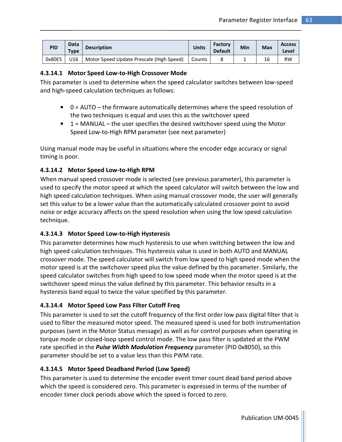| <b>PID</b> | <b>Data</b><br>Type | <b>Description</b>                       | <b>Units</b> | Factory<br><b>Default</b> | Min | <b>Max</b> | <b>Access</b><br>Level |
|------------|---------------------|------------------------------------------|--------------|---------------------------|-----|------------|------------------------|
| 0x80E5     | J16.                | Motor Speed Update Prescale (High Speed) | l Counts     |                           |     | 16         | <b>RW</b>              |

# 4.3.14.1 Motor Speed Low-to-High Crossover Mode

This parameter is used to determine when the speed calculator switches between low-speed and high-speed calculation techniques as follows:

- 0 = AUTO the firmware automatically determines where the speed resolution of the two techniques is equal and uses this as the switchover speed
- $\bullet$  1 = MANUAL the user specifies the desired switchover speed using the Motor Speed Low-to-High RPM parameter (see next parameter)

Using manual mode may be useful in situations where the encoder edge accuracy or signal timing is poor.

# 4.3.14.2 Motor Speed Low-to-High RPM

When manual speed crossover mode is selected (see previous parameter), this parameter is used to specify the motor speed at which the speed calculator will switch between the low and high speed calculation techniques. When using manual crossover mode, the user will generally set this value to be a lower value than the automatically calculated crossover point to avoid noise or edge accuracy affects on the speed resolution when using the low speed calculation technique.

# 4.3.14.3 Motor Speed Low-to-High Hysteresis

This parameter determines how much hysteresis to use when switching between the low and high speed calculation techniques. This hysteresis value is used in both AUTO and MANUAL crossover mode. The speed calculator will switch from low speed to high speed mode when the motor speed is at the switchover speed plus the value defined by this parameter. Similarly, the speed calculator switches from high speed to low speed mode when the motor speed is at the switchover speed minus the value defined by this parameter. This behavior results in a hysteresis band equal to twice the value specified by this parameter.

# 4.3.14.4 Motor Speed Low Pass Filter Cutoff Freq

This parameter is used to set the cutoff frequency of the first order low pass digital filter that is used to filter the measured motor speed. The measured speed is used for both instrumentation purposes (sent in the Motor Status message) as well as for control purposes when operating in torque mode or closed-loop speed control mode. The low pass filter is updated at the PWM rate specified in the **Pulse Width Modulation Frequency** parameter (PID 0x8050), so this parameter should be set to a value less than this PWM rate.

# 4.3.14.5 Motor Speed Deadband Period (Low Speed)

This parameter is used to determine the encoder event timer count dead band period above which the speed is considered zero. This parameter is expressed in terms of the number of encoder timer clock periods above which the speed is forced to zero.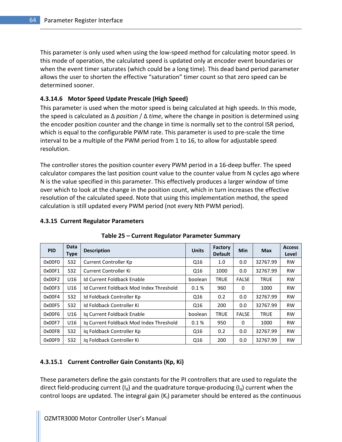This parameter is only used when using the low-speed method for calculating motor speed. In this mode of operation, the calculated speed is updated only at encoder event boundaries or when the event timer saturates (which could be a long time). This dead band period parameter allows the user to shorten the effective "saturation" timer count so that zero speed can be determined sooner.

#### 4.3.14.6 Motor Speed Update Prescale (High Speed)

This parameter is used when the motor speed is being calculated at high speeds. In this mode, the speed is calculated as  $\Delta$  position /  $\Delta$  time, where the change in position is determined using the encoder position counter and the change in time is normally set to the control ISR period, which is equal to the configurable PWM rate. This parameter is used to pre-scale the time interval to be a multiple of the PWM period from 1 to 16, to allow for adjustable speed resolution.

The controller stores the position counter every PWM period in a 16-deep buffer. The speed calculator compares the last position count value to the counter value from N cycles ago where N is the value specified in this parameter. This effectively produces a larger window of time over which to look at the change in the position count, which in turn increases the effective resolution of the calculated speed. Note that using this implementation method, the speed calculation is still updated every PWM period (not every Nth PWM period).

#### 4.3.15 Current Regulator Parameters

| <b>PID</b> | Data<br><b>Type</b> | <b>Description</b>                      | <b>Units</b>    | Factory<br><b>Default</b> | <b>Min</b>   | <b>Max</b>  | <b>Access</b><br>Level |
|------------|---------------------|-----------------------------------------|-----------------|---------------------------|--------------|-------------|------------------------|
| 0x00F0     | S32                 | Current Controller Kp                   | Q16             | 1.0                       | 0.0          | 32767.99    | <b>RW</b>              |
| 0x00F1     | S32                 | Current Controller Ki                   | Q16             | 1000                      | 0.0          | 32767.99    | <b>RW</b>              |
| 0x00F2     | U <sub>16</sub>     | Id Current Foldback Enable              | boolean         | <b>TRUE</b>               | <b>FALSE</b> | <b>TRUE</b> | <b>RW</b>              |
| 0x00F3     | U16                 | Id Current Foldback Mod Index Threshold | 0.1%            | 960                       | $\Omega$     | 1000        | <b>RW</b>              |
| 0x00F4     | S32                 | Id Foldback Controller Kp               | Q16             | 0.2                       | 0.0          | 32767.99    | <b>RW</b>              |
| 0x00F5     | S32                 | Id Foldback Controller Ki               | Q16             | 200                       | 0.0          | 32767.99    | <b>RW</b>              |
| 0x00F6     | U16                 | Ig Current Foldback Enable              | boolean         | <b>TRUE</b>               | <b>FALSE</b> | <b>TRUE</b> | <b>RW</b>              |
| 0x00F7     | U16                 | Ig Current Foldback Mod Index Threshold | 0.1%            | 950                       | 0            | 1000        | <b>RW</b>              |
| 0x00F8     | S32                 | Ig Foldback Controller Kp               | Q16             | 0.2                       | 0.0          | 32767.99    | <b>RW</b>              |
| 0x00F9     | S32                 | Ig Foldback Controller Ki               | Q <sub>16</sub> | 200                       | 0.0          | 32767.99    | <b>RW</b>              |

Table 25 – Current Regulator Parameter Summary

#### 4.3.15.1 Current Controller Gain Constants (Kp, Ki)

These parameters define the gain constants for the PI controllers that are used to regulate the direct field-producing current ( $I_d$ ) and the quadrature torque-producing ( $I_d$ ) current when the control loops are updated. The integral gain  $(K_i)$  parameter should be entered as the continuous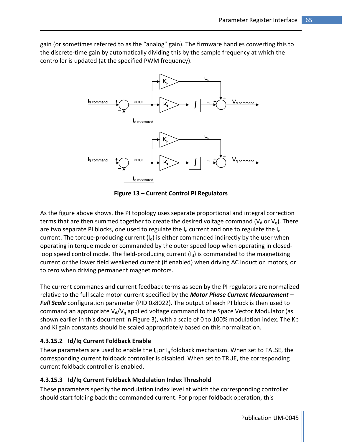gain (or sometimes referred to as the "analog" gain). The firmware handles converting this to the discrete-time gain by automatically dividing this by the sample frequency at which the controller is updated (at the specified PWM frequency).



Figure 13 – Current Control PI Regulators

As the figure above shows, the PI topology uses separate proportional and integral correction terms that are then summed together to create the desired voltage command ( $V<sub>d</sub>$  or  $V<sub>q</sub>$ ). There are two separate PI blocks, one used to regulate the  $I_d$  current and one to regulate the  $I_q$ current. The torque-producing current  $(I<sub>q</sub>)$  is either commanded indirectly by the user when operating in torque mode or commanded by the outer speed loop when operating in closedloop speed control mode. The field-producing current  $(I_d)$  is commanded to the magnetizing current or the lower field weakened current (if enabled) when driving AC induction motors, or to zero when driving permanent magnet motors.

The current commands and current feedback terms as seen by the PI regulators are normalized relative to the full scale motor current specified by the **Motor Phase Current Measurement -**Full Scale configuration parameter (PID 0x8022). The output of each PI block is then used to command an appropriate  $V_d/V_q$  applied voltage command to the Space Vector Modulator (as shown earlier in this document in Figure 3), with a scale of 0 to 100% modulation index. The Kp and Ki gain constants should be scaled appropriately based on this normalization.

# 4.3.15.2 Id/Iq Current Foldback Enable

These parameters are used to enable the  $I_d$  or  $I_q$  foldback mechanism. When set to FALSE, the corresponding current foldback controller is disabled. When set to TRUE, the corresponding current foldback controller is enabled.

# 4.3.15.3 Id/Iq Current Foldback Modulation Index Threshold

These parameters specify the modulation index level at which the corresponding controller should start folding back the commanded current. For proper foldback operation, this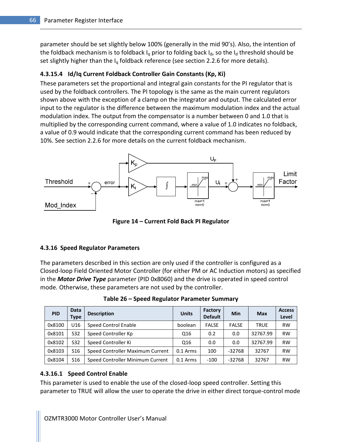parameter should be set slightly below 100% (generally in the mid 90's). Also, the intention of the foldback mechanism is to foldback  $I_q$  prior to folding back  $I_d$ , so the  $I_d$  threshold should be set slightly higher than the  $I_q$  foldback reference (see section 2.2.6 for more details).

#### 4.3.15.4 Id/Iq Current Foldback Controller Gain Constants (Kp, Ki)

These parameters set the proportional and integral gain constants for the PI regulator that is used by the foldback controllers. The PI topology is the same as the main current regulators shown above with the exception of a clamp on the integrator and output. The calculated error input to the regulator is the difference between the maximum modulation index and the actual modulation index. The output from the compensator is a number between 0 and 1.0 that is multiplied by the corresponding current command, where a value of 1.0 indicates no foldback, a value of 0.9 would indicate that the corresponding current command has been reduced by 10%. See section 2.2.6 for more details on the current foldback mechanism.



Figure 14 – Current Fold Back PI Regulator

#### 4.3.16 Speed Regulator Parameters

The parameters described in this section are only used if the controller is configured as a Closed-loop Field Oriented Motor Controller (for either PM or AC Induction motors) as specified in the **Motor Drive Type** parameter (PID 0x8060) and the drive is operated in speed control mode. Otherwise, these parameters are not used by the controller.

| <b>PID</b> | <b>Data</b><br>Type | <b>Description</b>               | <b>Units</b> | Factory<br><b>Default</b> | Min          | <b>Max</b>  | <b>Access</b><br>Level |
|------------|---------------------|----------------------------------|--------------|---------------------------|--------------|-------------|------------------------|
| 0x8100     | U <sub>16</sub>     | <b>Speed Control Enable</b>      | boolean      | <b>FALSE</b>              | <b>FALSE</b> | <b>TRUE</b> | <b>RW</b>              |
| 0x8101     | S <sub>32</sub>     | Speed Controller Kp              | Q16          | 0.2                       | 0.0          | 32767.99    | <b>RW</b>              |
| 0x8102     | S32                 | Speed Controller Ki              | Q16          | 0.0                       | 0.0          | 32767.99    | <b>RW</b>              |
| 0x8103     | S <sub>16</sub>     | Speed Controller Maximum Current | $0.1$ Arms   | 100                       | $-32768$     | 32767       | <b>RW</b>              |
| 0x8104     | S <sub>16</sub>     | Speed Controller Minimum Current | $0.1$ Arms   | $-100$                    | $-32768$     | 32767       | <b>RW</b>              |

Table 26 – Speed Regulator Parameter Summary

#### 4.3.16.1 Speed Control Enable

This parameter is used to enable the use of the closed-loop speed controller. Setting this parameter to TRUE will allow the user to operate the drive in either direct torque-control mode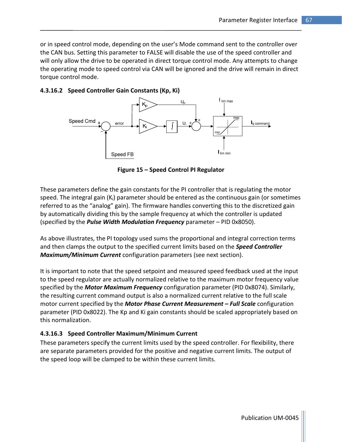or in speed control mode, depending on the user's Mode command sent to the controller over the CAN bus. Setting this parameter to FALSE will disable the use of the speed controller and will only allow the drive to be operated in direct torque control mode. Any attempts to change the operating mode to speed control via CAN will be ignored and the drive will remain in direct torque control mode.

## 4.3.16.2 Speed Controller Gain Constants (Kp, Ki)



Figure 15 – Speed Control PI Regulator

These parameters define the gain constants for the PI controller that is regulating the motor speed. The integral gain  $(K_i)$  parameter should be entered as the continuous gain (or sometimes referred to as the "analog" gain). The firmware handles converting this to the discretized gain by automatically dividing this by the sample frequency at which the controller is updated (specified by the *Pulse Width Modulation Frequency* parameter  $-$  PID 0x8050).

As above illustrates, the PI topology used sums the proportional and integral correction terms and then clamps the output to the specified current limits based on the **Speed Controller** Maximum/Minimum Current configuration parameters (see next section).

It is important to note that the speed setpoint and measured speed feedback used at the input to the speed regulator are actually normalized relative to the maximum motor frequency value specified by the **Motor Maximum Frequency** configuration parameter (PID 0x8074). Similarly, the resulting current command output is also a normalized current relative to the full scale motor current specified by the Motor Phase Current Measurement - Full Scale configuration parameter (PID 0x8022). The Kp and Ki gain constants should be scaled appropriately based on this normalization.

# 4.3.16.3 Speed Controller Maximum/Minimum Current

These parameters specify the current limits used by the speed controller. For flexibility, there are separate parameters provided for the positive and negative current limits. The output of the speed loop will be clamped to be within these current limits.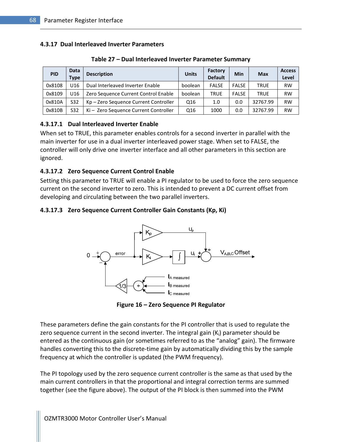#### 4.3.17 Dual Interleaved Inverter Parameters

| <b>PID</b> | <b>Data</b><br><b>Type</b> | <b>Description</b>                    | <b>Units</b>    | Factory<br><b>Default</b> | Min          | Max         | <b>Access</b><br>Level |
|------------|----------------------------|---------------------------------------|-----------------|---------------------------|--------------|-------------|------------------------|
| 0x8108     | U <sub>16</sub>            | Dual Interleaved Inverter Enable      | boolean         | <b>FALSE</b>              | <b>FALSE</b> | <b>TRUE</b> | <b>RW</b>              |
| 0x8109     | U16                        | Zero Sequence Current Control Enable  | boolean         | <b>TRUE</b>               | <b>FALSE</b> | <b>TRUE</b> | <b>RW</b>              |
| 0x810A     | S32                        | Kp - Zero Sequence Current Controller | Q <sub>16</sub> | 1.0                       | 0.0          | 32767.99    | <b>RW</b>              |
| 0x810B     | S32                        | Ki – Zero Sequence Current Controller | Q16             | 1000                      | 0.0          | 32767.99    | <b>RW</b>              |

#### Table 27 – Dual Interleaved Inverter Parameter Summary

# 4.3.17.1 Dual Interleaved Inverter Enable

When set to TRUE, this parameter enables controls for a second inverter in parallel with the main inverter for use in a dual inverter interleaved power stage. When set to FALSE, the controller will only drive one inverter interface and all other parameters in this section are ignored.

#### 4.3.17.2 Zero Sequence Current Control Enable

Setting this parameter to TRUE will enable a PI regulator to be used to force the zero sequence current on the second inverter to zero. This is intended to prevent a DC current offset from developing and circulating between the two parallel inverters.

#### 4.3.17.3 Zero Sequence Current Controller Gain Constants (Kp, Ki)



Figure 16 – Zero Sequence PI Regulator

These parameters define the gain constants for the PI controller that is used to regulate the zero sequence current in the second inverter. The integral gain  $(K_i)$  parameter should be entered as the continuous gain (or sometimes referred to as the "analog" gain). The firmware handles converting this to the discrete-time gain by automatically dividing this by the sample frequency at which the controller is updated (the PWM frequency).

The PI topology used by the zero sequence current controller is the same as that used by the main current controllers in that the proportional and integral correction terms are summed together (see the figure above). The output of the PI block is then summed into the PWM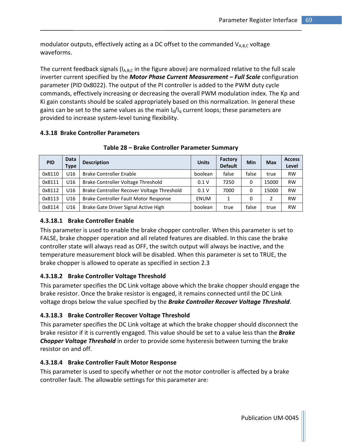modulator outputs, effectively acting as a DC offset to the commanded  $V_{A,B,C}$  voltage waveforms.

The current feedback signals ( $I_{A,B,C}$  in the figure above) are normalized relative to the full scale inverter current specified by the Motor Phase Current Measurement - Full Scale configuration parameter (PID 0x8022). The output of the PI controller is added to the PWM duty cycle commands, effectively increasing or decreasing the overall PWM modulation index. The Kp and Ki gain constants should be scaled appropriately based on this normalization. In general these gains can be set to the same values as the main  $I_d/I_q$  current loops; these parameters are provided to increase system-level tuning flexibility.

## 4.3.18 Brake Controller Parameters

| <b>PID</b> | <b>Data</b><br>Type | <b>Description</b>                         | <b>Units</b> | Factory<br><b>Default</b> | Min   | <b>Max</b> | <b>Access</b><br>Level |
|------------|---------------------|--------------------------------------------|--------------|---------------------------|-------|------------|------------------------|
| 0x8110     | U <sub>16</sub>     | <b>Brake Controller Enable</b>             | boolean      | false                     | false | true       | <b>RW</b>              |
| 0x8111     | U <sub>16</sub>     | Brake Controller Voltage Threshold         | 0.1V         | 7250                      | 0     | 15000      | <b>RW</b>              |
| 0x8112     | U <sub>16</sub>     | Brake Controller Recover Voltage Threshold | 0.1V         | 7000                      | 0     | 15000      | <b>RW</b>              |
| 0x8113     | U <sub>16</sub>     | Brake Controller Fault Motor Response      | <b>ENUM</b>  |                           | 0     | 2          | <b>RW</b>              |
| 0x8114     | U16                 | Brake Gate Driver Signal Active High       | boolean      | true                      | false | true       | <b>RW</b>              |

Table 28 – Brake Controller Parameter Summary

# 4.3.18.1 Brake Controller Enable

This parameter is used to enable the brake chopper controller. When this parameter is set to FALSE, brake chopper operation and all related features are disabled. In this case the brake controller state will always read as OFF, the switch output will always be inactive, and the temperature measurement block will be disabled. When this parameter is set to TRUE, the brake chopper is allowed to operate as specified in section 2.3

# 4.3.18.2 Brake Controller Voltage Threshold

This parameter specifies the DC Link voltage above which the brake chopper should engage the brake resistor. Once the brake resistor is engaged, it remains connected until the DC Link voltage drops below the value specified by the **Brake Controller Recover Voltage Threshold**.

# 4.3.18.3 Brake Controller Recover Voltage Threshold

This parameter specifies the DC Link voltage at which the brake chopper should disconnect the brake resistor if it is currently engaged. This value should be set to a value less than the **Brake Chopper Voltage Threshold** in order to provide some hysteresis between turning the brake resistor on and off.

# 4.3.18.4 Brake Controller Fault Motor Response

This parameter is used to specify whether or not the motor controller is affected by a brake controller fault. The allowable settings for this parameter are:

Publication UM-0045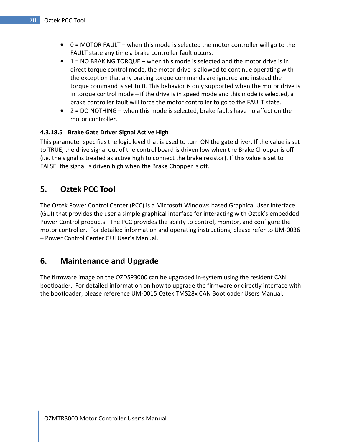- $\bullet$  0 = MOTOR FAULT when this mode is selected the motor controller will go to the FAULT state any time a brake controller fault occurs.
- $\bullet$  1 = NO BRAKING TORQUE when this mode is selected and the motor drive is in direct torque control mode, the motor drive is allowed to continue operating with the exception that any braking torque commands are ignored and instead the torque command is set to 0. This behavior is only supported when the motor drive is in torque control mode – if the drive is in speed mode and this mode is selected, a brake controller fault will force the motor controller to go to the FAULT state.
- $\bullet$  2 = DO NOTHING when this mode is selected, brake faults have no affect on the motor controller.

## 4.3.18.5 Brake Gate Driver Signal Active High

This parameter specifies the logic level that is used to turn ON the gate driver. If the value is set to TRUE, the drive signal out of the control board is driven low when the Brake Chopper is off (i.e. the signal is treated as active high to connect the brake resistor). If this value is set to FALSE, the signal is driven high when the Brake Chopper is off.

# 5. Oztek PCC Tool

The Oztek Power Control Center (PCC) is a Microsoft Windows based Graphical User Interface (GUI) that provides the user a simple graphical interface for interacting with Oztek's embedded Power Control products. The PCC provides the ability to control, monitor, and configure the motor controller. For detailed information and operating instructions, please refer to UM-0036 – Power Control Center GUI User's Manual.

# 6. Maintenance and Upgrade

The firmware image on the OZDSP3000 can be upgraded in-system using the resident CAN bootloader. For detailed information on how to upgrade the firmware or directly interface with the bootloader, please reference UM-0015 Oztek TMS28x CAN Bootloader Users Manual.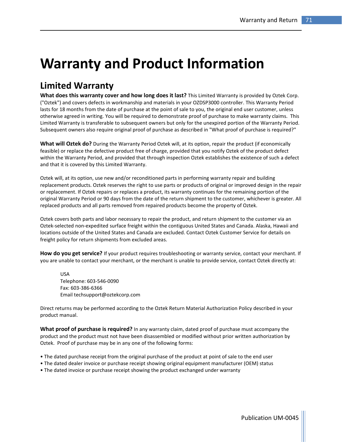# Warranty and Product Information

# Limited Warranty

What does this warranty cover and how long does it last? This Limited Warranty is provided by Oztek Corp. ("Oztek") and covers defects in workmanship and materials in your OZDSP3000 controller. This Warranty Period lasts for 18 months from the date of purchase at the point of sale to you, the original end user customer, unless otherwise agreed in writing. You will be required to demonstrate proof of purchase to make warranty claims. This Limited Warranty is transferable to subsequent owners but only for the unexpired portion of the Warranty Period. Subsequent owners also require original proof of purchase as described in "What proof of purchase is required?"

What will Oztek do? During the Warranty Period Oztek will, at its option, repair the product (if economically feasible) or replace the defective product free of charge, provided that you notify Oztek of the product defect within the Warranty Period, and provided that through inspection Oztek establishes the existence of such a defect and that it is covered by this Limited Warranty.

Oztek will, at its option, use new and/or reconditioned parts in performing warranty repair and building replacement products. Oztek reserves the right to use parts or products of original or improved design in the repair or replacement. If Oztek repairs or replaces a product, its warranty continues for the remaining portion of the original Warranty Period or 90 days from the date of the return shipment to the customer, whichever is greater. All replaced products and all parts removed from repaired products become the property of Oztek.

Oztek covers both parts and labor necessary to repair the product, and return shipment to the customer via an Oztek-selected non-expedited surface freight within the contiguous United States and Canada. Alaska, Hawaii and locations outside of the United States and Canada are excluded. Contact Oztek Customer Service for details on freight policy for return shipments from excluded areas.

How do you get service? If your product requires troubleshooting or warranty service, contact your merchant. If you are unable to contact your merchant, or the merchant is unable to provide service, contact Oztek directly at:

USA Telephone: 603-546-0090 Fax: 603-386-6366 Email techsupport@oztekcorp.com

Direct returns may be performed according to the Oztek Return Material Authorization Policy described in your product manual.

What proof of purchase is required? In any warranty claim, dated proof of purchase must accompany the product and the product must not have been disassembled or modified without prior written authorization by Oztek. Proof of purchase may be in any one of the following forms:

- The dated purchase receipt from the original purchase of the product at point of sale to the end user
- The dated dealer invoice or purchase receipt showing original equipment manufacturer (OEM) status
- The dated invoice or purchase receipt showing the product exchanged under warranty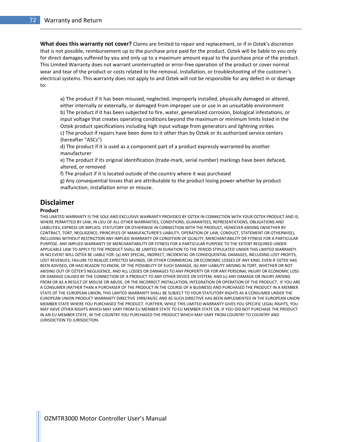What does this warranty not cover? Claims are limited to repair and replacement, or if in Oztek's discretion that is not possible, reimbursement up to the purchase price paid for the product. Oztek will be liable to you only for direct damages suffered by you and only up to a maximum amount equal to the purchase price of the product. This Limited Warranty does not warrant uninterrupted or error-free operation of the product or cover normal wear and tear of the product or costs related to the removal, installation, or troubleshooting of the customer's electrical systems. This warranty does not apply to and Oztek will not be responsible for any defect in or damage to:

a) The product if it has been misused, neglected, improperly installed, physically damaged or altered, either internally or externally, or damaged from improper use or use in an unsuitable environment b) The product if it has been subjected to fire, water, generalized corrosion, biological infestations, or input voltage that creates operating conditions beyond the maximum or minimum limits listed in the Oztek product specifications including high input voltage from generators and lightning strikes c) The product if repairs have been done to it other than by Oztek or its authorized service centers (hereafter "ASCs")

d) The product if it is used as a component part of a product expressly warranted by another manufacturer

e) The product if its original identification (trade-mark, serial number) markings have been defaced, altered, or removed

f) The product if it is located outside of the country where it was purchased

g) Any consequential losses that are attributable to the product losing power whether by product malfunction, installation error or misuse.

#### Disclaimer

#### Product

THIS LIMITED WARRANTY IS THE SOLE AND EXCLUSIVE WARRANTY PROVIDED BY OZTEK IN CONNECTION WITH YOUR OZTEK PRODUCT AND IS, WHERE PERMITTED BY LAW, IN LIEU OF ALL OTHER WARRANTIES, CONDITIONS, GUARANTEES, REPRESENTATIONS, OBLIGATIONS AND LIABILITIES, EXPRESS OR IMPLIED, STATUTORY OR OTHERWISE IN CONNECTION WITH THE PRODUCT, HOWEVER ARISING (WHETHER BY CONTRACT, TORT, NEGLIGENCE, PRINCIPLES OF MANUFACTURER'S LIABILITY, OPERATION OF LAW, CONDUCT, STATEMENT OR OTHERWISE), INCLUDING WITHOUT RESTRICTION ANY IMPLIED WARRANTY OR CONDITION OF QUALITY, MERCHANTABILITY OR FITNESS FOR A PARTICULAR PURPOSE. ANY IMPLIED WARRANTY OF MERCHANTABILITY OR FITNESS FOR A PARTICULAR PURPOSE TO THE EXTENT REQUIRED UNDER APPLICABLE LAW TO APPLY TO THE PRODUCT SHALL BE LIMITED IN DURATION TO THE PERIOD STIPULATED UNDER THIS LIMITED WARRANTY. IN NO EVENT WILL OZTEK BE LIABLE FOR: (a) ANY SPECIAL, INDIRECT, INCIDENTAL OR CONSEQUENTIAL DAMAGES, INCLUDING LOST PROFITS, LOST REVENUES, FAILURE TO REALIZE EXPECTED SAVINGS, OR OTHER COMMERCIAL OR ECONOMIC LOSSES OF ANY KIND, EVEN IF OZTEK HAS BEEN ADVISED, OR HAD REASON TO KNOW, OF THE POSSIBILITY OF SUCH DAMAGE, (b) ANY LIABILITY ARISING IN TORT, WHETHER OR NOT ARISING OUT OF OZTEK'S NEGLIGENCE, AND ALL LOSSES OR DAMAGES TO ANY PROPERTY OR FOR ANY PERSONAL INJURY OR ECONOMIC LOSS OR DAMAGE CAUSED BY THE CONNECTION OF A PRODUCT TO ANY OTHER DEVICE OR SYSTEM, AND (c) ANY DAMAGE OR INJURY ARISING FROM OR AS A RESULT OF MISUSE OR ABUSE, OR THE INCORRECT INSTALLATION, INTEGRATION OR OPERATION OF THE PRODUCT. IF YOU ARE A CONSUMER (RATHER THAN A PURCHASER OF THE PRODUCT IN THE COURSE OF A BUSINESS) AND PURCHASED THE PRODUCT IN A MEMBER STATE OF THE EUROPEAN UNION, THIS LIMITED WARRANTY SHALL BE SUBJECT TO YOUR STATUTORY RIGHTS AS A CONSUMER UNDER THE EUROPEAN UNION PRODUCT WARRANTY DIRECTIVE 1999/44/EC AND AS SUCH DIRECTIVE HAS BEEN IMPLEMENTED IN THE EUROPEAN UNION MEMBER STATE WHERE YOU PURCHASED THE PRODUCT. FURTHER, WHILE THIS LIMITED WARRANTY GIVES YOU SPECIFIC LEGAL RIGHTS, YOU MAY HAVE OTHER RIGHTS WHICH MAY VARY FROM EU MEMBER STATE TO EU MEMBER STATE OR, IF YOU DID NOT PURCHASE THE PRODUCT IN AN EU MEMBER STATE, IN THE COUNTRY YOU PURCHASED THE PRODUCT WHICH MAY VARY FROM COUNTRY TO COUNTRY AND JURISDICTION TO JURISDICTION.